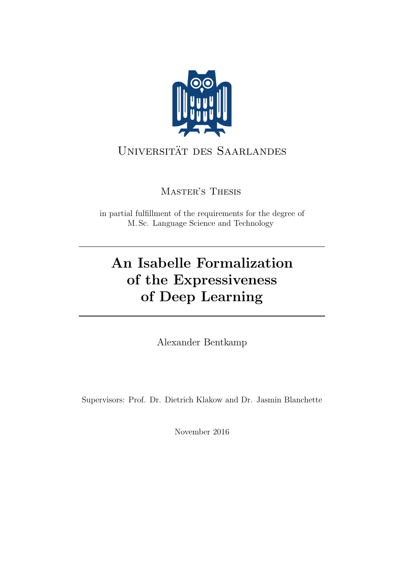

## UNIVERSITÄT DES SAARLANDES

Master's Thesis

in partial fulfillment of the requirements for the degree of M. Sc. Language Science and Technology

# An Isabelle Formalization of the Expressiveness of Deep Learning

Alexander Bentkamp

Supervisors: Prof. Dr. Dietrich Klakow and Dr. Jasmin Blanchette

November 2016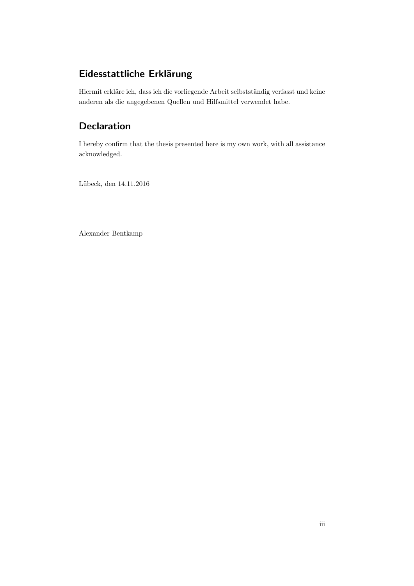## Eidesstattliche Erklärung

Hiermit erkläre ich, dass ich die vorliegende Arbeit selbstständig verfasst und keine anderen als die angegebenen Quellen und Hilfsmittel verwendet habe.

## Declaration

I hereby confirm that the thesis presented here is my own work, with all assistance acknowledged.

Lübeck, den 14.11.2016

Alexander Bentkamp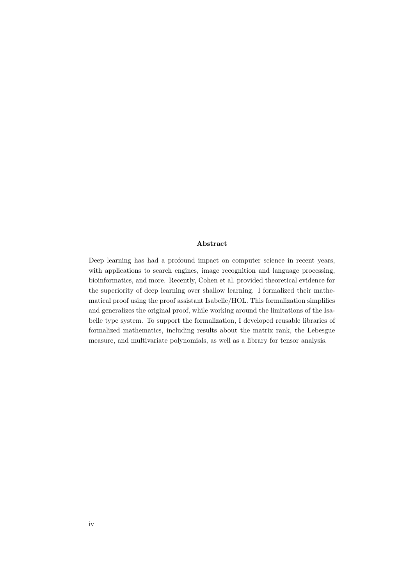#### Abstract

Deep learning has had a profound impact on computer science in recent years, with applications to search engines, image recognition and language processing, bioinformatics, and more. Recently, Cohen et al. provided theoretical evidence for the superiority of deep learning over shallow learning. I formalized their mathematical proof using the proof assistant Isabelle/HOL. This formalization simplifies and generalizes the original proof, while working around the limitations of the Isabelle type system. To support the formalization, I developed reusable libraries of formalized mathematics, including results about the matrix rank, the Lebesgue measure, and multivariate polynomials, as well as a library for tensor analysis.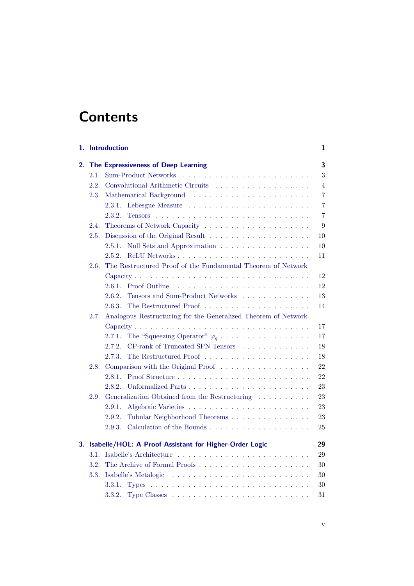## **Contents**

|    |      | 1. Introduction                                                                          | 1              |
|----|------|------------------------------------------------------------------------------------------|----------------|
| 2. |      | The Expressiveness of Deep Learning                                                      | 3              |
|    | 2.1. | <b>Sum-Product Networks</b>                                                              | 3              |
|    | 2.2. |                                                                                          | 4              |
|    | 2.3. |                                                                                          | $\overline{7}$ |
|    |      | 2.3.1.                                                                                   | $\overline{7}$ |
|    |      | 2.3.2.                                                                                   | $\overline{7}$ |
|    | 2.4. |                                                                                          | 9              |
|    | 2.5. |                                                                                          | 10             |
|    |      | Null Sets and Approximation<br>2.5.1.                                                    | 10             |
|    |      | 2.5.2.                                                                                   | 11             |
|    | 2.6. | The Restructured Proof of the Fundamental Theorem of Network                             |                |
|    |      |                                                                                          | 12             |
|    |      |                                                                                          | 12             |
|    |      | Tensors and Sum-Product Networks<br>2.6.2.                                               | 13             |
|    |      | 2.6.3.                                                                                   | 14             |
|    | 2.7. | Analogous Restructuring for the Generalized Theorem of Network                           |                |
|    |      |                                                                                          | 17             |
|    |      | The "Squeezing Operator" $\varphi_q \ldots \ldots \ldots \ldots \ldots \ldots$<br>2.7.1. | 17             |
|    |      | 2.7.2.<br>CP-rank of Truncated SPN Tensors                                               | 18             |
|    |      | 2.7.3.                                                                                   | 18             |
|    | 2.8. | Comparison with the Original Proof                                                       | 22             |
|    |      | 2.8.1.                                                                                   | 22             |
|    |      | 2.8.2.<br>Unformalized Parts                                                             | 23             |
|    | 2.9. | Generalization Obtained from the Restructuring                                           | 23             |
|    |      | 2.9.1.                                                                                   | 23             |
|    |      | Tubular Neighborhood Theorems<br>2.9.2.                                                  | 23             |
|    |      | Calculation of the Bounds $\dots \dots \dots \dots \dots \dots \dots$<br>2.9.3.          | 25             |
| 3. |      | Isabelle/HOL: A Proof Assistant for Higher-Order Logic                                   | 29             |
|    | 3.1. |                                                                                          | 29             |
|    | 3.2. | The Archive of Formal Proofs                                                             | 30             |
|    | 3.3. |                                                                                          | 30             |
|    |      | 3.3.1.                                                                                   | 30             |
|    |      | 3.3.2.                                                                                   | 31             |
|    |      |                                                                                          |                |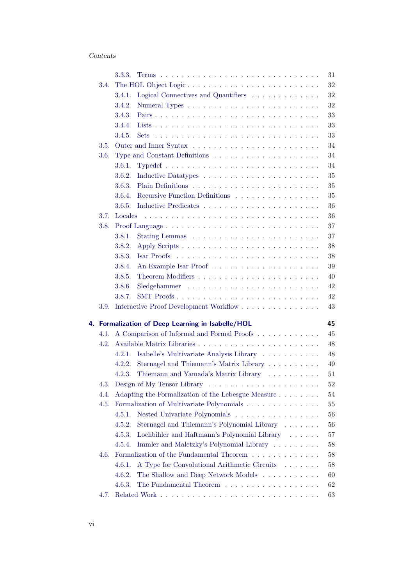#### Contents

|      | 3.3.3.<br>31                                                                 |  |
|------|------------------------------------------------------------------------------|--|
| 3.4. | 32                                                                           |  |
|      | 32<br>3.4.1.<br>Logical Connectives and Quantifiers                          |  |
|      | 32<br>3.4.2.                                                                 |  |
|      | 3.4.3.<br>33                                                                 |  |
|      | 33<br>3.4.4.                                                                 |  |
|      | 33<br>3.4.5.                                                                 |  |
| 3.5. | 34                                                                           |  |
| 3.6. | 34                                                                           |  |
|      | 3.6.1.<br>34                                                                 |  |
|      | 35<br>3.6.2.                                                                 |  |
|      | 35<br>3.6.3.                                                                 |  |
|      | Recursive Function Definitions<br>3.6.4.<br>35                               |  |
|      | 3.6.5.<br>36                                                                 |  |
| 3.7. | 36                                                                           |  |
| 3.8. | 37                                                                           |  |
|      | 37<br>3.8.1.                                                                 |  |
|      | $38\,$<br>3.8.2.                                                             |  |
|      | 3.8.3.<br>38                                                                 |  |
|      | 3.8.4.<br>39                                                                 |  |
|      | 3.8.5.<br>40                                                                 |  |
|      | 42<br>3.8.6.                                                                 |  |
|      | SMT Proofs<br>42<br>3.8.7.                                                   |  |
| 3.9. | Interactive Proof Development Workflow<br>43                                 |  |
|      | 4. Formalization of Deep Learning in Isabelle/HOL<br>45                      |  |
| 4.1. | A Comparison of Informal and Formal Proofs<br>45                             |  |
| 4.2. | 48                                                                           |  |
|      | Isabelle's Multivariate Analysis Library<br>48<br>4.2.1.                     |  |
|      | Sternagel and Thiemann's Matrix Library<br>49<br>4.2.2.                      |  |
|      | Thiemann and Yamada's Matrix Library<br>51<br>4.2.3.                         |  |
|      | 52                                                                           |  |
| 4.4. | Adapting the Formalization of the Lebesgue Measure<br>54                     |  |
| 4.5. | Formalization of Multivariate Polynomials<br>$55\,$                          |  |
|      | Nested Univariate Polynomials<br>56<br>4.5.1.                                |  |
|      | Sternagel and Thiemann's Polynomial Library<br>4.5.2.<br>56                  |  |
|      | 4.5.3.<br>Lochbihler and Haftmann's Polynomial Library<br>57                 |  |
|      | Immler and Maletzky's Polynomial Library<br>$58\,$<br>4.5.4.                 |  |
| 4.6. | Formalization of the Fundamental Theorem $\dots \dots \dots \dots$<br>$58\,$ |  |
|      | 4.6.1.<br>A Type for Convolutional Arithmetic Circuits<br>58                 |  |
|      | 4.6.2.<br>The Shallow and Deep Network Models<br>60                          |  |
|      | The Fundamental Theorem<br>62<br>4.6.3.                                      |  |
| 4.7. | 63                                                                           |  |
|      |                                                                              |  |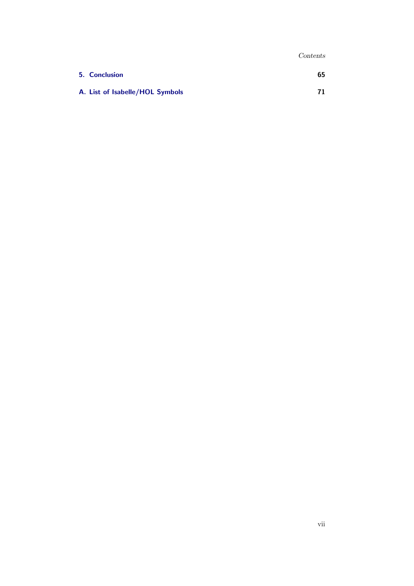Contents

| 5. Conclusion                   | 65 |
|---------------------------------|----|
| A. List of Isabelle/HOL Symbols | 71 |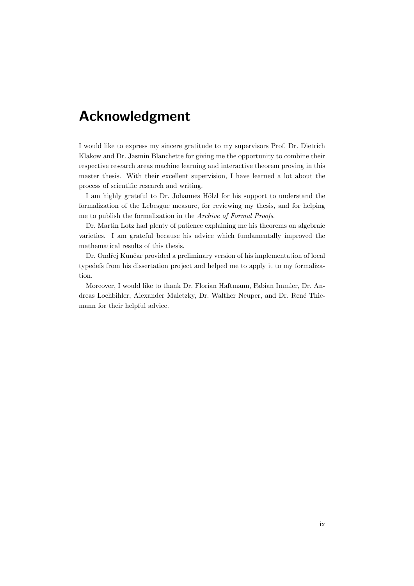## Acknowledgment

I would like to express my sincere gratitude to my supervisors Prof. Dr. Dietrich Klakow and Dr. Jasmin Blanchette for giving me the opportunity to combine their respective research areas machine learning and interactive theorem proving in this master thesis. With their excellent supervision, I have learned a lot about the process of scientific research and writing.

I am highly grateful to Dr. Johannes Hölzl for his support to understand the formalization of the Lebesgue measure, for reviewing my thesis, and for helping me to publish the formalization in the Archive of Formal Proofs.

Dr. Martin Lotz had plenty of patience explaining me his theorems on algebraic varieties. I am grateful because his advice which fundamentally improved the mathematical results of this thesis.

Dr. Ondřej Kunčar provided a preliminary version of his implementation of local typedefs from his dissertation project and helped me to apply it to my formalization.

Moreover, I would like to thank Dr. Florian Haftmann, Fabian Immler, Dr. Andreas Lochbihler, Alexander Maletzky, Dr. Walther Neuper, and Dr. René Thiemann for their helpful advice.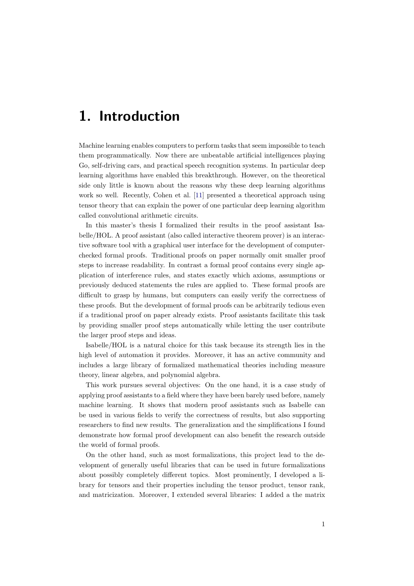## <span id="page-10-0"></span>1. Introduction

Machine learning enables computers to perform tasks that seem impossible to teach them programmatically. Now there are unbeatable artificial intelligences playing Go, self-driving cars, and practical speech recognition systems. In particular deep learning algorithms have enabled this breakthrough. However, on the theoretical side only little is known about the reasons why these deep learning algorithms work so well. Recently, Cohen et al. [\[11\]](#page-76-0) presented a theoretical approach using tensor theory that can explain the power of one particular deep learning algorithm called convolutional arithmetic circuits.

In this master's thesis I formalized their results in the proof assistant Isabelle/HOL. A proof assistant (also called interactive theorem prover) is an interactive software tool with a graphical user interface for the development of computerchecked formal proofs. Traditional proofs on paper normally omit smaller proof steps to increase readability. In contrast a formal proof contains every single application of interference rules, and states exactly which axioms, assumptions or previously deduced statements the rules are applied to. These formal proofs are difficult to grasp by humans, but computers can easily verify the correctness of these proofs. But the development of formal proofs can be arbitrarily tedious even if a traditional proof on paper already exists. Proof assistants facilitate this task by providing smaller proof steps automatically while letting the user contribute the larger proof steps and ideas.

Isabelle/HOL is a natural choice for this task because its strength lies in the high level of automation it provides. Moreover, it has an active community and includes a large library of formalized mathematical theories including measure theory, linear algebra, and polynomial algebra.

This work pursues several objectives: On the one hand, it is a case study of applying proof assistants to a field where they have been barely used before, namely machine learning. It shows that modern proof assistants such as Isabelle can be used in various fields to verify the correctness of results, but also supporting researchers to find new results. The generalization and the simplifications I found demonstrate how formal proof development can also benefit the research outside the world of formal proofs.

On the other hand, such as most formalizations, this project lead to the development of generally useful libraries that can be used in future formalizations about possibly completely different topics. Most prominently, I developed a library for tensors and their properties including the tensor product, tensor rank, and matricization. Moreover, I extended several libraries: I added a the matrix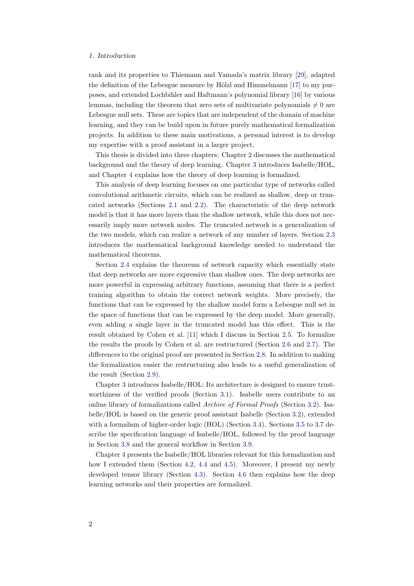#### 1. Introduction

rank and its properties to Thiemann and Yamada's matrix library [\[29\]](#page-78-0), adapted the definition of the Lebesgue measure by Hölzl and Himmelmann  $[17]$  to my purposes, and extended Lochbihler and Haftmann's polynomial library [\[16\]](#page-77-1) by various lemmas, including the theorem that zero sets of multivariate polynomials  $\neq 0$  are Lebesgue null sets. These are topics that are independent of the domain of machine learning, and they can be build upon in future purely mathematical formalization projects. In addition to these main motivations, a personal interest is to develop my expertise with a proof assistant in a larger project.

This thesis is divided into three chapters: Chapter [2](#page-12-0) discusses the mathematical background and the theory of deep learning. Chapter [3](#page-38-0) introduces Isabelle/HOL, and Chapter [4](#page-54-0) explains how the theory of deep learning is formalized.

This analysis of deep learning focuses on one particular type of networks called convolutional arithmetic circuits, which can be realized as shallow, deep or truncated networks (Sections [2.1](#page-12-1) and [2.2\)](#page-13-0). The characteristic of the deep network model is that it has more layers than the shallow network, while this does not necessarily imply more network nodes. The truncated network is a generalization of the two models, which can realize a network of any number of layers. Section [2.3](#page-16-0) introduces the mathematical background knowledge needed to understand the mathematical theorems.

Section [2.4](#page-18-0) explains the theorems of network capacity which essentially state that deep networks are more expressive than shallow ones. The deep networks are more powerful in expressing arbitrary functions, assuming that there is a perfect training algorithm to obtain the correct network weights. More precisely, the functions that can be expressed by the shallow model form a Lebesgue null set in the space of functions that can be expressed by the deep model. More generally, even adding a single layer in the truncated model has this effect. This is the result obtained by Cohen et al. [\[11\]](#page-76-0) which I discuss in Section [2.5.](#page-19-0) To formalize the results the proofs by Cohen et al. are restructured (Section [2.6](#page-21-0) and [2.7\)](#page-26-0). The differences to the original proof are presented in Section [2.8.](#page-31-0) In addition to making the formalization easier the restructuring also leads to a useful generalization of the result (Section [2.9\)](#page-32-1).

Chapter [3](#page-38-0) introduces Isabelle/HOL: Its architecture is designed to ensure trustworthiness of the verified proofs (Section [3.1\)](#page-38-1). Isabelle users contribute to an online library of formalizations called Archive of Formal Proofs (Section [3.2\)](#page-39-0). Isabelle/HOL is based on the generic proof assistant Isabelle (Section [3.2\)](#page-39-0), extended with a formalism of higher-order logic (HOL) (Section [3.4\)](#page-41-0). Sections [3.5](#page-43-0) to [3.7](#page-45-1) describe the specification language of Isabelle/HOL, followed by the proof language in Section [3.8](#page-46-0) and the general workflow in Section [3.9.](#page-52-0)

Chapter [4](#page-54-0) presents the Isabelle/HOL libraries relevant for this formalization and how I extended them (Section [4.2,](#page-57-0) [4.4](#page-63-0) and [4.5\)](#page-64-0). Moreover, I present my newly developed tensor library (Section [4.3\)](#page-61-0). Section [4.6](#page-67-1) then explains how the deep learning networks and their properties are formalized.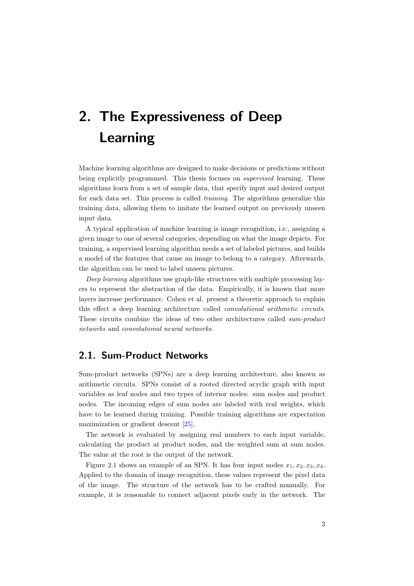<span id="page-12-0"></span>Machine learning algorithms are designed to make decisions or predictions without being explicitly programmed. This thesis focuses on supervised learning. These algorithms learn from a set of sample data, that specify input and desired output for each data set. This process is called training. The algorithms generalize this training data, allowing them to imitate the learned output on previously unseen input data.

A typical application of machine learning is image recognition, i.e., assigning a given image to one of several categories, depending on what the image depicts. For training, a supervised learning algorithm needs a set of labeled pictures, and builds a model of the features that cause an image to belong to a category. Afterwards, the algorithm can be used to label unseen pictures.

Deep learning algorithms use graph-like structures with multiple processing layers to represent the abstraction of the data. Empirically, it is known that more layers increase performance. Cohen et al. present a theoretic approach to explain this effect a deep learning architecture called convolutional arithmetic circuits. These circuits combine the ideas of two other architectures called sum-product networks and convolutional neural networks.

## <span id="page-12-1"></span>2.1. Sum-Product Networks

Sum-product networks (SPNs) are a deep learning architecture, also known as arithmetic circuits. SPNs consist of a rooted directed acyclic graph with input variables as leaf nodes and two types of interior nodes: sum nodes and product nodes. The incoming edges of sum nodes are labeled with real weights, which have to be learned during training. Possible training algorithms are expectation maximization or gradient descent [\[25\]](#page-77-2).

The network is evaluated by assigning real numbers to each input variable, calculating the product at product nodes, and the weighted sum at sum nodes. The value at the root is the output of the network.

Figure [2.1](#page-13-1) shows an example of an SPN. It has four input nodes  $x_1, x_2, x_3, x_4$ . Applied to the domain of image recognition, these values represent the pixel data of the image. The structure of the network has to be crafted manually. For example, it is reasonable to connect adjacent pixels early in the network. The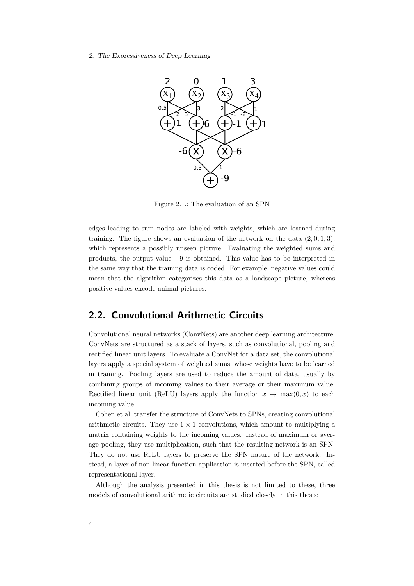<span id="page-13-1"></span>

Figure 2.1.: The evaluation of an SPN

edges leading to sum nodes are labeled with weights, which are learned during training. The figure shows an evaluation of the network on the data  $(2, 0, 1, 3)$ , which represents a possibly unseen picture. Evaluating the weighted sums and products, the output value −9 is obtained. This value has to be interpreted in the same way that the training data is coded. For example, negative values could mean that the algorithm categorizes this data as a landscape picture, whereas positive values encode animal pictures.

### <span id="page-13-0"></span>2.2. Convolutional Arithmetic Circuits

Convolutional neural networks (ConvNets) are another deep learning architecture. ConvNets are structured as a stack of layers, such as convolutional, pooling and rectified linear unit layers. To evaluate a ConvNet for a data set, the convolutional layers apply a special system of weighted sums, whose weights have to be learned in training. Pooling layers are used to reduce the amount of data, usually by combining groups of incoming values to their average or their maximum value. Rectified linear unit (ReLU) layers apply the function  $x \mapsto \max(0, x)$  to each incoming value.

Cohen et al. transfer the structure of ConvNets to SPNs, creating convolutional arithmetic circuits. They use  $1 \times 1$  convolutions, which amount to multiplying a matrix containing weights to the incoming values. Instead of maximum or average pooling, they use multiplication, such that the resulting network is an SPN. They do not use ReLU layers to preserve the SPN nature of the network. Instead, a layer of non-linear function application is inserted before the SPN, called representational layer.

Although the analysis presented in this thesis is not limited to these, three models of convolutional arithmetic circuits are studied closely in this thesis: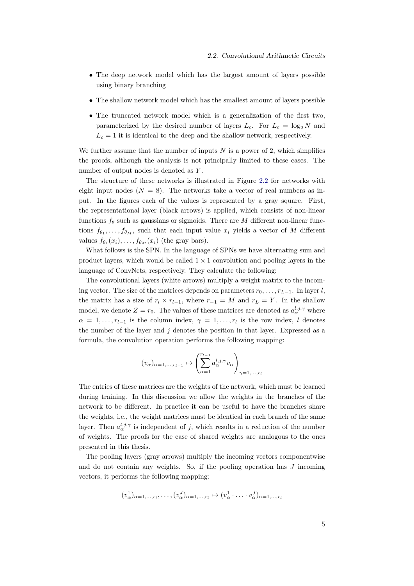- The deep network model which has the largest amount of layers possible using binary branching
- The shallow network model which has the smallest amount of layers possible
- The truncated network model which is a generalization of the first two, parameterized by the desired number of layers  $L_c$ . For  $L_c = \log_2 N$  and  $L_c = 1$  it is identical to the deep and the shallow network, respectively.

We further assume that the number of inputs  $N$  is a power of 2, which simplifies the proofs, although the analysis is not principally limited to these cases. The number of output nodes is denoted as Y.

The structure of these networks is illustrated in Figure [2.2](#page-15-0) for networks with eight input nodes  $(N = 8)$ . The networks take a vector of real numbers as input. In the figures each of the values is represented by a gray square. First, the representational layer (black arrows) is applied, which consists of non-linear functions  $f_\theta$  such as gaussians or sigmoids. There are M different non-linear functions  $f_{\theta_1}, \ldots, f_{\theta_M}$ , such that each input value  $x_i$  yields a vector of M different values  $f_{\theta_1}(x_i), \ldots, f_{\theta_M}(x_i)$  (the gray bars).

What follows is the SPN. In the language of SPNs we have alternating sum and product layers, which would be called  $1 \times 1$  convolution and pooling layers in the language of ConvNets, respectively. They calculate the following:

The convolutional layers (white arrows) multiply a weight matrix to the incoming vector. The size of the matrices depends on parameters  $r_0, \ldots, r_{L-1}$ . In layer l, the matrix has a size of  $r_l \times r_{l-1}$ , where  $r_{-1} = M$  and  $r_L = Y$ . In the shallow model, we denote  $Z = r_0$ . The values of these matrices are denoted as  $a_{\alpha}^{l,j,\gamma}$  where  $\alpha = 1, \ldots, r_{l-1}$  is the column index,  $\gamma = 1, \ldots, r_l$  is the row index, l denotes the number of the layer and  $j$  denotes the position in that layer. Expressed as a formula, the convolution operation performs the following mapping:

$$
(v_{\alpha})_{\alpha=1,\dots,r_{l-1}} \mapsto \left(\sum_{\alpha=1}^{r_{l-1}} a_{\alpha}^{l,j,\gamma} v_{\alpha}\right)_{\gamma=1,\dots,r_l}
$$

The entries of these matrices are the weights of the network, which must be learned during training. In this discussion we allow the weights in the branches of the network to be different. In practice it can be useful to have the branches share the weights, i.e., the weight matrices must be identical in each branch of the same layer. Then  $a_{\alpha}^{l,j,\gamma}$  is independent of j, which results in a reduction of the number of weights. The proofs for the case of shared weights are analogous to the ones presented in this thesis.

The pooling layers (gray arrows) multiply the incoming vectors componentwise and do not contain any weights. So, if the pooling operation has  $J$  incoming vectors, it performs the following mapping:

$$
(v_\alpha^1)_{\alpha=1,\ldots,r_l},\ldots,(v_\alpha^J)_{\alpha=1,\ldots,r_l}\mapsto (v_\alpha^1\cdot\ldots\cdot v_\alpha^J)_{\alpha=1,\ldots,r_l}
$$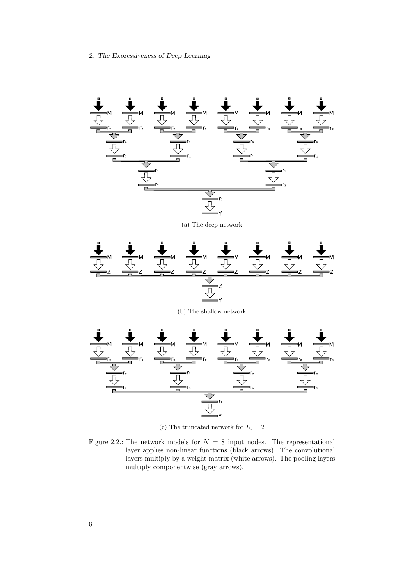<span id="page-15-0"></span>

(c) The truncated network for  $L_c=2$ 

Figure 2.2.: The network models for  $N = 8$  input nodes. The representational layer applies non-linear functions (black arrows). The convolutional layers multiply by a weight matrix (white arrows). The pooling layers multiply componentwise (gray arrows).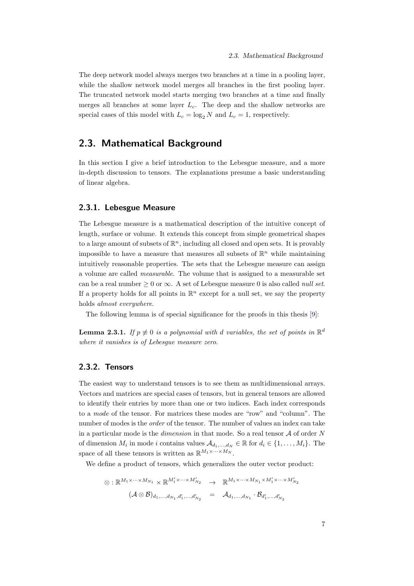The deep network model always merges two branches at a time in a pooling layer, while the shallow network model merges all branches in the first pooling layer. The truncated network model starts merging two branches at a time and finally merges all branches at some layer  $L_c$ . The deep and the shallow networks are special cases of this model with  $L_c = \log_2 N$  and  $L_c = 1$ , respectively.

### <span id="page-16-0"></span>2.3. Mathematical Background

In this section I give a brief introduction to the Lebesgue measure, and a more in-depth discussion to tensors. The explanations presume a basic understanding of linear algebra.

#### <span id="page-16-1"></span>2.3.1. Lebesgue Measure

The Lebesgue measure is a mathematical description of the intuitive concept of length, surface or volume. It extends this concept from simple geometrical shapes to a large amount of subsets of  $\mathbb{R}^n$ , including all closed and open sets. It is provably impossible to have a measure that measures all subsets of  $\mathbb{R}^n$  while maintaining intuitively reasonable properties. The sets that the Lebesgue measure can assign a volume are called measurable. The volume that is assigned to a measurable set can be a real number  $\geq 0$  or  $\infty$ . A set of Lebesgue measure 0 is also called *null set.* If a property holds for all points in  $\mathbb{R}^n$  except for a null set, we say the property holds almost everywhere.

The following lemma is of special significance for the proofs in this thesis [\[9\]](#page-76-1):

<span id="page-16-3"></span>**Lemma 2.3.1.** If  $p \neq 0$  is a polynomial with d variables, the set of points in  $\mathbb{R}^d$ where it vanishes is of Lebesgue measure zero.

#### <span id="page-16-2"></span>2.3.2. Tensors

The easiest way to understand tensors is to see them as multidimensional arrays. Vectors and matrices are special cases of tensors, but in general tensors are allowed to identify their entries by more than one or two indices. Each index corresponds to a mode of the tensor. For matrices these modes are "row" and "column". The number of modes is the *order* of the tensor. The number of values an index can take in a particular mode is the *dimension* in that mode. So a real tensor  $A$  of order N of dimension  $M_i$  in mode i contains values  $\mathcal{A}_{d_1,\dots,d_N} \in \mathbb{R}$  for  $d_i \in \{1,\dots,M_i\}$ . The space of all these tensors is written as  $\mathbb{R}^{M_1 \times \cdots \times M_N}$ .

We define a product of tensors, which generalizes the outer vector product:

$$
\otimes : \mathbb{R}^{M_1 \times \cdots \times M_{N_1}} \times \mathbb{R}^{M'_1 \times \cdots \times M'_{N_2}} \rightarrow \mathbb{R}^{M_1 \times \cdots \times M_{N_1} \times M'_1 \times \cdots \times M'_{N_2}}
$$
  

$$
(\mathcal{A} \otimes \mathcal{B})_{d_1, \ldots, d_{N_1}, d'_1, \ldots, d'_{N_2}} = \mathcal{A}_{d_1, \ldots, d_{N_1}} \cdot \mathcal{B}_{d'_1, \ldots, d'_{N_2}}
$$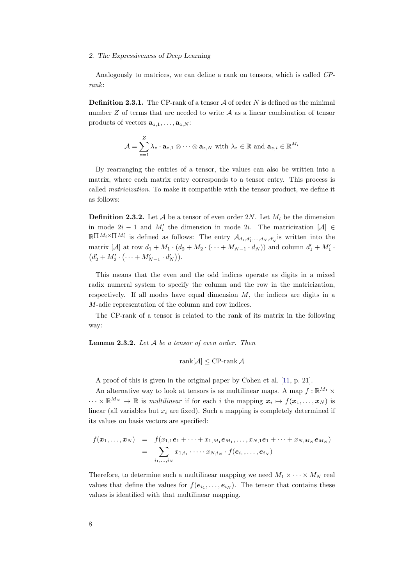Analogously to matrices, we can define a rank on tensors, which is called CPrank:

<span id="page-17-1"></span>**Definition 2.3.1.** The CP-rank of a tensor  $A$  of order  $N$  is defined as the minimal number  $Z$  of terms that are needed to write  $A$  as a linear combination of tensor products of vectors  $\mathbf{a}_{z,1}, \ldots, \mathbf{a}_{z,N}$ :

$$
\mathcal{A} = \sum_{z=1}^{Z} \lambda_z \cdot \mathbf{a}_{z,1} \otimes \cdots \otimes \mathbf{a}_{z,N} \text{ with } \lambda_z \in \mathbb{R} \text{ and } \mathbf{a}_{z,i} \in \mathbb{R}^{M_i}
$$

By rearranging the entries of a tensor, the values can also be written into a matrix, where each matrix entry corresponds to a tensor entry. This process is called matricization. To make it compatible with the tensor product, we define it as follows:

**Definition 2.3.2.** Let A be a tensor of even order 2N. Let  $M_i$  be the dimension in mode  $2i - 1$  and  $M'_i$  the dimension in mode 2i. The matricization [A] ∈  $\mathbb{R} \Pi^{M_i \times \Pi M'_i}$  is defined as follows: The entry  $\mathcal{A}_{d_1, d'_1, ..., d_N, d'_N}$  is written into the matrix [A] at row  $d_1 + M_1 \cdot (d_2 + M_2 \cdot (\dots + M_{N-1} \cdot d_N))$  and column  $d'_1 + M'_1 \cdot$  $(d'_2 + M'_2 \cdot (\dots + M'_{N-1} \cdot d'_N)).$ 

This means that the even and the odd indices operate as digits in a mixed radix numeral system to specify the column and the row in the matricization, respectively. If all modes have equal dimension  $M$ , the indices are digits in a M-adic representation of the column and row indices.

The CP-rank of a tensor is related to the rank of its matrix in the following way:

<span id="page-17-0"></span>**Lemma 2.3.2.** Let  $A$  be a tensor of even order. Then

$$
rank[\mathcal{A}] \leq CP\text{-rank }\mathcal{A}
$$

A proof of this is given in the original paper by Cohen et al. [\[11,](#page-76-0) p. 21].

An alternative way to look at tensors is as multilinear maps. A map  $f : \mathbb{R}^{M_1} \times$  $\cdots \times \mathbb{R}^{M_N} \to \mathbb{R}$  is multilinear if for each i the mapping  $x_i \mapsto f(x_1,\ldots,x_N)$  is linear (all variables but  $x_i$  are fixed). Such a mapping is completely determined if its values on basis vectors are specified:

$$
f(\boldsymbol{x}_1,\ldots,\boldsymbol{x}_N) = f(x_{1,1}\boldsymbol{e}_1 + \cdots + x_{1,M_1}\boldsymbol{e}_{M_1},\ldots,x_{N,1}\boldsymbol{e}_1 + \cdots + x_{N,M_N}\boldsymbol{e}_{M_N})
$$
  
= 
$$
\sum_{i_1,\ldots,i_N} x_{1,i_1} \cdot \cdots \cdot x_{N,i_N} \cdot f(\boldsymbol{e}_{i_1},\ldots,\boldsymbol{e}_{i_N})
$$

Therefore, to determine such a multilinear mapping we need  $M_1 \times \cdots \times M_N$  real values that define the values for  $f(e_{i_1},...,e_{i_N})$ . The tensor that contains these values is identified with that multilinear mapping.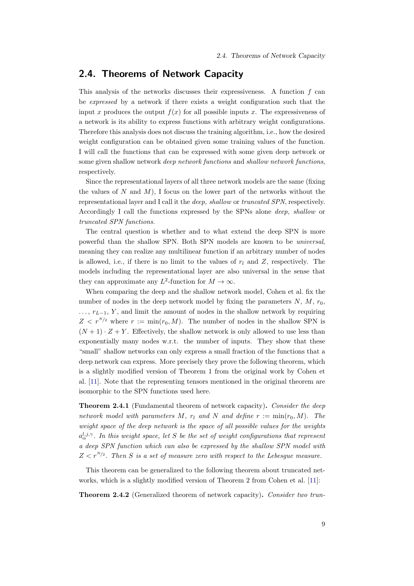### <span id="page-18-0"></span>2.4. Theorems of Network Capacity

This analysis of the networks discusses their expressiveness. A function  $f$  can be expressed by a network if there exists a weight configuration such that the input x produces the output  $f(x)$  for all possible inputs x. The expressiveness of a network is its ability to express functions with arbitrary weight configurations. Therefore this analysis does not discuss the training algorithm, i.e., how the desired weight configuration can be obtained given some training values of the function. I will call the functions that can be expressed with some given deep network or some given shallow network deep network functions and shallow network functions, respectively.

Since the representational layers of all three network models are the same (fixing the values of N and  $M$ ), I focus on the lower part of the networks without the representational layer and I call it the deep, shallow or truncated SPN, respectively. Accordingly I call the functions expressed by the SPNs alone deep, shallow or truncated SPN functions.

The central question is whether and to what extend the deep SPN is more powerful than the shallow SPN. Both SPN models are known to be universal, meaning they can realize any multilinear function if an arbitrary number of nodes is allowed, i.e., if there is no limit to the values of  $r_l$  and Z, respectively. The models including the representational layer are also universal in the sense that they can approximate any  $L^2$ -function for  $M \to \infty$ .

When comparing the deep and the shallow network model, Cohen et al. fix the number of nodes in the deep network model by fixing the parameters  $N, M, r_0$ ,  $\ldots$ ,  $r_{L-1}$ , Y, and limit the amount of nodes in the shallow network by requiring  $Z \leq r^{N/2}$  where  $r := \min(r_0, M)$ . The number of nodes in the shallow SPN is  $(N+1) \cdot Z + Y$ . Effectively, the shallow network is only allowed to use less than exponentially many nodes w.r.t. the number of inputs. They show that these "small" shallow networks can only express a small fraction of the functions that a deep network can express. More precisely they prove the following theorem, which is a slightly modified version of Theorem 1 from the original work by Cohen et al. [\[11\]](#page-76-0). Note that the representing tensors mentioned in the original theorem are isomorphic to the SPN functions used here.

<span id="page-18-1"></span>Theorem 2.4.1 (Fundamental theorem of network capacity). Consider the deep network model with parameters M,  $r_l$  and N and define  $r := min(r_0, M)$ . The weight space of the deep network is the space of all possible values for the weights  $a_{\alpha}^{l,j,\gamma}$ . In this weight space, let S be the set of weight configurations that represent a deep SPN function which can also be expressed by the shallow SPN model with  $Z \lt r^{N/2}$ . Then S is a set of measure zero with respect to the Lebesgue measure.

This theorem can be generalized to the following theorem about truncated networks, which is a slightly modified version of Theorem 2 from Cohen et al. [\[11\]](#page-76-0):

<span id="page-18-2"></span>Theorem 2.4.2 (Generalized theorem of network capacity). Consider two trun-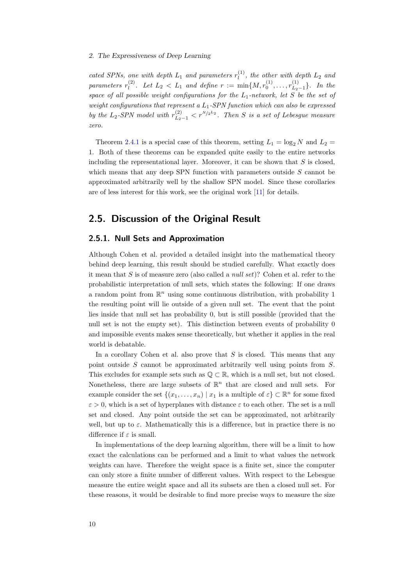cated SPNs, one with depth  $L_1$  and parameters  $r_l^{(1)}$  $\ell_l^{(1)}$ , the other with depth  $L_2$  and parameters  $r_l^{(2)}$ (2). Let  $L_2 < L_1$  and define  $r := \min\{M, r_0^{(1)}, \ldots, r_{L_2}^{(1)}\}$  $\{L_{2-1}^{(1)}\}$ . In the space of all possible weight configurations for the  $L_1$ -network, let S be the set of weight configurations that represent a  $L_1$ -SPN function which can also be expressed by the L<sub>2</sub>-SPN model with  $r_{L_2-1}^{(2)} < r^{N/2^{L_2}}$ . Then S is a set of Lebesgue measure zero.

Theorem [2.4.1](#page-18-1) is a special case of this theorem, setting  $L_1 = \log_2 N$  and  $L_2 =$ 1. Both of these theorems can be expanded quite easily to the entire networks including the representational layer. Moreover, it can be shown that  $S$  is closed, which means that any deep SPN function with parameters outside  $S$  cannot be approximated arbitrarily well by the shallow SPN model. Since these corollaries are of less interest for this work, see the original work [\[11\]](#page-76-0) for details.

### <span id="page-19-0"></span>2.5. Discussion of the Original Result

#### <span id="page-19-1"></span>2.5.1. Null Sets and Approximation

Although Cohen et al. provided a detailed insight into the mathematical theory behind deep learning, this result should be studied carefully. What exactly does it mean that  $S$  is of measure zero (also called a *null set*)? Cohen et al. refer to the probabilistic interpretation of null sets, which states the following: If one draws a random point from  $\mathbb{R}^n$  using some continuous distribution, with probability 1 the resulting point will lie outside of a given null set. The event that the point lies inside that null set has probability 0, but is still possible (provided that the null set is not the empty set). This distinction between events of probability 0 and impossible events makes sense theoretically, but whether it applies in the real world is debatable.

In a corollary Cohen et al. also prove that  $S$  is closed. This means that any point outside S cannot be approximated arbitrarily well using points from S. This excludes for example sets such as  $\mathbb{Q} \subset \mathbb{R}$ , which is a null set, but not closed. Nonetheless, there are large subsets of  $\mathbb{R}^n$  that are closed and null sets. For example consider the set  $\{(x_1, \ldots, x_n) \mid x_1 \text{ is a multiple of } \varepsilon\} \subset \mathbb{R}^n$  for some fixed  $\varepsilon > 0$ , which is a set of hyperplanes with distance  $\varepsilon$  to each other. The set is a null set and closed. Any point outside the set can be approximated, not arbitrarily well, but up to  $\varepsilon$ . Mathematically this is a difference, but in practice there is no difference if  $\varepsilon$  is small.

In implementations of the deep learning algorithm, there will be a limit to how exact the calculations can be performed and a limit to what values the network weights can have. Therefore the weight space is a finite set, since the computer can only store a finite number of different values. With respect to the Lebesgue measure the entire weight space and all its subsets are then a closed null set. For these reasons, it would be desirable to find more precise ways to measure the size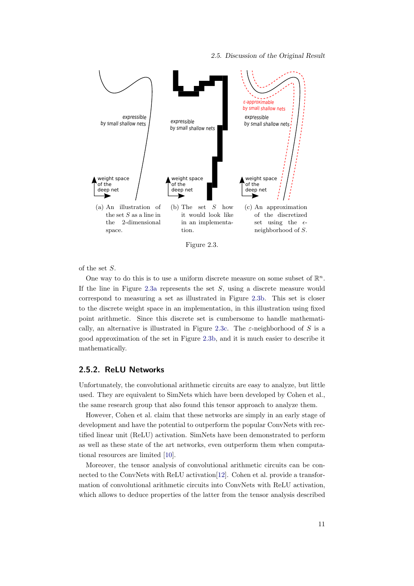2.5. Discussion of the Original Result

<span id="page-20-1"></span>

Figure 2.3.

of the set S.

One way to do this is to use a uniform discrete measure on some subset of  $\mathbb{R}^n$ . If the line in Figure [2.3a](#page-20-1) represents the set  $S$ , using a discrete measure would correspond to measuring a set as illustrated in Figure [2.3b.](#page-20-1) This set is closer to the discrete weight space in an implementation, in this illustration using fixed point arithmetic. Since this discrete set is cumbersome to handle mathemati-cally, an alternative is illustrated in Figure [2.3c.](#page-20-1) The  $\varepsilon$ -neighborhood of S is a good approximation of the set in Figure [2.3b,](#page-20-1) and it is much easier to describe it mathematically.

#### <span id="page-20-0"></span>2.5.2. ReLU Networks

Unfortunately, the convolutional arithmetic circuits are easy to analyze, but little used. They are equivalent to SimNets which have been developed by Cohen et al., the same research group that also found this tensor approach to analyze them.

However, Cohen et al. claim that these networks are simply in an early stage of development and have the potential to outperform the popular ConvNets with rectified linear unit (ReLU) activation. SimNets have been demonstrated to perform as well as these state of the art networks, even outperform them when computational resources are limited [\[10\]](#page-76-2).

Moreover, the tensor analysis of convolutional arithmetic circuits can be connected to the ConvNets with ReLU activation[\[12\]](#page-76-3). Cohen et al. provide a transformation of convolutional arithmetic circuits into ConvNets with ReLU activation, which allows to deduce properties of the latter from the tensor analysis described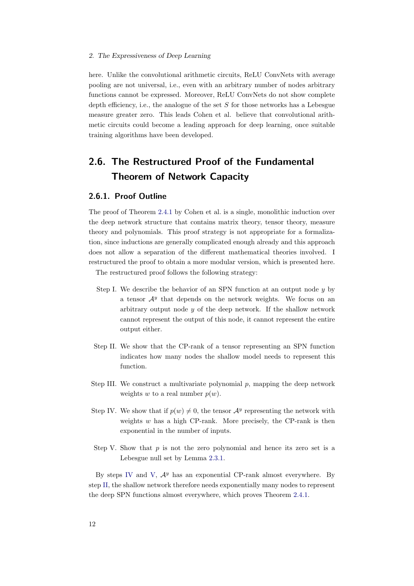here. Unlike the convolutional arithmetic circuits, ReLU ConvNets with average pooling are not universal, i.e., even with an arbitrary number of nodes arbitrary functions cannot be expressed. Moreover, ReLU ConvNets do not show complete depth efficiency, i.e., the analogue of the set  $S$  for those networks has a Lebesgue measure greater zero. This leads Cohen et al. believe that convolutional arithmetic circuits could become a leading approach for deep learning, once suitable training algorithms have been developed.

## <span id="page-21-0"></span>2.6. The Restructured Proof of the Fundamental Theorem of Network Capacity

#### <span id="page-21-1"></span>2.6.1. Proof Outline

The proof of Theorem [2.4.1](#page-18-1) by Cohen et al. is a single, monolithic induction over the deep network structure that contains matrix theory, tensor theory, measure theory and polynomials. This proof strategy is not appropriate for a formalization, since inductions are generally complicated enough already and this approach does not allow a separation of the different mathematical theories involved. I restructured the proof to obtain a more modular version, which is presented here.

The restructured proof follows the following strategy:

- <span id="page-21-5"></span>Step I. We describe the behavior of an SPN function at an output node  $y$  by a tensor  $\mathcal{A}^y$  that depends on the network weights. We focus on an arbitrary output node  $y$  of the deep network. If the shallow network cannot represent the output of this node, it cannot represent the entire output either.
- <span id="page-21-4"></span>Step II. We show that the CP-rank of a tensor representing an SPN function indicates how many nodes the shallow model needs to represent this function.
- <span id="page-21-6"></span>Step III. We construct a multivariate polynomial  $p$ , mapping the deep network weights w to a real number  $p(w)$ .
- <span id="page-21-2"></span>Step IV. We show that if  $p(w) \neq 0$ , the tensor  $\mathcal{A}^y$  representing the network with weights  $w$  has a high CP-rank. More precisely, the CP-rank is then exponential in the number of inputs.
- <span id="page-21-3"></span>Step V. Show that  $p$  is not the zero polynomial and hence its zero set is a Lebesgue null set by Lemma [2.3.1.](#page-16-3)

By steps [IV](#page-21-2) and [V,](#page-21-3)  $\mathcal{A}^y$  has an exponential CP-rank almost everywhere. By step [II,](#page-21-4) the shallow network therefore needs exponentially many nodes to represent the deep SPN functions almost everywhere, which proves Theorem [2.4.1.](#page-18-1)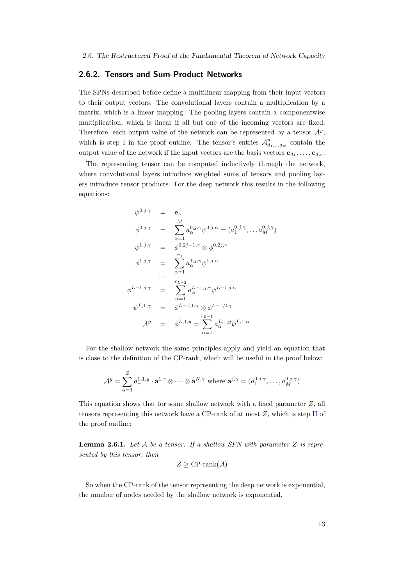#### <span id="page-22-0"></span>2.6.2. Tensors and Sum-Product Networks

The SPNs described before define a multilinear mapping from their input vectors to their output vectors: The convolutional layers contain a multiplication by a matrix, which is a linear mapping. The pooling layers contain a componentwise multiplication, which is linear if all but one of the incoming vectors are fixed. Therefore, each output value of the network can be represented by a tensor  $\mathcal{A}^y$ , which is step [I](#page-21-5) in the proof outline. The tensor's entries  $\mathcal{A}_{d_1,...,d_N}^y$  contain the output value of the network if the input vectors are the basis vectors  $e_{d_1}, \ldots, e_{d_N}$ .

The representing tensor can be computed inductively through the network, where convolutional layers introduce weighted sums of tensors and pooling layers introduce tensor products. For the deep network this results in the following equations:

$$
\psi^{0,j,\gamma} = \mathbf{e}_{\gamma}
$$
\n
$$
\phi^{0,j,\gamma} = \sum_{\alpha=1}^{M} a_{\alpha}^{0,j,\gamma} \psi^{0,j,\alpha} = (a_1^{0,j,\gamma}, \dots, a_M^{0,j,\gamma})
$$
\n
$$
\psi^{1,j,\gamma} = \phi^{0,2j-1,\gamma} \otimes \phi^{0,2j,\gamma}
$$
\n
$$
\phi^{1,j,\gamma} = \sum_{\alpha=1}^{r_0} a_{\alpha}^{1,j,\gamma} \psi^{1,j,\alpha}
$$
\n
$$
\cdots \qquad \cdots \qquad \cdots \qquad \cdots \qquad \cdots \qquad \cdots \qquad \cdots \qquad \cdots \qquad \cdots \qquad \cdots \qquad \cdots \qquad \cdots \qquad \cdots \qquad \cdots \qquad \cdots \qquad \cdots \qquad \cdots \qquad \cdots \qquad \cdots \qquad \cdots \qquad \cdots \qquad \cdots \qquad \cdots \qquad \cdots \qquad \cdots \qquad \cdots \qquad \cdots \qquad \cdots \qquad \cdots \qquad \cdots \qquad \cdots \qquad \cdots \qquad \cdots \qquad \cdots \qquad \cdots \qquad \cdots \qquad \cdots \qquad \cdots \qquad \cdots \qquad \cdots \qquad \cdots \qquad \cdots \qquad \cdots \qquad \cdots \qquad \cdots \qquad \cdots \qquad \cdots \qquad \cdots \qquad \cdots \qquad \cdots \qquad \cdots \qquad \cdots \qquad \cdots \qquad \cdots \qquad \cdots \qquad \cdots \qquad \cdots \qquad \cdots \qquad \cdots \qquad \cdots \qquad \cdots \qquad \cdots \qquad \cdots \qquad \cdots \qquad \cdots \qquad \cdots \qquad \cdots \qquad \cdots \qquad \cdots \qquad \cdots \qquad \cdots \qquad \cdots \qquad \cdots \qquad \cdots \qquad \cdots \qquad \cdots \qquad \cdots \qquad \cdots \qquad \cdots \qquad \cdots \qquad \cdots \qquad \cdots \qquad \cdots \qquad \cdots \qquad \cdots \qquad \cdots \qquad \cdots \qquad \cdots \qquad \cdots \qquad \cdots \qquad \cdots \qquad \cdots \qquad \cdots \qquad \cdots \qquad \cdots \qquad \cdots
$$

For the shallow network the same principles apply and yield an equation that is close to the definition of the CP-rank, which will be useful in the proof below:

$$
\mathcal{A}^y = \sum_{\alpha=1}^Z a_{\alpha}^{1,1,y} \cdot \mathbf{a}^{1,\gamma} \otimes \cdots \otimes \mathbf{a}^{N,\gamma} \text{ where } \mathbf{a}^{j,\gamma} = (a_1^{0,j,\gamma}, \dots, a_M^{0,j,\gamma})
$$

This equation shows that for some shallow network with a fixed parameter Z, all tensors representing this network have a CP-rank of at most Z, which is step [II](#page-21-4) of the proof outline:

<span id="page-22-1"></span>**Lemma 2.6.1.** Let  $A$  be a tensor. If a shallow SPN with parameter  $Z$  is represented by this tensor, then

$$
Z \geq \text{CP-rank}(\mathcal{A})
$$

So when the CP-rank of the tensor representing the deep network is exponential, the number of nodes needed by the shallow network is exponential.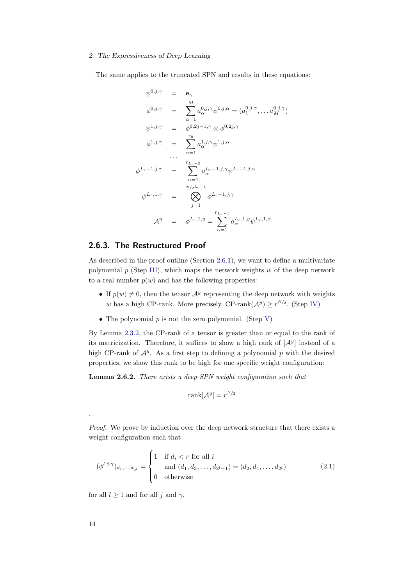The same applies to the truncated SPN and results in these equations:

$$
\psi^{0,j,\gamma} = \mathbf{e}_{\gamma}
$$
\n
$$
\phi^{0,j,\gamma} = \sum_{\alpha=1}^{M} a_{\alpha}^{0,j,\gamma} \psi^{0,j,\alpha} = (a_1^{0,j,\gamma}, \dots, a_M^{0,j,\gamma})
$$
\n
$$
\psi^{1,j,\gamma} = \phi^{0,2j-1,\gamma} \otimes \phi^{0,2j,\gamma}
$$
\n
$$
\phi^{1,j,\gamma} = \sum_{\alpha=1}^{r_0} a_{\alpha}^{1,j,\gamma} \psi^{1,j,\alpha}
$$
\n
$$
\cdots \qquad \cdots \qquad \cdots \qquad \cdots \qquad \cdots \qquad \cdots \qquad \cdots \qquad \cdots \qquad \cdots \qquad \cdots \qquad \cdots \qquad \cdots \qquad \cdots \qquad \cdots \qquad \cdots \qquad \cdots \qquad \cdots \qquad \cdots \qquad \cdots \qquad \cdots \qquad \cdots \qquad \cdots \qquad \cdots \qquad \cdots \qquad \cdots \qquad \cdots \qquad \cdots \qquad \cdots \qquad \cdots \qquad \cdots \qquad \cdots \qquad \cdots \qquad \cdots \qquad \cdots \qquad \cdots \qquad \cdots \qquad \cdots \qquad \cdots \qquad \cdots \qquad \cdots \qquad \cdots \qquad \cdots \qquad \cdots \qquad \cdots \qquad \cdots \qquad \cdots \qquad \cdots \qquad \cdots \qquad \cdots \qquad \cdots \qquad \cdots \qquad \cdots \qquad \cdots \qquad \cdots \qquad \cdots \qquad \cdots \qquad \cdots \qquad \cdots \qquad \cdots \qquad \cdots \qquad \cdots \qquad \cdots \qquad \cdots \qquad \cdots \qquad \cdots \qquad \cdots \qquad \cdots \qquad \cdots \qquad \cdots \qquad \cdots \qquad \cdots \qquad \cdots \qquad \cdots \qquad \cdots \qquad \cdots \qquad \cdots \qquad \cdots \qquad \cdots \qquad \cdots \qquad \cdots \qquad \cdots \qquad \cdots \qquad \cdots \qquad \cdots \qquad \cdots \qquad \cdots \qquad \cdots \qquad \cdots \qquad \cdots \qquad \cdots \qquad \cdots \qquad \cdots \qquad \cdots \qquad \cdots \qquad \cdots \qquad \cdots
$$

#### <span id="page-23-0"></span>2.6.3. The Restructured Proof

As described in the proof outline (Section [2.6.1\)](#page-21-1), we want to define a multivariate polynomial  $p$  (Step [III\)](#page-21-6), which maps the network weights  $w$  of the deep network to a real number  $p(w)$  and has the following properties:

- If  $p(w) \neq 0$ , then the tensor  $\mathcal{A}^y$  representing the deep network with weights w has a high CP-rank. More precisely, CP-rank $(\mathcal{A}^y) \geq r^{N/2}$ . (Step [IV\)](#page-21-2)
- The polynomial  $p$  is not the zero polynomial. (Step [V\)](#page-21-3)

By Lemma [2.3.2,](#page-17-0) the CP-rank of a tensor is greater than or equal to the rank of its matricization. Therefore, it suffices to show a high rank of  $[\mathcal{A}^y]$  instead of a high CP-rank of  $\mathcal{A}^y$ . As a first step to defining a polynomial p with the desired properties, we show this rank to be high for one specific weight configuration:

<span id="page-23-2"></span>Lemma 2.6.2. There exists a deep SPN weight configuration such that

<span id="page-23-1"></span>
$$
rank[\mathcal{A}^y] = r^{N/2}
$$

Proof. We prove by induction over the deep network structure that there exists a weight configuration such that

$$
(\phi^{l,j,\gamma})_{d_1,\dots,d_{2^l}} = \begin{cases} 1 & \text{if } d_i < r \text{ for all } i \\ \text{and } (d_1, d_3, \dots, d_{2^l-1}) = (d_2, d_4, \dots, d_{2^l}) \\ 0 & \text{otherwise} \end{cases}
$$
(2.1)

for all  $l \geq 1$  and for all j and  $\gamma$ .

.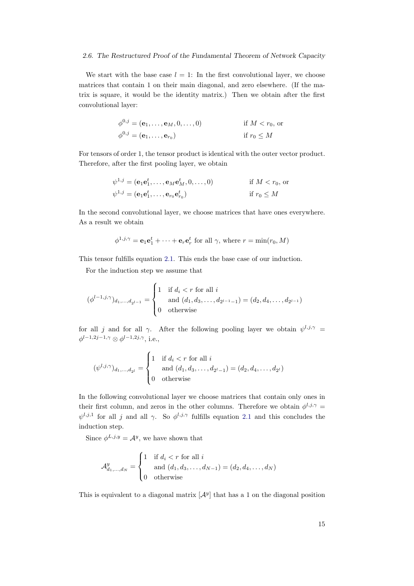#### 2.6. The Restructured Proof of the Fundamental Theorem of Network Capacity

We start with the base case  $l = 1$ : In the first convolutional layer, we choose matrices that contain 1 on their main diagonal, and zero elsewhere. (If the matrix is square, it would be the identity matrix.) Then we obtain after the first convolutional layer:

$$
\phi^{0,j} = (\mathbf{e}_1, \dots, \mathbf{e}_M, 0, \dots, 0)
$$
 if  $M < r_0$ , or  

$$
\phi^{0,j} = (\mathbf{e}_1, \dots, \mathbf{e}_{r_0})
$$
 if  $r_0 \leq M$ 

For tensors of order 1, the tensor product is identical with the outer vector product. Therefore, after the first pooling layer, we obtain

$$
\psi^{1,j} = (\mathbf{e}_1 \mathbf{e}_1^t, \dots, \mathbf{e}_M \mathbf{e}_M^t, 0, \dots, 0) \qquad \text{if } M < r_0, \text{ or}
$$
  

$$
\psi^{1,j} = (\mathbf{e}_1 \mathbf{e}_1^t, \dots, \mathbf{e}_{r_0} \mathbf{e}_{r_0}^t) \qquad \text{if } r_0 \le M
$$

In the second convolutional layer, we choose matrices that have ones everywhere. As a result we obtain

$$
\phi^{1,j,\gamma} = \mathbf{e}_1 \mathbf{e}_1^t + \cdots + \mathbf{e}_r \mathbf{e}_r^t
$$
 for all  $\gamma$ , where  $r = \min(r_0, M)$ 

This tensor fulfills equation [2.1.](#page-23-1) This ends the base case of our induction.

For the induction step we assume that

$$
(\phi^{l-1,j,\gamma})_{d_1,\dots,d_{2^{l-1}}} = \begin{cases} 1 & \text{if } d_i < r \text{ for all } i \\ \text{and } (d_1, d_3, \dots, d_{2^{l-1}-1}) = (d_2, d_4, \dots, d_{2^{l-1}}) \\ 0 & \text{otherwise} \end{cases}
$$

for all j and for all  $\gamma$ . After the following pooling layer we obtain  $\psi^{l,j,\gamma} =$  $\phi^{l-1,2j-1,\gamma} \otimes \phi^{l-1,2j,\gamma}$ , i.e.,

$$
(\psi^{l,j,\gamma})_{d_1,\dots,d_{2^l}} = \begin{cases} 1 & \text{if } d_i < r \text{ for all } i \\ \text{and } (d_1, d_3, \dots, d_{2^l-1}) = (d_2, d_4, \dots, d_{2^l}) \\ 0 & \text{otherwise} \end{cases}
$$

In the following convolutional layer we choose matrices that contain only ones in their first column, and zeros in the other columns. Therefore we obtain  $\phi^{l,j,\gamma} =$  $\psi^{l,j,1}$  for all j and all  $\gamma$ . So  $\phi^{l,j,\gamma}$  fulfills equation [2.1](#page-23-1) and this concludes the induction step.

Since  $\phi^{L,j,y} = A^y$ , we have shown that

$$
\mathcal{A}_{d_1,...,d_N}^y = \begin{cases} 1 & \text{if } d_i < r \text{ for all } i \\ & \text{and } (d_1, d_3,..., d_{N-1}) = (d_2, d_4,..., d_N) \\ 0 & \text{otherwise} \end{cases}
$$

This is equivalent to a diagonal matrix  $[\mathcal{A}^y]$  that has a 1 on the diagonal position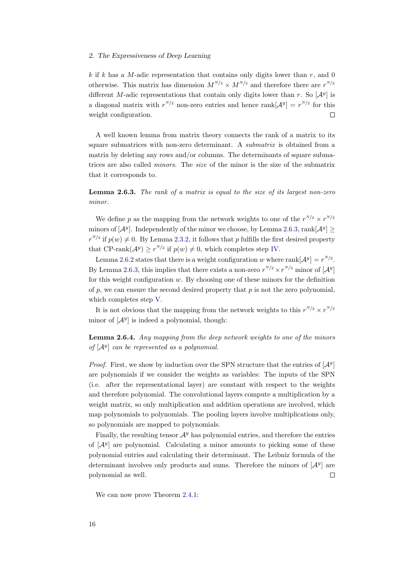k if k has a M-adic representation that contains only digits lower than  $r$ , and 0 otherwise. This matrix has dimension  $M^{N/2} \times M^{N/2}$  and therefore there are  $r^{N/2}$ different M-adic representations that contain only digits lower than r. So  $[\mathcal{A}^y]$  is a diagonal matrix with  $r^{N/2}$  non-zero entries and hence rank  $\left[\mathcal{A}^y\right] = r^{N/2}$  for this weight configuration.  $\Box$ 

A well known lemma from matrix theory connects the rank of a matrix to its square submatrices with non-zero determinant. A submatrix is obtained from a matrix by deleting any rows and/or columns. The determinants of square submatrices are also called minors. The size of the minor is the size of the submatrix that it corresponds to.

<span id="page-25-0"></span>Lemma 2.6.3. The rank of a matrix is equal to the size of its largest non-zero minor.

We define p as the mapping from the network weights to one of the  $r^{N/2} \times r^{N/2}$ minors of  $[\mathcal{A}^y]$ . Independently of the minor we choose, by Lemma [2.6.3,](#page-25-0) rank $[\mathcal{A}^y] \geq$  $r^{N/2}$  if  $p(w) \neq 0$ . By Lemma [2.3.2,](#page-17-0) it follows that p fulfills the first desired property that CP-rank $(A^y) \ge r^{N/2}$  if  $p(w) \ne 0$ , which completes step [IV.](#page-21-2)

Lemma [2.6.2](#page-23-2) states that there is a weight configuration w where rank  $[\mathcal{A}^y] = r^{N/2}$ . By Lemma [2.6.3,](#page-25-0) this implies that there exists a non-zero  $r^{N/2} \times r^{N/2}$  minor of  $[\mathcal{A}^y]$ for this weight configuration  $w$ . By choosing one of these minors for the definition of p, we can ensure the second desired property that  $p$  is not the zero polynomial, which completes step [V.](#page-21-3)

It is not obvious that the mapping from the network weights to this  $r^{N/2} \times r^{N/2}$ minor of  $[\mathcal{A}^y]$  is indeed a polynomial, though:

<span id="page-25-1"></span>Lemma 2.6.4. Any mapping from the deep network weights to one of the minors of  $[A^y]$  can be represented as a polynomial.

*Proof.* First, we show by induction over the SPN structure that the entries of  $[\mathcal{A}^y]$ are polynomials if we consider the weights as variables: The inputs of the SPN (i.e. after the representational layer) are constant with respect to the weights and therefore polynomial. The convolutional layers compute a multiplication by a weight matrix, so only multiplication and addition operations are involved, which map polynomials to polynomials. The pooling layers involve multiplications only, so polynomials are mapped to polynomials.

Finally, the resulting tensor  $\mathcal{A}^y$  has polynomial entries, and therefore the entries of  $[\mathcal{A}^y]$  are polynomial. Calculating a minor amounts to picking some of these polynomial entries and calculating their determinant. The Leibniz formula of the determinant involves only products and sums. Therefore the minors of  $[\mathcal{A}^y]$  are polynomial as well.  $\Box$ 

We can now prove Theorem [2.4.1:](#page-18-1)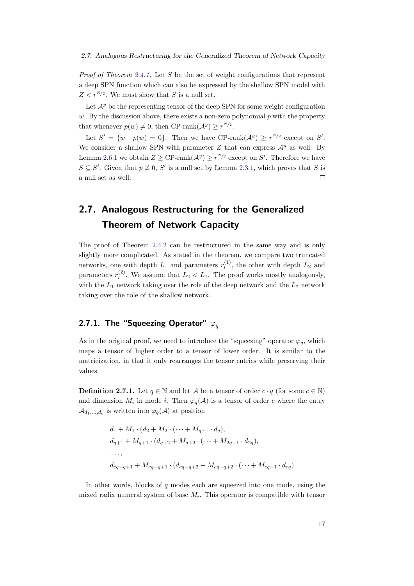#### 2.7. Analogous Restructuring for the Generalized Theorem of Network Capacity

*Proof of Theorem [2.4.1.](#page-18-1)* Let S be the set of weight configurations that represent a deep SPN function which can also be expressed by the shallow SPN model with  $Z < r^{N/2}$ . We must show that S is a null set.

Let  $\mathcal{A}^y$  be the representing tensor of the deep SPN for some weight configuration w. By the discussion above, there exists a non-zero polynomial  $p$  with the property that whenever  $p(w) \neq 0$ , then CP-rank $(\mathcal{A}^y) \geq r^{N/2}$ .

Let  $S' = \{w \mid p(w) = 0\}$ . Then we have CP-rank $(A^y) \geq r^{N/2}$  except on S'. We consider a shallow SPN with parameter  $Z$  that can express  $\mathcal{A}^y$  as well. By Lemma [2.6.1](#page-22-1) we obtain  $Z \geq \text{CP-rank}(\mathcal{A}^y) \geq r^{N/2}$  except on S'. Therefore we have  $S \subseteq S'$ . Given that  $p \neq 0$ , S' is a null set by Lemma [2.3.1,](#page-16-3) which proves that S is a null set as well.  $\Box$ 

## <span id="page-26-0"></span>2.7. Analogous Restructuring for the Generalized Theorem of Network Capacity

The proof of Theorem [2.4.2](#page-18-2) can be restructured in the same way and is only slightly more complicated. As stated in the theorem, we compare two truncated networks, one with depth  $L_1$  and parameters  $r_l^{(1)}$  $\ell_l^{(1)}$ , the other with depth  $L_2$  and parameters  $r_l^{(2)}$  $\binom{1}{l}$ . We assume that  $L_2 < L_1$ . The proof works mostly analogously, with the  $L_1$  network taking over the role of the deep network and the  $L_2$  network taking over the role of the shallow network.

### <span id="page-26-1"></span>2.7.1. The "Squeezing Operator"  $\varphi_q$

As in the original proof, we need to introduce the "squeezing" operator  $\varphi_q$ , which maps a tensor of higher order to a tensor of lower order. It is similar to the matricization, in that it only rearranges the tensor entries while preserving their values.

**Definition 2.7.1.** Let  $q \in \mathbb{N}$  and let A be a tensor of order  $c \cdot q$  (for some  $c \in \mathbb{N}$ ) and dimension  $M_i$  in mode i. Then  $\varphi_q(\mathcal{A})$  is a tensor of order c where the entry  $\mathcal{A}_{d_1,\dots,d_c}$  is written into  $\varphi_q(\mathcal{A})$  at position

$$
d_1 + M_1 \cdot (d_2 + M_2 \cdot (\dots + M_{q-1} \cdot d_q)),
$$
  
\n
$$
d_{q+1} + M_{q+1} \cdot (d_{q+2} + M_{q+2} \cdot (\dots + M_{2q-1} \cdot d_{2q}),
$$
  
\n...  
\n
$$
d_{cq-q+1} + M_{cq-q+1} \cdot (d_{cq-q+2} + M_{cq-q+2} \cdot (\dots + M_{cq-1} \cdot d_{cq})
$$

In other words, blocks of  $q$  modes each are squeezed into one mode, using the mixed radix numeral system of base  $M_i$ . This operator is compatible with tensor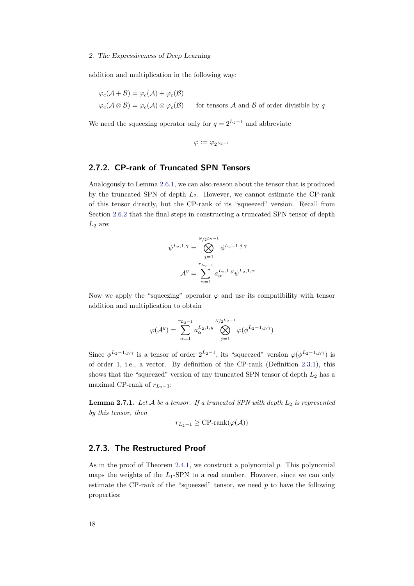addition and multiplication in the following way:

$$
\varphi_c(\mathcal{A} + \mathcal{B}) = \varphi_c(\mathcal{A}) + \varphi_c(\mathcal{B})
$$
  

$$
\varphi_c(\mathcal{A} \otimes \mathcal{B}) = \varphi_c(\mathcal{A}) \otimes \varphi_c(\mathcal{B})
$$
 for tensors  $\mathcal{A}$  and  $\mathcal{B}$  of order divisible by  $q$ 

We need the squeezing operator only for  $q = 2^{L_2-1}$  and abbreviate

$$
\varphi:=\varphi_{2^{L_2-1}}
$$

#### <span id="page-27-0"></span>2.7.2. CP-rank of Truncated SPN Tensors

Analogously to Lemma [2.6.1,](#page-22-1) we can also reason about the tensor that is produced by the truncated SPN of depth  $L_2$ . However, we cannot estimate the CP-rank of this tensor directly, but the CP-rank of its "squeezed" version. Recall from Section [2.6.2](#page-22-0) that the final steps in constructing a truncated SPN tensor of depth  $L_2$  are:

$$
\psi^{L_2,1,\gamma} = \bigotimes_{j=1}^{N/2^{L_2-1}} \phi^{L_2-1,j,\gamma}
$$

$$
\mathcal{A}^y = \sum_{\alpha=1}^{r_{L_2-1}} a_{\alpha}^{L_2,1,y} \psi^{L_2,1,\alpha}
$$

Now we apply the "squeezing" operator  $\varphi$  and use its compatibility with tensor addition and multiplication to obtain

$$
\varphi(\mathcal{A}^y) = \sum_{\alpha=1}^{r_{L_2-1}} a_{\alpha}^{L_2,1,y} \bigotimes_{j=1}^{N/2^{L_2-1}} \varphi(\phi^{L_2-1,j,\gamma})
$$

Since  $\phi^{L_2-1,j,\gamma}$  is a tensor of order  $2^{L_2-1}$ , its "squeezed" version  $\varphi(\phi^{L_2-1,j,\gamma})$  is of order 1, i.e., a vector. By definition of the CP-rank (Definition [2.3.1\)](#page-17-1), this shows that the "squeezed" version of any truncated SPN tensor of depth  $L_2$  has a maximal CP-rank of  $r_{L_2-1}$ :

<span id="page-27-2"></span>**Lemma 2.7.1.** Let  $A$  be a tensor. If a truncated SPN with depth  $L_2$  is represented by this tensor, then

$$
r_{L_2-1} \geq \text{CP-rank}(\varphi(\mathcal{A}))
$$

#### <span id="page-27-1"></span>2.7.3. The Restructured Proof

As in the proof of Theorem [2.4.1,](#page-18-1) we construct a polynomial  $p$ . This polynomial maps the weights of the  $L_1$ -SPN to a real number. However, since we can only estimate the CP-rank of the "squeezed" tensor, we need  $p$  to have the following properties: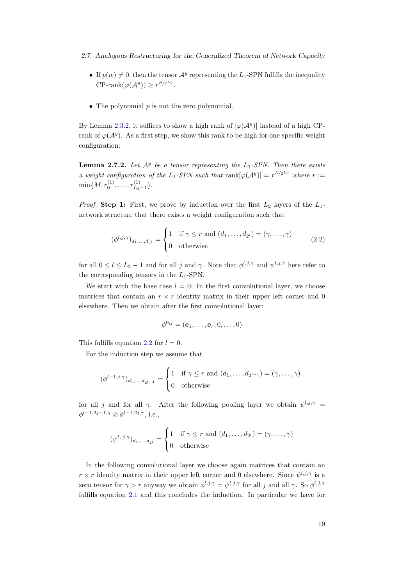- 2.7. Analogous Restructuring for the Generalized Theorem of Network Capacity
	- If  $p(w) \neq 0$ , then the tensor  $\mathcal{A}^y$  representing the L<sub>1</sub>-SPN fulfills the inequality CP-rank $(\varphi(\mathcal{A}^y)) \geq r^{N/2^{L_2}}$ .
	- The polynomial  $p$  is not the zero polynomial.

By Lemma [2.3.2,](#page-17-0) it suffices to show a high rank of  $[\varphi(A^y)]$  instead of a high CPrank of  $\varphi(\mathcal{A}^y)$ . As a first step, we show this rank to be high for one specific weight configuration:

<span id="page-28-1"></span>**Lemma 2.7.2.** Let  $\mathcal{A}^y$  be a tensor representing the  $L_1$ -SPN. Then there exists a weight configuration of the L<sub>1</sub>-SPN such that  $rank[\varphi(A^y)] = r^{N/2}$  where  $r :=$  $\min\{M,r_0^{(1)},\ldots,r_{L_2}^{(1)}$  $L_{2-1}^{(1)}$ .

*Proof.* Step 1: First, we prove by induction over the first  $L_2$  layers of the  $L_1$ network structure that there exists a weight configuration such that

$$
(\phi^{l,j,\gamma})_{d_1,\dots,d_{2^l}} = \begin{cases} 1 & \text{if } \gamma \le r \text{ and } (d_1,\dots,d_{2^l}) = (\gamma,\dots,\gamma) \\ 0 & \text{otherwise} \end{cases} \tag{2.2}
$$

for all  $0 \leq l \leq L_2 - 1$  and for all j and  $\gamma$ . Note that  $\phi^{l,j,\gamma}$  and  $\psi^{l,j,\gamma}$  here refer to the corresponding tensors in the  $L_1$ -SPN.

We start with the base case  $l = 0$ : In the first convolutional layer, we choose matrices that contain an  $r \times r$  identity matrix in their upper left corner and 0 elsewhere. Then we obtain after the first convolutional layer:

<span id="page-28-0"></span>
$$
\phi^{0,j} = (\mathbf{e}_1, \dots, \mathbf{e}_r, 0, \dots, 0)
$$

This fulfills equation [2.2](#page-28-0) for  $l = 0$ .

For the induction step we assume that

$$
(\phi^{l-1,j,\gamma})_{d_1,\ldots,d_{2^{l-1}}} = \begin{cases} 1 & \text{if } \gamma \leq r \text{ and } (d_1,\ldots,d_{2^{l-1}}) = (\gamma,\ldots,\gamma) \\ 0 & \text{otherwise} \end{cases}
$$

for all j and for all  $\gamma$ . After the following pooling layer we obtain  $\psi^{l,j,\gamma} =$  $\phi^{l-1,2j-1,\gamma} \otimes \phi^{l-1,2j,\gamma},$  i.e.,

$$
(\psi^{l,,j,\gamma})_{d_1,\ldots,d_{2^l}} = \begin{cases} 1 & \text{if } \gamma \leq r \text{ and } (d_1,\ldots,d_{2^l}) = (\gamma,\ldots,\gamma) \\ 0 & \text{otherwise} \end{cases}
$$

In the following convolutional layer we choose again matrices that contain an  $r \times r$  identity matrix in their upper left corner and 0 elsewhere. Since  $\psi^{l,j,\gamma}$  is a zero tensor for  $\gamma > r$  anyway we obtain  $\phi^{l,j,\gamma} = \psi^{l,j,\gamma}$  for all j and all  $\gamma$ . So  $\phi^{l,j,\gamma}$ fulfills equation [2.1](#page-23-1) and this concludes the induction. In particular we have for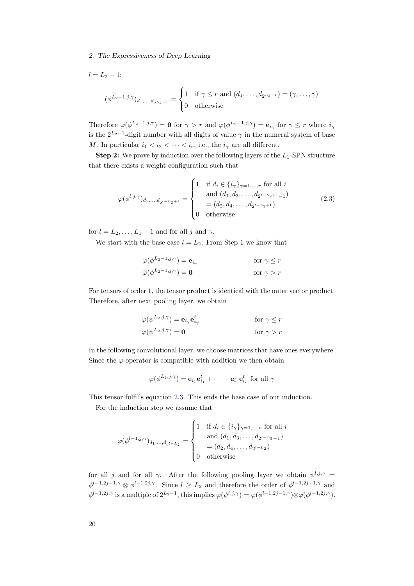$$
l = L_2 - 1:
$$
  

$$
(\phi^{L_2 - 1, j, \gamma})_{d_1, ..., d_{2^{L_2 - 1}}} = \begin{cases} 1 & \text{if } \gamma \le r \text{ and } (d_1, ..., d_{2^{L_2 - 1}}) = (\gamma, ..., \gamma) \\ 0 & \text{otherwise} \end{cases}
$$

Therefore  $\varphi(\phi^{L_2-1,j,\gamma})=0$  for  $\gamma>r$  and  $\varphi(\phi^{L_2-1,j,\gamma})=\mathbf{e}_{i_\gamma}$  for  $\gamma\leq r$  where  $i_\gamma$ is the  $2^{L_2-1}$ -digit number with all digits of value  $\gamma$  in the numeral system of base M. In particular  $i_1 < i_2 < \cdots < i_r$ , i.e., the  $i_{\gamma}$  are all different.

**Step 2:** We prove by induction over the following layers of the  $L_1$ -SPN structure that there exists a weight configuration such that

<span id="page-29-0"></span>
$$
\varphi(\phi^{l,j,\gamma})_{d_1,\dots,d_{2^{l-L_2+1}}} = \begin{cases} 1 & \text{if } d_i \in \{i_\gamma\}_{\gamma=1,\dots,r} \text{ for all } i \\ & \text{and } (d_1, d_3, \dots, d_{2^{l-L_2+1}-1}) \\ & = (d_2, d_4, \dots, d_{2^{l-L_2+1}}) \\ 0 & \text{otherwise} \end{cases}
$$
(2.3)

for  $l = L_2, \ldots, L_1 - 1$  and for all j and  $\gamma$ .

We start with the base case  $l = L_2$ : From Step 1 we know that

$$
\varphi(\phi^{L_2-1,j,\gamma}) = \mathbf{e}_{i_{\gamma}} \qquad \text{for } \gamma \le r
$$
  

$$
\varphi(\phi^{L_2-1,j,\gamma}) = \mathbf{0} \qquad \text{for } \gamma > r
$$

For tensors of order 1, the tensor product is identical with the outer vector product. Therefore, after next pooling layer, we obtain

$$
\varphi(\psi^{L_2,j,\gamma}) = \mathbf{e}_{i_{\gamma}} \mathbf{e}_{i_{\gamma}}^t \qquad \text{for } \gamma \le r
$$
  

$$
\varphi(\psi^{L_2,j,\gamma}) = \mathbf{0} \qquad \text{for } \gamma > r
$$

In the following convolutional layer, we choose matrices that have ones everywhere. Since the  $\varphi$ -operator is compatible with addition we then obtain

$$
\varphi(\phi^{L_2,j,\gamma}) = \mathbf{e}_{i_1}\mathbf{e}_{i_1}^t + \cdots + \mathbf{e}_{i_r}\mathbf{e}_{i_r}^t
$$
 for all  $\gamma$ 

This tensor fulfills equation [2.3.](#page-29-0) This ends the base case of our induction.

For the induction step we assume that

$$
\varphi(\phi^{l-1,j,\gamma})_{d_1,\dots,d_{2^{l-L_2}}} = \begin{cases} 1 & \text{if } d_i \in \{i_{\gamma}\}_{\gamma=1,\dots,r} \text{ for all } i \\ & \text{and } (d_1, d_3, \dots, d_{2^{l-L_2}-1}) \\ & = (d_2, d_4, \dots, d_{2^{l-L_2}}) \\ 0 & \text{otherwise} \end{cases}
$$

for all j and for all  $\gamma$ . After the following pooling layer we obtain  $\psi^{l,j,\gamma} =$  $\phi^{l-1,2j-1,\gamma} \otimes \phi^{l-1,2j,\gamma}$ . Since  $l \geq L_2$  and therefore the order of  $\phi^{l-1,2j-1,\gamma}$  and  $\phi^{l-1,2j,\gamma}$  is a multiple of  $2^{L_2-1}$ , this implies  $\varphi(\psi^{l,j,\gamma}) = \varphi(\phi^{l-1,2j-1,\gamma}) \otimes \varphi(\phi^{l-1,2j,\gamma})$ .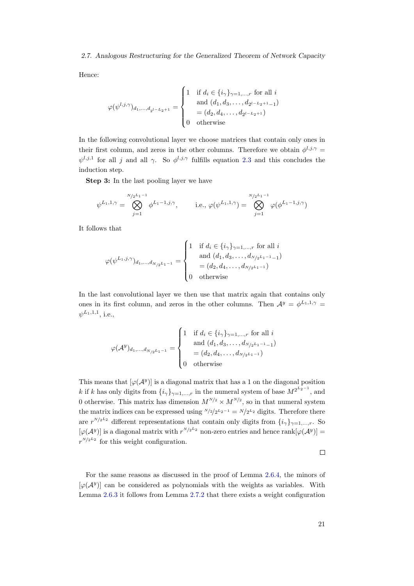#### 2.7. Analogous Restructuring for the Generalized Theorem of Network Capacity

Hence:

$$
\varphi(\psi^{l,j,\gamma})_{d_1,\dots,d_{2^{l-L_2+1}}} = \begin{cases} 1 & \text{if } d_i \in \{i_\gamma\}_{\gamma=1,\dots,r} \text{ for all } i \\ & \text{and } (d_1, d_3, \dots, d_{2^{l-L_2+1}-1}) \\ & = (d_2, d_4, \dots, d_{2^{l-L_2+1}}) \\ 0 & \text{otherwise} \end{cases}
$$

In the following convolutional layer we choose matrices that contain only ones in their first column, and zeros in the other columns. Therefore we obtain  $\phi^{l,j,\gamma} =$  $\psi^{l,j,1}$  for all j and all  $\gamma$ . So  $\phi^{l,j,\gamma}$  fulfills equation [2.3](#page-29-0) and this concludes the induction step.

Step 3: In the last pooling layer we have

$$
\psi^{L_1,1,\gamma} = \bigotimes_{j=1}^{N/2^{L_1-1}} \phi^{L_1-1,j,\gamma}, \qquad \text{i.e., } \varphi(\psi^{L_1,1,\gamma}) = \bigotimes_{j=1}^{N/2^{L_1-1}} \varphi(\phi^{L_1-1,j,\gamma})
$$

It follows that

$$
\varphi(\psi^{L_1,j,\gamma})_{d_1,\dots,d_{N/2}L_1-1} = \begin{cases} 1 & \text{if } d_i \in \{i_\gamma\}_{\gamma=1,\dots,r} \text{ for all } i \\ & \text{and } (d_1,d_3,\dots,d_{N/2}L_1-1-1) \\ & = (d_2,d_4,\dots,d_{N/2}L_1-1) \\ 0 & \text{otherwise} \end{cases}
$$

In the last convolutional layer we then use that matrix again that contains only ones in its first column, and zeros in the other columns. Then  $\mathcal{A}^y = \phi^{L_1,1,\gamma} =$  $\psi^{L_1,1,1},$  i.e.,

$$
\varphi(\mathcal{A}^y)_{d_1,\dots,d_{N/2}L_1-1} = \begin{cases} 1 & \text{if } d_i \in \{i_\gamma\}_{\gamma=1,\dots,r} \text{ for all } i \\ & \text{and } (d_1, d_3, \dots, d_{N/2}L_1-1-1) \\ & = (d_2, d_4, \dots, d_{N/2}L_1-1) \\ 0 & \text{otherwise} \end{cases}
$$

This means that  $[\varphi(A^y)]$  is a diagonal matrix that has a 1 on the diagonal position k if k has only digits from  $\{i_\gamma\}_{\gamma=1,\dots,r}$  in the numeral system of base  $M^{2^{L_2-1}}$ , and 0 otherwise. This matrix has dimension  $M^{N/2} \times M^{N/2}$ , so in that numeral system the matrix indices can be expressed using  $N/2/2^{L_2-1} = N/2^{L_2}$  digits. Therefore there are  $r^{N/2}$ <sup>2</sup> different representations that contain only digits from  $\{i_\gamma\}_{\gamma=1,\dots,r}$ . So  $[\varphi(A^y)]$  is a diagonal matrix with  $r^{N/2^{L_2}}$  non-zero entries and hence rank  $[\varphi(A^y)] =$  $r^{N/2^{L_2}}$  for this weight configuration.

 $\Box$ 

For the same reasons as discussed in the proof of Lemma [2.6.4,](#page-25-1) the minors of  $[\varphi(A^y)]$  can be considered as polynomials with the weights as variables. With Lemma [2.6.3](#page-25-0) it follows from Lemma [2.7.2](#page-28-1) that there exists a weight configuration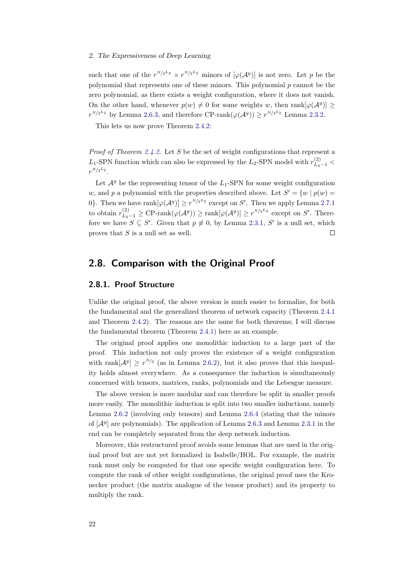such that one of the  $r^{N/2} \times r^{N/2}$  minors of  $[\varphi(A^y)]$  is not zero. Let p be the polynomial that represents one of these minors. This polynomial  $p$  cannot be the zero polynomial, as there exists a weight configuration, where it does not vanish. On the other hand, whenever  $p(w) \neq 0$  for some weights w, then rank $[\varphi(A^y)] \geq$  $r^{N/2^{L_2}}$  by Lemma [2.6.3,](#page-25-0) and therefore CP-rank $(\varphi(\mathcal{A}^y)) \geq r^{N/2^{L_2}}$  Lemma [2.3.2.](#page-17-0)

This lets us now prove Theorem [2.4.2:](#page-18-2)

*Proof of Theorem [2.4.2.](#page-18-2)* Let S be the set of weight configurations that represent a L<sub>1</sub>-SPN function which can also be expressed by the L<sub>2</sub>-SPN model with  $r_{L_2-1}^{(2)}$  <  $r^{N/2^L2}$  .

Let  $\mathcal{A}^y$  be the representing tensor of the  $L_1$ -SPN for some weight configuration w, and p a polynomial with the properties described above. Let  $S' = \{w \mid p(w) =$ 0}. Then we have rank $[\varphi(A^y)] \geq r^{N/2L_2}$  except on S'. Then we apply Lemma [2.7.1](#page-27-2) to obtain  $r_{L_2-1}^{(2)} \geq \text{CP-rank}(\varphi(\mathcal{A}^y)) \geq \text{rank}[\varphi(\mathcal{A}^y)] \geq r^{N/2}$  except on S'. Therefore we have  $S \subseteq S'$ . Given that  $p \neq 0$ , by Lemma [2.3.1,](#page-16-3) S' is a null set, which proves that  $S$  is a null set as well.  $\Box$ 

### <span id="page-31-0"></span>2.8. Comparison with the Original Proof

#### <span id="page-31-1"></span>2.8.1. Proof Structure

Unlike the original proof, the above version is much easier to formalize, for both the fundamental and the generalized theorem of network capacity (Theorem [2.4.1](#page-18-1) and Theorem [2.4.2\)](#page-18-2). The reasons are the same for both theorems; I will discuss the fundamental theorem (Theorem [2.4.1\)](#page-18-1) here as an example.

The original proof applies one monolithic induction to a large part of the proof. This induction not only proves the existence of a weight configuration with rank $[\mathcal{A}^y] \geq r^{N/2}$  (as in Lemma [2.6.2\)](#page-23-2), but it also proves that this inequality holds almost everywhere. As a consequence the induction is simultaneously concerned with tensors, matrices, ranks, polynomials and the Lebesgue measure.

The above version is more modular and can therefore be split in smaller proofs more easily. The monolithic induction is split into two smaller inductions, namely Lemma [2.6.2](#page-23-2) (involving only tensors) and Lemma [2.6.4](#page-25-1) (stating that the minors of  $[A^y]$  are polynomials). The application of Lemma [2.6.3](#page-25-0) and Lemma [2.3.1](#page-16-3) in the end can be completely separated from the deep network induction.

Moreover, this restructured proof avoids some lemmas that are used in the original proof but are not yet formalized in Isabelle/HOL. For example, the matrix rank must only be computed for that one specific weight configuration here. To compute the rank of other weight configurations, the original proof uses the Kronecker product (the matrix analogue of the tensor product) and its property to multiply the rank.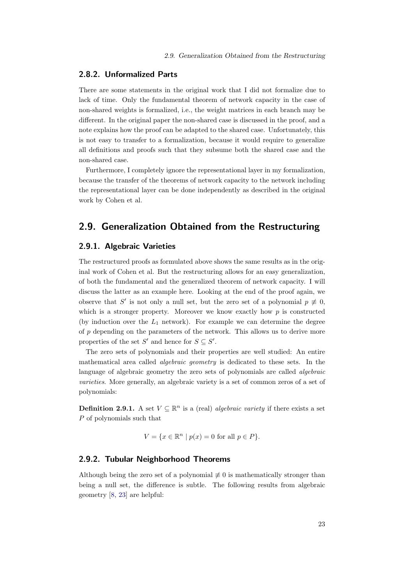#### <span id="page-32-0"></span>2.8.2. Unformalized Parts

There are some statements in the original work that I did not formalize due to lack of time. Only the fundamental theorem of network capacity in the case of non-shared weights is formalized, i.e., the weight matrices in each branch may be different. In the original paper the non-shared case is discussed in the proof, and a note explains how the proof can be adapted to the shared case. Unfortunately, this is not easy to transfer to a formalization, because it would require to generalize all definitions and proofs such that they subsume both the shared case and the non-shared case.

Furthermore, I completely ignore the representational layer in my formalization, because the transfer of the theorems of network capacity to the network including the representational layer can be done independently as described in the original work by Cohen et al.

## <span id="page-32-1"></span>2.9. Generalization Obtained from the Restructuring

#### <span id="page-32-2"></span>2.9.1. Algebraic Varieties

The restructured proofs as formulated above shows the same results as in the original work of Cohen et al. But the restructuring allows for an easy generalization, of both the fundamental and the generalized theorem of network capacity. I will discuss the latter as an example here. Looking at the end of the proof again, we observe that S' is not only a null set, but the zero set of a polynomial  $p \neq 0$ , which is a stronger property. Moreover we know exactly how  $p$  is constructed (by induction over the  $L_1$  network). For example we can determine the degree of p depending on the parameters of the network. This allows us to derive more properties of the set S' and hence for  $S \subseteq S'$ .

The zero sets of polynomials and their properties are well studied: An entire mathematical area called algebraic geometry is dedicated to these sets. In the language of algebraic geometry the zero sets of polynomials are called algebraic varieties. More generally, an algebraic variety is a set of common zeros of a set of polynomials:

**Definition 2.9.1.** A set  $V \subseteq \mathbb{R}^n$  is a (real) *algebraic variety* if there exists a set P of polynomials such that

$$
V = \{ x \in \mathbb{R}^n \mid p(x) = 0 \text{ for all } p \in P \}.
$$

#### <span id="page-32-3"></span>2.9.2. Tubular Neighborhood Theorems

<span id="page-32-4"></span>Although being the zero set of a polynomial  $\neq 0$  is mathematically stronger than being a null set, the difference is subtle. The following results from algebraic geometry [\[8,](#page-76-4) [23\]](#page-77-3) are helpful: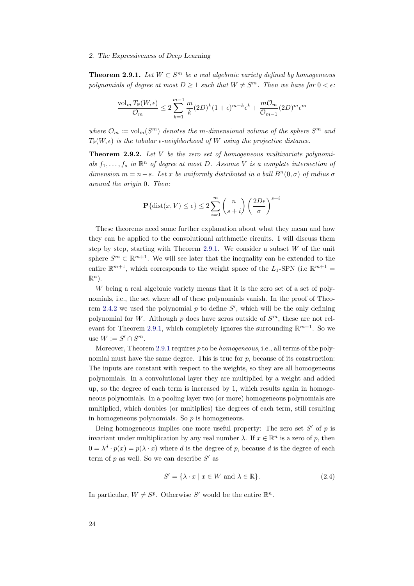**Theorem 2.9.1.** Let  $W \subset S^m$  be a real algebraic variety defined by homogeneous polynomials of degree at most  $D \geq 1$  such that  $W \neq S^m$ . Then we have for  $0 < \epsilon$ .

$$
\frac{\text{vol}_m T_{\mathbb{P}}(W,\epsilon)}{\mathcal{O}_m} \leq 2\sum_{k=1}^{m-1}\frac{m}{k}(2D)^k(1+\epsilon)^{m-k}\epsilon^k + \frac{m\mathcal{O}_m}{\mathcal{O}_{m-1}}(2D)^m\epsilon^m
$$

where  $\mathcal{O}_m := \text{vol}_m(S^m)$  denotes the m-dimensional volume of the sphere  $S^m$  and  $T_{\mathbb{P}}(W,\epsilon)$  is the tubular  $\epsilon$ -neighborhood of W using the projective distance.

<span id="page-33-1"></span>**Theorem 2.9.2.** Let V be the zero set of homogeneous multivariate polynomials  $f_1, \ldots, f_s$  in  $\mathbb{R}^n$  of degree at most D. Assume V is a complete intersection of dimension  $m = n - s$ . Let x be uniformly distributed in a ball  $B<sup>n</sup>(0, \sigma)$  of radius  $\sigma$ around the origin 0. Then:

$$
\mathbf{P}\{\text{dist}(x, V) \le \epsilon\} \le 2\sum_{i=0}^{m} \binom{n}{s+i} \left(\frac{2D\epsilon}{\sigma}\right)^{s+i}
$$

These theorems need some further explanation about what they mean and how they can be applied to the convolutional arithmetic circuits. I will discuss them step by step, starting with Theorem [2.9.1.](#page-32-4) We consider a subset  $W$  of the unit sphere  $S^m \subset \mathbb{R}^{m+1}$ . We will see later that the inequality can be extended to the entire  $\mathbb{R}^{m+1}$ , which corresponds to the weight space of the  $L_1$ -SPN (i.e  $\mathbb{R}^{m+1}$  =  $\mathbb{R}^n$ ).

W being a real algebraic variety means that it is the zero set of a set of polynomials, i.e., the set where all of these polynomials vanish. In the proof of Theo-rem [2.4.2](#page-18-2) we used the polynomial  $p$  to define  $S'$ , which will be the only defining polynomial for W. Although  $p$  does have zeros outside of  $S<sup>m</sup>$ , these are not rel-evant for Theorem [2.9.1,](#page-32-4) which completely ignores the surrounding  $\mathbb{R}^{m+1}$ . So we use  $W := S' \cap S^m$ .

Moreover, Theorem [2.9.1](#page-32-4) requires  $p$  to be *homogeneous*, i.e., all terms of the polynomial must have the same degree. This is true for  $p$ , because of its construction: The inputs are constant with respect to the weights, so they are all homogeneous polynomials. In a convolutional layer they are multiplied by a weight and added up, so the degree of each term is increased by 1, which results again in homogeneous polynomials. In a pooling layer two (or more) homogeneous polynomials are multiplied, which doubles (or multiplies) the degrees of each term, still resulting in homogeneous polynomials. So  $p$  is homogeneous.

Being homogeneous implies one more useful property: The zero set  $S'$  of  $p$  is invariant under multiplication by any real number  $\lambda$ . If  $x \in \mathbb{R}^n$  is a zero of p, then  $0 = \lambda^d \cdot p(x) = p(\lambda \cdot x)$  where d is the degree of p, because d is the degree of each term of  $p$  as well. So we can describe  $S'$  as

<span id="page-33-0"></span>
$$
S' = \{ \lambda \cdot x \mid x \in W \text{ and } \lambda \in \mathbb{R} \}. \tag{2.4}
$$

In particular,  $W \neq S^p$ . Otherwise S' would be the entire  $\mathbb{R}^n$ .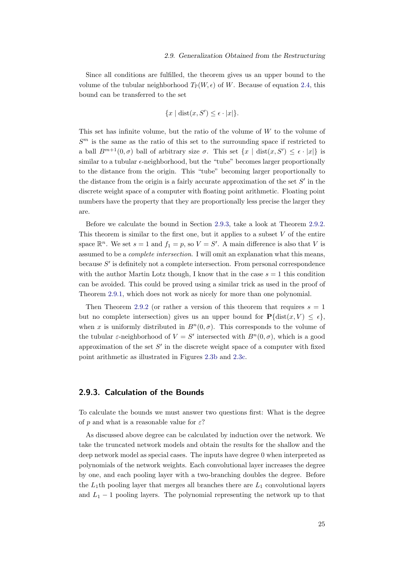#### 2.9. Generalization Obtained from the Restructuring

Since all conditions are fulfilled, the theorem gives us an upper bound to the volume of the tubular neighborhood  $T_{\mathbb{P}}(W, \epsilon)$  of W. Because of equation [2.4,](#page-33-0) this bound can be transferred to the set

$$
\{x \mid \text{dist}(x, S') \le \epsilon \cdot |x|\}.
$$

This set has infinite volume, but the ratio of the volume of  $W$  to the volume of  $S<sup>m</sup>$  is the same as the ratio of this set to the surrounding space if restricted to a ball  $B^{m+1}(0,\sigma)$  ball of arbitrary size  $\sigma$ . This set  $\{x \mid \text{dist}(x, S') \leq \epsilon \cdot |x|\}$  is similar to a tubular  $\epsilon$ -neighborhood, but the "tube" becomes larger proportionally to the distance from the origin. This "tube" becoming larger proportionally to the distance from the origin is a fairly accurate approximation of the set  $S'$  in the discrete weight space of a computer with floating point arithmetic. Floating point numbers have the property that they are proportionally less precise the larger they are.

Before we calculate the bound in Section [2.9.3,](#page-34-0) take a look at Theorem [2.9.2.](#page-33-1) This theorem is similar to the first one, but it applies to a subset  $V$  of the entire space  $\mathbb{R}^n$ . We set  $s = 1$  and  $f_1 = p$ , so  $V = S'$ . A main difference is also that V is assumed to be a complete intersection. I will omit an explanation what this means, because  $S'$  is definitely not a complete intersection. From personal correspondence with the author Martin Lotz though, I know that in the case  $s = 1$  this condition can be avoided. This could be proved using a similar trick as used in the proof of Theorem [2.9.1,](#page-32-4) which does not work as nicely for more than one polynomial.

Then Theorem [2.9.2](#page-33-1) (or rather a version of this theorem that requires  $s = 1$ but no complete intersection) gives us an upper bound for  $P\{\text{dist}(x, V) \leq \epsilon\},\$ when x is uniformly distributed in  $B<sup>n</sup>(0, \sigma)$ . This corresponds to the volume of the tubular  $\varepsilon$ -neighborhood of  $V = S'$  intersected with  $B<sup>n</sup>(0, \sigma)$ , which is a good approximation of the set  $S'$  in the discrete weight space of a computer with fixed point arithmetic as illustrated in Figures [2.3b](#page-20-1) and [2.3c.](#page-20-1)

#### <span id="page-34-0"></span>2.9.3. Calculation of the Bounds

To calculate the bounds we must answer two questions first: What is the degree of p and what is a reasonable value for  $\varepsilon$ ?

As discussed above degree can be calculated by induction over the network. We take the truncated network models and obtain the results for the shallow and the deep network model as special cases. The inputs have degree 0 when interpreted as polynomials of the network weights. Each convolutional layer increases the degree by one, and each pooling layer with a two-branching doubles the degree. Before the  $L_1$ th pooling layer that merges all branches there are  $L_1$  convolutional layers and  $L_1 - 1$  pooling layers. The polynomial representing the network up to that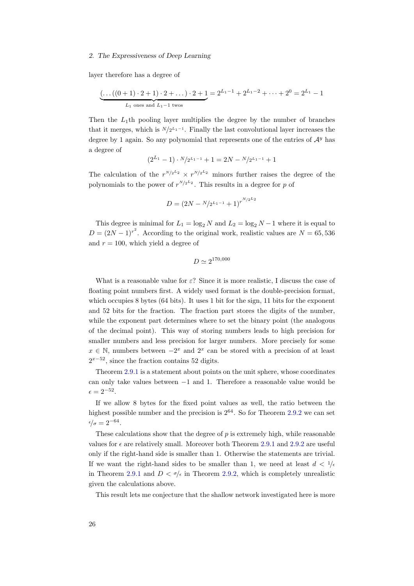layer therefore has a degree of

$$
\underbrace{(\dots((0+1)\cdot 2+1)\cdot 2+\dots)\cdot 2+1}_{L_1 \text{ ones and } L_1-1 \text{ twos}} = 2^{L_1-1} + 2^{L_1-2} + \dots + 2^0 = 2^{L_1} - 1
$$

Then the  $L_1$ th pooling layer multiplies the degree by the number of branches that it merges, which is  $N/2^{L_1-1}$ . Finally the last convolutional layer increases the degree by 1 again. So any polynomial that represents one of the entries of  $\mathcal{A}^y$  has a degree of

$$
(2^{L_1} - 1) \cdot N/2^{L_1 - 1} + 1 = 2N - N/2^{L_1 - 1} + 1
$$

The calculation of the  $r^{N/2} \times r^{N/2}$  minors further raises the degree of the polynomials to the power of  $r^{N/2^L2}$ . This results in a degree for p of

$$
D = (2N - \frac{N}{2^{L_1 - 1}} + 1)^{r^{\frac{N}{2}L_2}}
$$

This degree is minimal for  $L_1 = \log_2 N$  and  $L_2 = \log_2 N - 1$  where it is equal to  $D = (2N - 1)^{r^2}$ . According to the original work, realistic values are  $N = 65,536$ and  $r = 100$ , which yield a degree of

$$
D\simeq 2^{170,000}
$$

What is a reasonable value for  $\varepsilon$ ? Since it is more realistic, I discuss the case of floating point numbers first. A widely used format is the double-precision format, which occupies 8 bytes (64 bits). It uses 1 bit for the sign, 11 bits for the exponent and 52 bits for the fraction. The fraction part stores the digits of the number, while the exponent part determines where to set the binary point (the analogous of the decimal point). This way of storing numbers leads to high precision for smaller numbers and less precision for larger numbers. More precisely for some  $x \in \mathbb{N}$ , numbers between  $-2^x$  and  $2^x$  can be stored with a precision of at least  $2^{x-52}$ , since the fraction contains 52 digits.

Theorem [2.9.1](#page-32-4) is a statement about points on the unit sphere, whose coordinates can only take values between −1 and 1. Therefore a reasonable value would be  $\epsilon = 2^{-52}.$ 

If we allow 8 bytes for the fixed point values as well, the ratio between the highest possible number and the precision is  $2^{64}$ . So for Theorem [2.9.2](#page-33-1) we can set  $\epsilon/\sigma = 2^{-64}.$ 

These calculations show that the degree of  $p$  is extremely high, while reasonable values for  $\epsilon$  are relatively small. Moreover both Theorem [2.9.1](#page-32-4) and [2.9.2](#page-33-1) are useful only if the right-hand side is smaller than 1. Otherwise the statements are trivial. If we want the right-hand sides to be smaller than 1, we need at least  $d < 1/\epsilon$ in Theorem [2.9.1](#page-32-4) and  $D < \sigma/\epsilon$  in Theorem [2.9.2,](#page-33-1) which is completely unrealistic given the calculations above.

This result lets me conjecture that the shallow network investigated here is more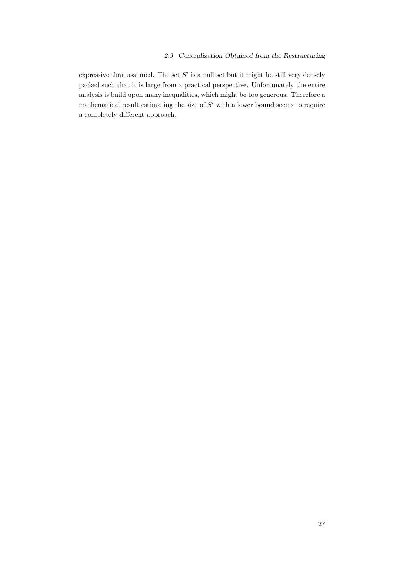## 2.9. Generalization Obtained from the Restructuring

expressive than assumed. The set  $S'$  is a null set but it might be still very densely packed such that it is large from a practical perspective. Unfortunately the entire analysis is build upon many inequalities, which might be too generous. Therefore a mathematical result estimating the size of  $S'$  with a lower bound seems to require a completely different approach.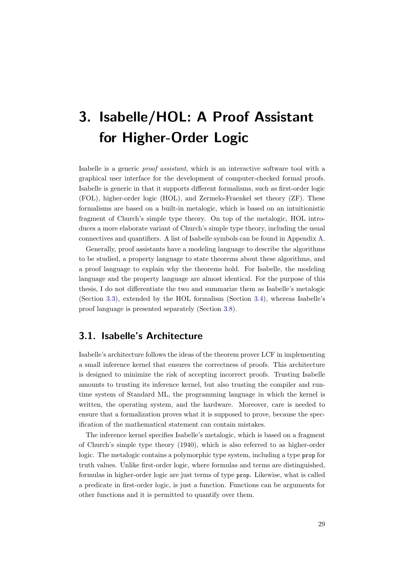# 3. Isabelle/HOL: A Proof Assistant for Higher-Order Logic

Isabelle is a generic proof assistant, which is an interactive software tool with a graphical user interface for the development of computer-checked formal proofs. Isabelle is generic in that it supports different formalisms, such as first-order logic (FOL), higher-order logic (HOL), and Zermelo-Fraenkel set theory (ZF). These formalisms are based on a built-in metalogic, which is based on an intuitionistic fragment of Church's simple type theory. On top of the metalogic, HOL introduces a more elaborate variant of Church's simple type theory, including the usual connectives and quantifiers. A list of Isabelle symbols can be found in Appendix [A.](#page-80-0)

Generally, proof assistants have a modeling language to describe the algorithms to be studied, a property language to state theorems about these algorithms, and a proof language to explain why the theorems hold. For Isabelle, the modeling language and the property language are almost identical. For the purpose of this thesis, I do not differentiate the two and summarize them as Isabelle's metalogic (Section [3.3\)](#page-39-0), extended by the HOL formalism (Section [3.4\)](#page-41-0), whereas Isabelle's proof language is presented separately (Section [3.8\)](#page-46-0).

## 3.1. Isabelle's Architecture

Isabelle's architecture follows the ideas of the theorem prover LCF in implementing a small inference kernel that ensures the correctness of proofs. This architecture is designed to minimize the risk of accepting incorrect proofs. Trusting Isabelle amounts to trusting its inference kernel, but also trusting the compiler and runtime system of Standard ML, the programming language in which the kernel is written, the operating system, and the hardware. Moreover, care is needed to ensure that a formalization proves what it is supposed to prove, because the specification of the mathematical statement can contain mistakes.

The inference kernel specifies Isabelle's metalogic, which is based on a fragment of Church's simple type theory (1940), which is also referred to as higher-order logic. The metalogic contains a polymorphic type system, including a type prop for truth values. Unlike first-order logic, where formulas and terms are distinguished, formulas in higher-order logic are just terms of type prop. Likewise, what is called a predicate in first-order logic, is just a function. Functions can be arguments for other functions and it is permitted to quantify over them.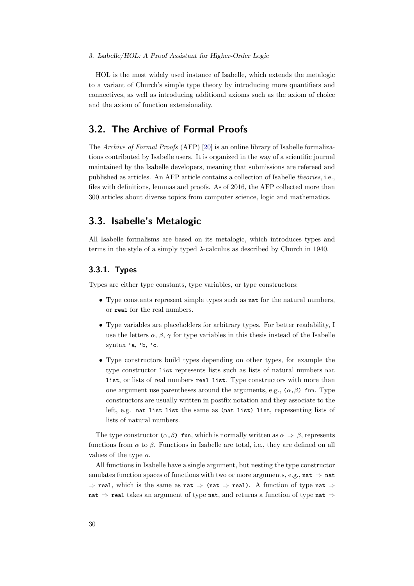#### 3. Isabelle/HOL: A Proof Assistant for Higher-Order Logic

HOL is the most widely used instance of Isabelle, which extends the metalogic to a variant of Church's simple type theory by introducing more quantifiers and connectives, as well as introducing additional axioms such as the axiom of choice and the axiom of function extensionality.

# 3.2. The Archive of Formal Proofs

The Archive of Formal Proofs (AFP) [\[20\]](#page-77-0) is an online library of Isabelle formalizations contributed by Isabelle users. It is organized in the way of a scientific journal maintained by the Isabelle developers, meaning that submissions are refereed and published as articles. An AFP article contains a collection of Isabelle theories, i.e., files with definitions, lemmas and proofs. As of 2016, the AFP collected more than 300 articles about diverse topics from computer science, logic and mathematics.

## <span id="page-39-0"></span>3.3. Isabelle's Metalogic

All Isabelle formalisms are based on its metalogic, which introduces types and terms in the style of a simply typed λ-calculus as described by Church in 1940.

## 3.3.1. Types

Types are either type constants, type variables, or type constructors:

- Type constants represent simple types such as nat for the natural numbers, or real for the real numbers.
- Type variables are placeholders for arbitrary types. For better readability, I use the letters  $\alpha$ ,  $\beta$ ,  $\gamma$  for type variables in this thesis instead of the Isabelle syntax 'a, 'b, 'c.
- Type constructors build types depending on other types, for example the type constructor list represents lists such as lists of natural numbers nat list, or lists of real numbers real list. Type constructors with more than one argument use parentheses around the arguments, e.g.,  $(\alpha, \beta)$  fun. Type constructors are usually written in postfix notation and they associate to the left, e.g. nat list list the same as (nat list) list, representing lists of lists of natural numbers.

The type constructor  $(\alpha, \beta)$  fun, which is normally written as  $\alpha \Rightarrow \beta$ , represents functions from  $\alpha$  to  $\beta$ . Functions in Isabelle are total, i.e., they are defined on all values of the type  $\alpha$ .

All functions in Isabelle have a single argument, but nesting the type constructor emulates function spaces of functions with two or more arguments, e.g., nat  $\Rightarrow$  nat  $\Rightarrow$  real, which is the same as nat  $\Rightarrow$  (nat  $\Rightarrow$  real). A function of type nat  $\Rightarrow$ nat  $\Rightarrow$  real takes an argument of type nat, and returns a function of type nat  $\Rightarrow$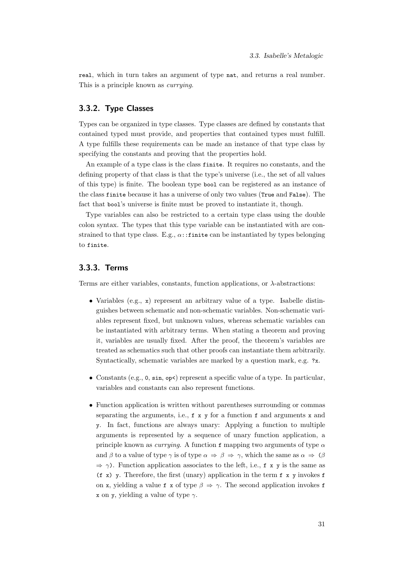real, which in turn takes an argument of type nat, and returns a real number. This is a principle known as currying.

#### 3.3.2. Type Classes

Types can be organized in type classes. Type classes are defined by constants that contained typed must provide, and properties that contained types must fulfill. A type fulfills these requirements can be made an instance of that type class by specifying the constants and proving that the properties hold.

An example of a type class is the class finite. It requires no constants, and the defining property of that class is that the type's universe (i.e., the set of all values of this type) is finite. The boolean type bool can be registered as an instance of the class finite because it has a universe of only two values (True and False). The fact that bool's universe is finite must be proved to instantiate it, though.

Type variables can also be restricted to a certain type class using the double colon syntax. The types that this type variable can be instantiated with are constrained to that type class. E.g.,  $\alpha$ ::finite can be instantiated by types belonging to finite.

## 3.3.3. Terms

Terms are either variables, constants, function applications, or  $\lambda$ -abstractions:

- Variables (e.g., x) represent an arbitrary value of a type. Isabelle distinguishes between schematic and non-schematic variables. Non-schematic variables represent fixed, but unknown values, whereas schematic variables can be instantiated with arbitrary terms. When stating a theorem and proving it, variables are usually fixed. After the proof, the theorem's variables are treated as schematics such that other proofs can instantiate them arbitrarily. Syntactically, schematic variables are marked by a question mark, e.g. ?x.
- Constants (e.g., 0,  $sin, op<$ ) represent a specific value of a type. In particular, variables and constants can also represent functions.
- Function application is written without parentheses surrounding or commas separating the arguments, i.e.,  $f \times y$  for a function f and arguments  $x$  and y. In fact, functions are always unary: Applying a function to multiple arguments is represented by a sequence of unary function application, a principle known as *currying*. A function f mapping two arguments of type  $\alpha$ and β to a value of type γ is of type α ⇒ β ⇒ γ, which the same as α ⇒ (β  $\Rightarrow \gamma$ ). Function application associates to the left, i.e., f x y is the same as  $(f \ x)$  y. Therefore, the first (unary) application in the term  $f \ x$  y invokes  $f$ on x, yielding a value f x of type  $\beta \Rightarrow \gamma$ . The second application invokes f x on y, yielding a value of type  $\gamma$ .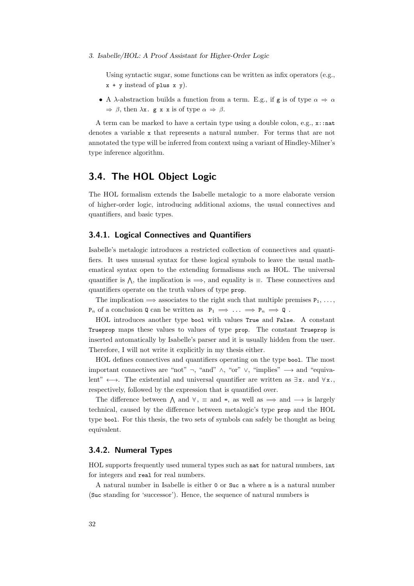3. Isabelle/HOL: A Proof Assistant for Higher-Order Logic

Using syntactic sugar, some functions can be written as infix operators (e.g.,  $x + y$  instead of plus  $x, y$ .

• A  $\lambda$ -abstraction builds a function from a term. E.g., if g is of type  $\alpha \Rightarrow \alpha$  $\Rightarrow \beta$ , then  $\lambda$ x. g x x is of type  $\alpha \Rightarrow \beta$ .

A term can be marked to have a certain type using a double colon, e.g.,  $x:$ nat denotes a variable x that represents a natural number. For terms that are not annotated the type will be inferred from context using a variant of Hindley-Milner's type inference algorithm.

## <span id="page-41-0"></span>3.4. The HOL Object Logic

The HOL formalism extends the Isabelle metalogic to a more elaborate version of higher-order logic, introducing additional axioms, the usual connectives and quantifiers, and basic types.

#### 3.4.1. Logical Connectives and Quantifiers

Isabelle's metalogic introduces a restricted collection of connectives and quantifiers. It uses unusual syntax for these logical symbols to leave the usual mathematical syntax open to the extending formalisms such as HOL. The universal quantifier is  $\wedge$ , the implication is  $\Longrightarrow$ , and equality is  $\equiv$ . These connectives and quantifiers operate on the truth values of type prop.

The implication  $\implies$  associates to the right such that multiple premises  $P_1, \ldots$ ,  $P_n$  of a conclusion Q can be written as  $P_1 \implies \ldots \implies P_n \implies Q$ .

HOL introduces another type bool with values True and False. A constant Trueprop maps these values to values of type prop. The constant Trueprop is inserted automatically by Isabelle's parser and it is usually hidden from the user. Therefore, I will not write it explicitly in my thesis either.

HOL defines connectives and quantifiers operating on the type bool. The most important connectives are "not"  $\neg$ , "and"  $\wedge$ , "or"  $\vee$ , "implies"  $\longrightarrow$  and "equivalent"  $\longleftrightarrow$ . The existential and universal quantifier are written as  $\exists x$ . and  $\forall x$ . respectively, followed by the expression that is quantified over.

The difference between  $\wedge$  and  $\forall$ ,  $\equiv$  and  $\Rightarrow$ , as well as  $\Longrightarrow$  and  $\rightarrow$  is largely technical, caused by the difference between metalogic's type prop and the HOL type bool. For this thesis, the two sets of symbols can safely be thought as being equivalent.

#### 3.4.2. Numeral Types

HOL supports frequently used numeral types such as nat for natural numbers, int for integers and real for real numbers.

A natural number in Isabelle is either 0 or Suc n where n is a natural number (Suc standing for 'successor'). Hence, the sequence of natural numbers is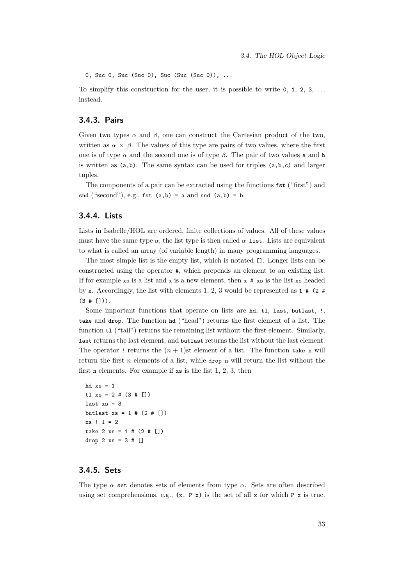0, Suc 0, Suc (Suc 0), Suc (Suc (Suc 0)), ...

To simplify this construction for the user, it is possible to write  $0, 1, 2, 3, \ldots$ instead.

## 3.4.3. Pairs

Given two types  $\alpha$  and  $\beta$ , one can construct the Cartesian product of the two, written as  $\alpha \times \beta$ . The values of this type are pairs of two values, where the first one is of type  $\alpha$  and the second one is of type  $\beta$ . The pair of two values a and b is written as (a,b). The same syntax can be used for triples (a,b,c) and larger tuples.

The components of a pair can be extracted using the functions fst ("first") and snd  $("second"), e.g., \text{fst} (a,b) = a and \text{snd} (a,b) = b.$ 

#### 3.4.4. Lists

Lists in Isabelle/HOL are ordered, finite collections of values. All of these values must have the same type  $\alpha$ , the list type is then called  $\alpha$  list. Lists are equivalent to what is called an array (of variable length) in many programming languages.

The most simple list is the empty list, which is notated []. Longer lists can be constructed using the operator #, which prepends an element to an existing list. If for example xs is a list and x is a new element, then  $x \# xs$  is the list xs headed by x. Accordingly, the list with elements 1, 2, 3 would be represented as  $1 \# (2 \#$  $(3 + []).$ 

Some important functions that operate on lists are hd, tl, last, butlast, !, take and drop. The function hd ("head") returns the first element of a list. The function  $t1$  ("tail") returns the remaining list without the first element. Similarly, last returns the last element, and butlast returns the list without the last element. The operator ! returns the  $(n + 1)$ st element of a list. The function take n will return the first  $n$  elements of a list, while drop n will return the list without the first n elements. For example if xs is the list 1, 2, 3, then

```
hd xs = 1tl xs = 2 # (3 # [])last xs = 3butlast xs = 1 # (2 # [])xs ! 1 = 2take 2 xs = 1 # (2 # \lceil \rceil)drop 2 xs = 3 # []
```
## 3.4.5. Sets

The type  $\alpha$  set denotes sets of elements from type  $\alpha$ . Sets are often described using set comprehensions, e.g.,  $\{x. \ P \ x\}$  is the set of all x for which P x is true.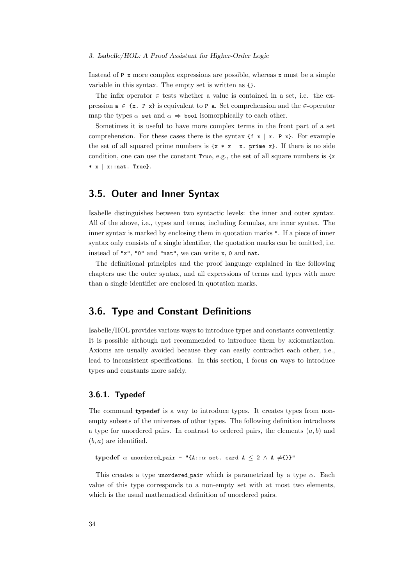Instead of  $P \times$  more complex expressions are possible, whereas  $x$  must be a simple variable in this syntax. The empty set is written as {}.

The infix operator  $\in$  tests whether a value is contained in a set, i.e. the expression  $a \in \{x. P x\}$  is equivalent to P a. Set comprehension and the  $\in$ -operator map the types  $\alpha$  set and  $\alpha \Rightarrow$  bool isomorphically to each other.

Sometimes it is useful to have more complex terms in the front part of a set comprehension. For these cases there is the syntax  $\{f \times | x \in P \times \}$ . For example the set of all squared prime numbers is  $\{x * x \mid x$ . prime x $\}$ . If there is no side condition, one can use the constant  $True, e.g.,$  the set of all square numbers is  $\{x\}$  $* x | x:$ : nat. True}.

# 3.5. Outer and Inner Syntax

Isabelle distinguishes between two syntactic levels: the inner and outer syntax. All of the above, i.e., types and terms, including formulas, are inner syntax. The inner syntax is marked by enclosing them in quotation marks ". If a piece of inner syntax only consists of a single identifier, the quotation marks can be omitted, i.e. instead of "x", "0" and "nat", we can write x, 0 and nat.

The definitional principles and the proof language explained in the following chapters use the outer syntax, and all expressions of terms and types with more than a single identifier are enclosed in quotation marks.

## 3.6. Type and Constant Definitions

Isabelle/HOL provides various ways to introduce types and constants conveniently. It is possible although not recommended to introduce them by axiomatization. Axioms are usually avoided because they can easily contradict each other, i.e., lead to inconsistent specifications. In this section, I focus on ways to introduce types and constants more safely.

#### <span id="page-43-0"></span>3.6.1. Typedef

The command typedef is a way to introduce types. It creates types from nonempty subsets of the universes of other types. The following definition introduces a type for unordered pairs. In contrast to ordered pairs, the elements  $(a, b)$  and  $(b, a)$  are identified.

typedef  $\alpha$  unordered\_pair = "{A:: $\alpha$  set. card  $A \leq 2 \land A \neq$ {}}"

This creates a type unordered pair which is parametrized by a type  $\alpha$ . Each value of this type corresponds to a non-empty set with at most two elements, which is the usual mathematical definition of unordered pairs.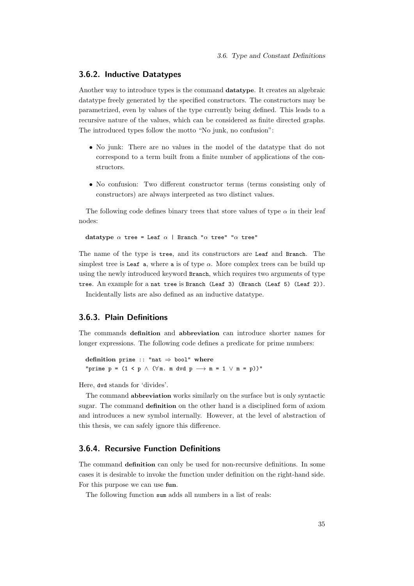#### <span id="page-44-0"></span>3.6.2. Inductive Datatypes

Another way to introduce types is the command datatype. It creates an algebraic datatype freely generated by the specified constructors. The constructors may be parametrized, even by values of the type currently being defined. This leads to a recursive nature of the values, which can be considered as finite directed graphs. The introduced types follow the motto "No junk, no confusion":

- No junk: There are no values in the model of the datatype that do not correspond to a term built from a finite number of applications of the constructors.
- No confusion: Two different constructor terms (terms consisting only of constructors) are always interpreted as two distinct values.

The following code defines binary trees that store values of type  $\alpha$  in their leaf nodes:

datatype  $\alpha$  tree = Leaf  $\alpha$  | Branch " $\alpha$  tree" " $\alpha$  tree"

The name of the type is tree, and its constructors are Leaf and Branch. The simplest tree is Leaf a, where a is of type  $\alpha$ . More complex trees can be build up using the newly introduced keyword Branch, which requires two arguments of type tree. An example for a nat tree is Branch (Leaf 3) (Branch (Leaf 5) (Leaf 2)).

Incidentally lists are also defined as an inductive datatype.

## 3.6.3. Plain Definitions

The commands definition and abbreviation can introduce shorter names for longer expressions. The following code defines a predicate for prime numbers:

definition prime :: "nat  $\Rightarrow$  bool" where "prime  $p = (1 \le p \land (\forall m \dots m \text{ d} \lor p \longrightarrow m = 1 \lor m = p))$ "

Here, dvd stands for 'divides'.

The command abbreviation works similarly on the surface but is only syntactic sugar. The command definition on the other hand is a disciplined form of axiom and introduces a new symbol internally. However, at the level of abstraction of this thesis, we can safely ignore this difference.

## 3.6.4. Recursive Function Definitions

The command definition can only be used for non-recursive definitions. In some cases it is desirable to invoke the function under definition on the right-hand side. For this purpose we can use fun.

The following function sum adds all numbers in a list of reals: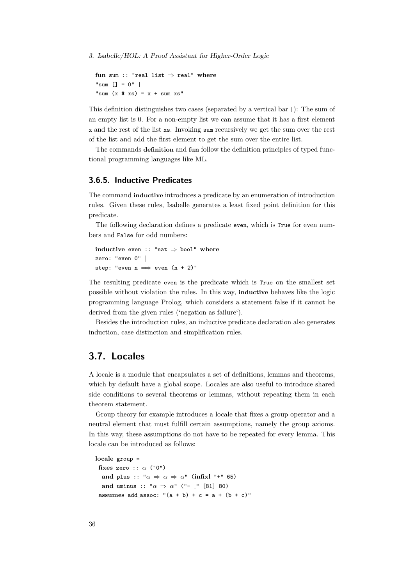3. Isabelle/HOL: A Proof Assistant for Higher-Order Logic

```
fun sum :: "real list \Rightarrow real" where
"sum [1 = 0" |
"sum (x \# xs) = x + sum xs"
```
This definition distinguishes two cases (separated by a vertical bar |): The sum of an empty list is 0. For a non-empty list we can assume that it has a first element x and the rest of the list xs. Invoking sum recursively we get the sum over the rest of the list and add the first element to get the sum over the entire list.

The commands definition and fun follow the definition principles of typed functional programming languages like ML.

#### 3.6.5. Inductive Predicates

The command inductive introduces a predicate by an enumeration of introduction rules. Given these rules, Isabelle generates a least fixed point definition for this predicate.

The following declaration defines a predicate even, which is True for even numbers and False for odd numbers:

```
inductive even :: "nat \Rightarrow bool" where
zero: "even 0" |
step: "even n \implies even (n + 2)"
```
The resulting predicate even is the predicate which is True on the smallest set possible without violation the rules. In this way, inductive behaves like the logic programming language Prolog, which considers a statement false if it cannot be derived from the given rules ('negation as failure').

Besides the introduction rules, an inductive predicate declaration also generates induction, case distinction and simplification rules.

# 3.7. Locales

A locale is a module that encapsulates a set of definitions, lemmas and theorems, which by default have a global scope. Locales are also useful to introduce shared side conditions to several theorems or lemmas, without repeating them in each theorem statement.

Group theory for example introduces a locale that fixes a group operator and a neutral element that must fulfill certain assumptions, namely the group axioms. In this way, these assumptions do not have to be repeated for every lemma. This locale can be introduced as follows:

```
locale group =
 fixes zero :: \alpha ("0")
  and plus :: "\alpha \Rightarrow \alpha \Rightarrow \alpha" (infixl "+" 65)
  and uminus :: "\alpha \Rightarrow \alpha" ("- -" [81] 80)
 assumes add_assoc: "(a + b) + c = a + (b + c)"
```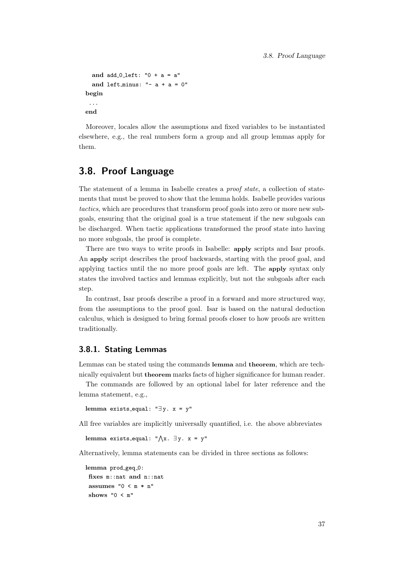```
and add 0 left: "0 + a = a"and left minus: " - a + a = 0"begin
 ...
end
```
Moreover, locales allow the assumptions and fixed variables to be instantiated elsewhere, e.g., the real numbers form a group and all group lemmas apply for them.

# <span id="page-46-0"></span>3.8. Proof Language

The statement of a lemma in Isabelle creates a *proof state*, a collection of statements that must be proved to show that the lemma holds. Isabelle provides various tactics, which are procedures that transform proof goals into zero or more new subgoals, ensuring that the original goal is a true statement if the new subgoals can be discharged. When tactic applications transformed the proof state into having no more subgoals, the proof is complete.

There are two ways to write proofs in Isabelle: apply scripts and Isar proofs. An apply script describes the proof backwards, starting with the proof goal, and applying tactics until the no more proof goals are left. The apply syntax only states the involved tactics and lemmas explicitly, but not the subgoals after each step.

In contrast, Isar proofs describe a proof in a forward and more structured way, from the assumptions to the proof goal. Isar is based on the natural deduction calculus, which is designed to bring formal proofs closer to how proofs are written traditionally.

#### 3.8.1. Stating Lemmas

Lemmas can be stated using the commands lemma and theorem, which are technically equivalent but theorem marks facts of higher significance for human reader.

The commands are followed by an optional label for later reference and the lemma statement, e.g.,

lemma exists\_equal: " $\exists y. x = y$ "

All free variables are implicitly universally quantified, i.e. the above abbreviates

```
{\rm lemma} exists_equal: "\bigwedge\!{x}. \exists y. {\rm x} = {\rm y}"
```
Alternatively, lemma statements can be divided in three sections as follows:

```
lemma prod_geq_0:
fixes m::nat and n::nat
assumes "0 < m * n"shows "0 < m"
```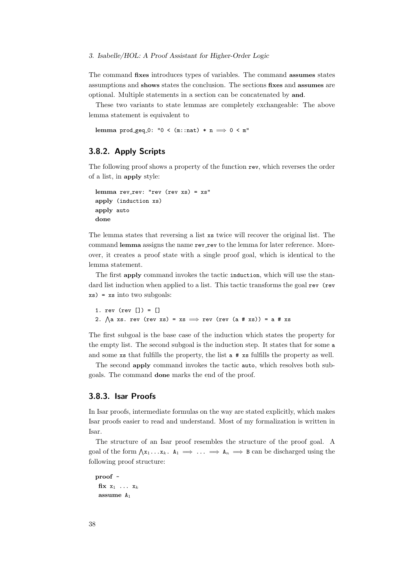The command fixes introduces types of variables. The command assumes states assumptions and shows states the conclusion. The sections fixes and assumes are optional. Multiple statements in a section can be concatenated by and.

These two variants to state lemmas are completely exchangeable: The above lemma statement is equivalent to

lemma prod\_geq\_0: " $0 < (m::nat) * n \implies 0 < m"$ 

## 3.8.2. Apply Scripts

The following proof shows a property of the function rev, which reverses the order of a list, in apply style:

```
lemma rev\_rev: "rev (rev xs) = xs"apply (induction xs)
apply auto
done
```
The lemma states that reversing a list xs twice will recover the original list. The command lemma assigns the name rev\_rev to the lemma for later reference. Moreover, it creates a proof state with a single proof goal, which is identical to the lemma statement.

The first apply command invokes the tactic induction, which will use the standard list induction when applied to a list. This tactic transforms the goal rev (rev xs) = xs into two subgoals:

```
1. rev (rev []) = []
2. \bigwedge a xs. rev (rev xs) = xs \implies rev (rev (a # xs)) = a # xs
```
The first subgoal is the base case of the induction which states the property for the empty list. The second subgoal is the induction step. It states that for some a and some xs that fulfills the property, the list a # xs fulfills the property as well.

The second apply command invokes the tactic auto, which resolves both subgoals. The command done marks the end of the proof.

#### 3.8.3. Isar Proofs

In Isar proofs, intermediate formulas on the way are stated explicitly, which makes Isar proofs easier to read and understand. Most of my formalization is written in Isar.

The structure of an Isar proof resembles the structure of the proof goal. A goal of the form  $\bigwedge x_1 \ldots x_k$ .  $A_1 \implies \ldots \implies A_n \implies B$  can be discharged using the following proof structure:

```
proof -
fix x_1 ... x_kassume A1
```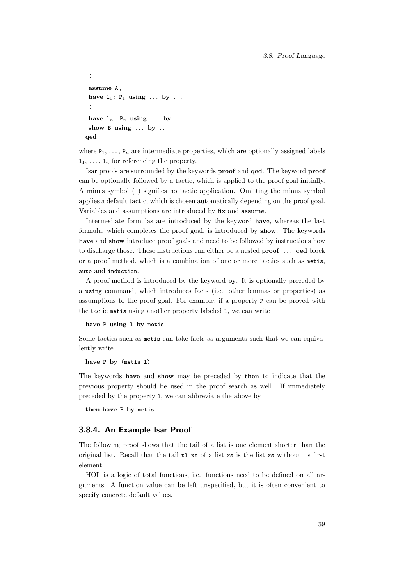#### 3.8. Proof Language

```
.
.
.
assume A_nhave 1_1: P_1 using ... by ...
 .
 .
 .
have 1_n: P_n using ... by ...
show B using ... by ...
qed
```
where  $P_1, \ldots, P_n$  are intermediate properties, which are optionally assigned labels  $1_1, \ldots, 1_n$  for referencing the property.

Isar proofs are surrounded by the keywords proof and qed. The keyword proof can be optionally followed by a tactic, which is applied to the proof goal initially. A minus symbol (-) signifies no tactic application. Omitting the minus symbol applies a default tactic, which is chosen automatically depending on the proof goal. Variables and assumptions are introduced by fix and assume.

Intermediate formulas are introduced by the keyword have, whereas the last formula, which completes the proof goal, is introduced by show. The keywords have and show introduce proof goals and need to be followed by instructions how to discharge those. These instructions can either be a nested proof ... qed block or a proof method, which is a combination of one or more tactics such as metis, auto and induction.

A proof method is introduced by the keyword by. It is optionally preceded by a using command, which introduces facts (i.e. other lemmas or properties) as assumptions to the proof goal. For example, if a property P can be proved with the tactic metis using another property labeled l, we can write

have P using l by metis

Some tactics such as metis can take facts as arguments such that we can equivalently write

have P by (metis l)

The keywords have and show may be preceded by then to indicate that the previous property should be used in the proof search as well. If immediately preceded by the property l, we can abbreviate the above by

then have P by metis

#### 3.8.4. An Example Isar Proof

The following proof shows that the tail of a list is one element shorter than the original list. Recall that the tail  $t_1$  xs of a list xs is the list xs without its first element.

HOL is a logic of total functions, i.e. functions need to be defined on all arguments. A function value can be left unspecified, but it is often convenient to specify concrete default values.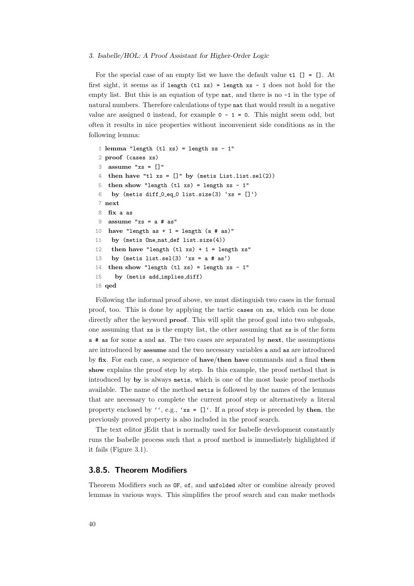#### 3. Isabelle/HOL: A Proof Assistant for Higher-Order Logic

For the special case of an empty list we have the default value  $t1$  [] = []. At first sight, it seems as if length  $(tl$  xs) = length xs - 1 does not hold for the empty list. But this is an equation of type nat, and there is no -1 in the type of natural numbers. Therefore calculations of type nat that would result in a negative value are assigned 0 instead, for example  $0 - 1 = 0$ . This might seem odd, but often it results in nice properties without inconvenient side conditions as in the following lemma:

```
1 lemma "length (tl xs) = length xs - 1"
2 proof (cases xs)
3 assume "xs = []"
4 then have "tl xs = []" by (metis List.list.sel(2))
5 then show "length (tl xs) = length xs - 1"
6 by (metis diff 0-eq0 list.size(3) 'xs = []')
7 next
8 fix a as
9 assume "xs = a # as"
10 have "length as + 1 = length (a # as)"
11 by (metis One nat def list.size(4))
12 then have "length (t1 xs) + 1 = length xs"
13 by (metis list.sel(3) 'xs = a # as')
14 then show "length (tl xs) = length xs - 1"
15 by (metis add implies diff)
16 qed
```
<span id="page-49-1"></span><span id="page-49-0"></span>Following the informal proof above, we must distinguish two cases in the formal proof, too. This is done by applying the tactic cases on xs, which can be done directly after the keyword **proof**. This will split the proof goal into two subgoals, one assuming that xs is the empty list, the other assuming that xs is of the form a # as for some a and as. The two cases are separated by next, the assumptions are introduced by assume and the two necessary variables a and as are introduced by fix. For each case, a sequence of have/then have commands and a final then show explains the proof step by step. In this example, the proof method that is introduced by by is always metis, which is one of the most basic proof methods available. The name of the method metis is followed by the names of the lemmas that are necessary to complete the current proof step or alternatively a literal property enclosed by '', e.g., ' $xs = []'$ . If a proof step is preceded by then, the previously proved property is also included in the proof search.

The text editor jEdit that is normally used for Isabelle development constantly runs the Isabelle process such that a proof method is immediately highlighted if it fails (Figure [3.1\)](#page-50-0).

#### 3.8.5. Theorem Modifiers

Theorem Modifiers such as OF, of, and unfolded alter or combine already proved lemmas in various ways. This simplifies the proof search and can make methods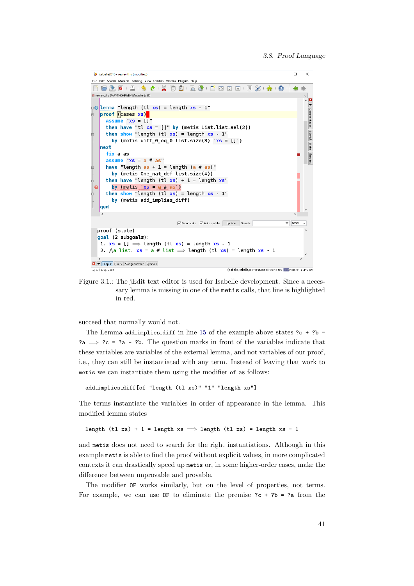<span id="page-50-0"></span>

Figure 3.1.: The jEdit text editor is used for Isabelle development. Since a necessary lemma is missing in one of the metis calls, that line is highlighted in red.

succeed that normally would not.

The Lemma add implies diff in line [15](#page-49-0) of the example above states  $?c + ?b =$ ?a  $\Rightarrow$  ?c = ?a - ?b. The question marks in front of the variables indicate that these variables are variables of the external lemma, and not variables of our proof, i.e., they can still be instantiated with any term. Instead of leaving that work to metis we can instantiate them using the modifier of as follows:

add implies diff[of "length (tl xs)" "1" "length xs"]

The terms instantiate the variables in order of appearance in the lemma. This modified lemma states

length (tl xs) + 1 = length xs  $\implies$  length (tl xs) = length xs - 1

and metis does not need to search for the right instantiations. Although in this example metis is able to find the proof without explicit values, in more complicated contexts it can drastically speed up metis or, in some higher-order cases, make the difference between unprovable and provable.

The modifier OF works similarly, but on the level of properties, not terms. For example, we can use  $OF$  to eliminate the premise  $?c + ?b = ?a$  from the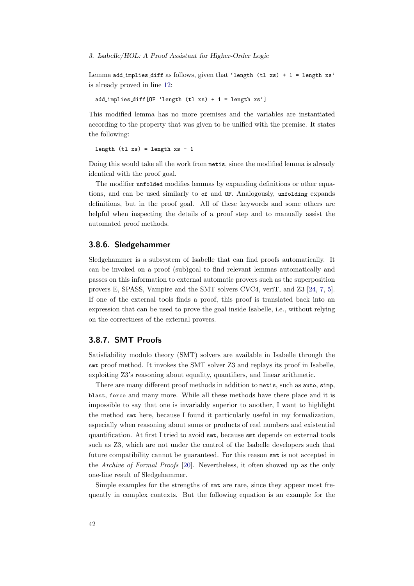3. Isabelle/HOL: A Proof Assistant for Higher-Order Logic

Lemma add implies diff as follows, given that 'length  $(tl xs) + 1 = length xs'$ is already proved in line [12:](#page-49-1)

add implies diff[OF 'length (tl xs) + 1 = length xs']

This modified lemma has no more premises and the variables are instantiated according to the property that was given to be unified with the premise. It states the following:

length  $(t1 xs) = length xs - 1$ 

Doing this would take all the work from metis, since the modified lemma is already identical with the proof goal.

The modifier unfolded modifies lemmas by expanding definitions or other equations, and can be used similarly to of and OF. Analogously, unfolding expands definitions, but in the proof goal. All of these keywords and some others are helpful when inspecting the details of a proof step and to manually assist the automated proof methods.

#### 3.8.6. Sledgehammer

Sledgehammer is a subsystem of Isabelle that can find proofs automatically. It can be invoked on a proof (sub)goal to find relevant lemmas automatically and passes on this information to external automatic provers such as the superposition provers E, SPASS, Vampire and the SMT solvers CVC4, veriT, and Z3 [\[24,](#page-77-1) [7,](#page-76-0) [5\]](#page-76-1). If one of the external tools finds a proof, this proof is translated back into an expression that can be used to prove the goal inside Isabelle, i.e., without relying on the correctness of the external provers.

#### 3.8.7. SMT Proofs

Satisfiability modulo theory (SMT) solvers are available in Isabelle through the smt proof method. It invokes the SMT solver Z3 and replays its proof in Isabelle, exploiting Z3's reasoning about equality, quantifiers, and linear arithmetic.

There are many different proof methods in addition to metis, such as auto, simp, blast, force and many more. While all these methods have there place and it is impossible to say that one is invariably superior to another, I want to highlight the method smt here, because I found it particularly useful in my formalization, especially when reasoning about sums or products of real numbers and existential quantification. At first I tried to avoid smt, because smt depends on external tools such as Z3, which are not under the control of the Isabelle developers such that future compatibility cannot be guaranteed. For this reason smt is not accepted in the Archive of Formal Proofs [\[20\]](#page-77-0). Nevertheless, it often showed up as the only one-line result of Sledgehammer.

Simple examples for the strengths of smt are rare, since they appear most frequently in complex contexts. But the following equation is an example for the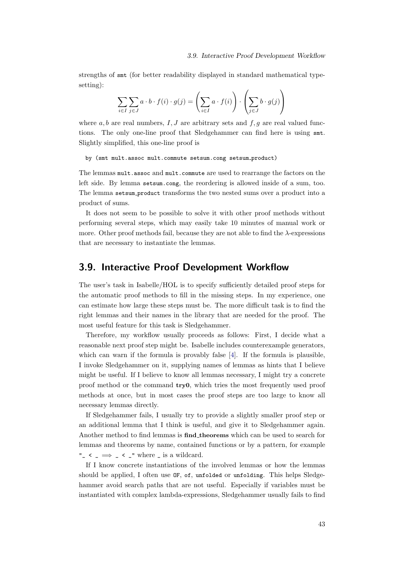strengths of smt (for better readability displayed in standard mathematical typesetting):

$$
\sum_{i \in I} \sum_{j \in J} a \cdot b \cdot f(i) \cdot g(j) = \left(\sum_{i \in I} a \cdot f(i)\right) \cdot \left(\sum_{j \in J} b \cdot g(j)\right)
$$

where  $a, b$  are real numbers,  $I, J$  are arbitrary sets and  $f, g$  are real valued functions. The only one-line proof that Sledgehammer can find here is using smt. Slightly simplified, this one-line proof is

by (smt mult.assoc mult.commute setsum.cong setsum product)

The lemmas mult.assoc and mult.commute are used to rearrange the factors on the left side. By lemma setsum.cong, the reordering is allowed inside of a sum, too. The lemma setsum product transforms the two nested sums over a product into a product of sums.

It does not seem to be possible to solve it with other proof methods without performing several steps, which may easily take 10 minutes of manual work or more. Other proof methods fail, because they are not able to find the  $\lambda$ -expressions that are necessary to instantiate the lemmas.

## 3.9. Interactive Proof Development Workflow

The user's task in Isabelle/HOL is to specify sufficiently detailed proof steps for the automatic proof methods to fill in the missing steps. In my experience, one can estimate how large these steps must be. The more difficult task is to find the right lemmas and their names in the library that are needed for the proof. The most useful feature for this task is Sledgehammer.

Therefore, my workflow usually proceeds as follows: First, I decide what a reasonable next proof step might be. Isabelle includes counterexample generators, which can warn if the formula is provably false [\[4\]](#page-76-2). If the formula is plausible, I invoke Sledgehammer on it, supplying names of lemmas as hints that I believe might be useful. If I believe to know all lemmas necessary, I might try a concrete proof method or the command try0, which tries the most frequently used proof methods at once, but in most cases the proof steps are too large to know all necessary lemmas directly.

If Sledgehammer fails, I usually try to provide a slightly smaller proof step or an additional lemma that I think is useful, and give it to Sledgehammer again. Another method to find lemmas is find theorems which can be used to search for lemmas and theorems by name, contained functions or by a pattern, for example " $\angle$  <  $\Rightarrow$   $\angle$  <  $\angle$ " where  $\angle$  is a wildcard.

If I know concrete instantiations of the involved lemmas or how the lemmas should be applied, I often use OF, of, unfolded or unfolding. This helps Sledgehammer avoid search paths that are not useful. Especially if variables must be instantiated with complex lambda-expressions, Sledgehammer usually fails to find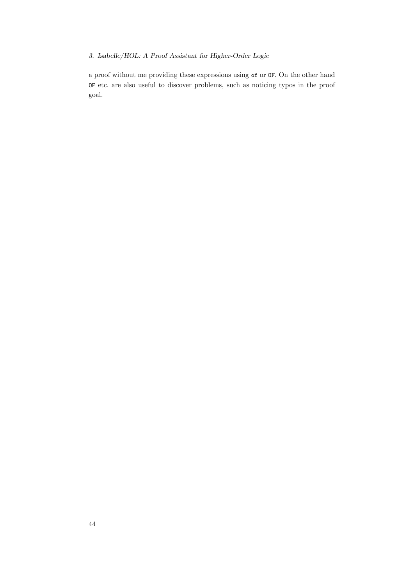## 3. Isabelle/HOL: A Proof Assistant for Higher-Order Logic

a proof without me providing these expressions using of or OF. On the other hand OF etc. are also useful to discover problems, such as noticing typos in the proof goal.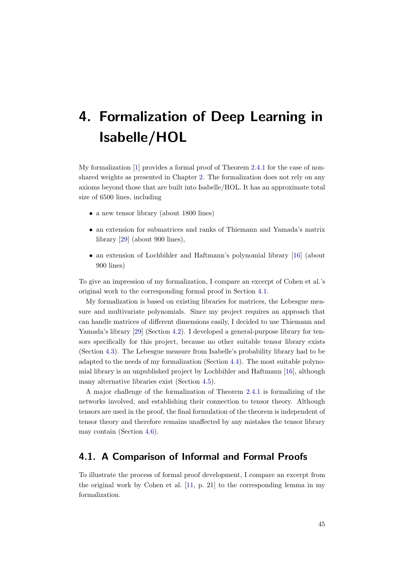My formalization [\[1\]](#page-76-3) provides a formal proof of Theorem [2.4.1](#page-18-0) for the case of nonshared weights as presented in Chapter [2.](#page-12-0) The formalization does not rely on any axioms beyond those that are built into Isabelle/HOL. It has an approximate total size of 6500 lines, including

- a new tensor library (about 1800 lines)
- an extension for submatrices and ranks of Thiemann and Yamada's matrix library [\[29\]](#page-78-0) (about 900 lines),
- an extension of Lochbihler and Haftmann's polynomial library [\[16\]](#page-77-2) (about 900 lines)

To give an impression of my formalization, I compare an excerpt of Cohen et al.'s original work to the corresponding formal proof in Section [4.1.](#page-54-0)

My formalization is based on existing libraries for matrices, the Lebesgue measure and multivariate polynomials. Since my project requires an approach that can handle matrices of different dimensions easily, I decided to use Thiemann and Yamada's library [\[29\]](#page-78-0) (Section [4.2\)](#page-57-0). I developed a general-purpose library for tensors specifically for this project, because no other suitable tensor library exists (Section [4.3\)](#page-61-0). The Lebesgue measure from Isabelle's probability library had to be adapted to the needs of my formalization (Section [4.4\)](#page-63-0). The most suitable polynomial library is an unpublished project by Lochbihler and Haftmann [\[16\]](#page-77-2), although many alternative libraries exist (Section [4.5\)](#page-64-0).

A major challenge of the formalization of Theorem [2.4.1](#page-18-0) is formalizing of the networks involved, and establishing their connection to tensor theory. Although tensors are used in the proof, the final formulation of the theorem is independent of tensor theory and therefore remains unaffected by any mistakes the tensor library may contain (Section [4.6\)](#page-67-0).

# <span id="page-54-0"></span>4.1. A Comparison of Informal and Formal Proofs

To illustrate the process of formal proof development, I compare an excerpt from the original work by Cohen et al. [\[11,](#page-76-4) p. 21] to the corresponding lemma in my formalization.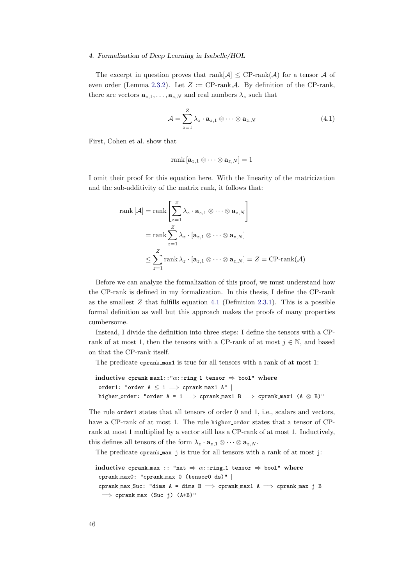The excerpt in question proves that rank $[\mathcal{A}] \leq CP$ -rank $(\mathcal{A})$  for a tensor  $\mathcal A$  of even order (Lemma [2.3.2\)](#page-17-0). Let  $Z := \text{CP-rank } A$ . By definition of the CP-rank, there are vectors  $\mathbf{a}_{z,1}, \ldots, \mathbf{a}_{z,N}$  and real numbers  $\lambda_z$  such that

<span id="page-55-0"></span>
$$
\mathcal{A} = \sum_{z=1}^{Z} \lambda_z \cdot \mathbf{a}_{z,1} \otimes \cdots \otimes \mathbf{a}_{z,N}
$$
(4.1)

First, Cohen et al. show that

$$
\mathrm{rank}\left[\mathbf{a}_{z,1}\otimes\cdots\otimes\mathbf{a}_{z,N}\right]=1
$$

I omit their proof for this equation here. With the linearity of the matricization and the sub-additivity of the matrix rank, it follows that:

$$
\operatorname{rank} [\mathcal{A}] = \operatorname{rank} \left[ \sum_{z=1}^{Z} \lambda_z \cdot \mathbf{a}_{z,1} \otimes \cdots \otimes \mathbf{a}_{z,N} \right]
$$
  
= 
$$
\operatorname{rank} \sum_{z=1}^{Z} \lambda_z \cdot [\mathbf{a}_{z,1} \otimes \cdots \otimes \mathbf{a}_{z,N}]
$$
  

$$
\leq \sum_{z=1}^{Z} \operatorname{rank} \lambda_z \cdot [\mathbf{a}_{z,1} \otimes \cdots \otimes \mathbf{a}_{z,N}] = Z = \operatorname{CP-rank}(\mathcal{A})
$$

Before we can analyze the formalization of this proof, we must understand how the CP-rank is defined in my formalization. In this thesis, I define the CP-rank as the smallest  $Z$  that fulfills equation [4.1](#page-55-0) (Definition [2.3.1\)](#page-17-1). This is a possible formal definition as well but this approach makes the proofs of many properties cumbersome.

Instead, I divide the definition into three steps: I define the tensors with a CPrank of at most 1, then the tensors with a CP-rank of at most  $j \in \mathbb{N}$ , and based on that the CP-rank itself.

The predicate cprank max1 is true for all tensors with a rank of at most 1:

```
inductive cprank max1::"\alpha::ring 1 tensor \Rightarrow bool" where
 order1: "order A \leq 1 \implies cprank_max1 A" |
 higher_order: "order A = 1 \implies cprank_max1 B \implies cprank_max1 (A \otimes B)"
```
The rule order1 states that all tensors of order 0 and 1, i.e., scalars and vectors, have a CP-rank of at most 1. The rule higher order states that a tensor of CPrank at most 1 multiplied by a vector still has a CP-rank of at most 1. Inductively, this defines all tensors of the form  $\lambda_z \cdot \mathbf{a}_{z,1} \otimes \cdots \otimes \mathbf{a}_{z,N}$ .

The predicate cprank max j is true for all tensors with a rank of at most j:

```
inductive cprank max :: "nat \Rightarrow \alpha::ring 1 tensor \Rightarrow bool" where
 cprank max0: "cprank max 0 (tensor0 ds)" |
 cprank max Suc: "dims A = dims B \implies cprank max1 A \implies cprank max j B
  \implies cprank max (Suc j) (A+B)"
```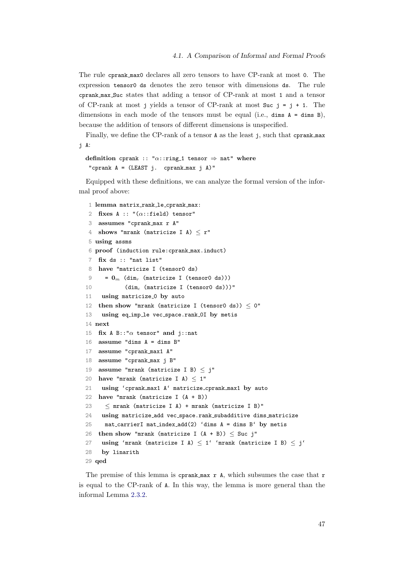The rule cprank max0 declares all zero tensors to have CP-rank at most 0. The expression tensor0 ds denotes the zero tensor with dimensions ds. The rule cprank max Suc states that adding a tensor of CP-rank at most 1 and a tensor of CP-rank at most j yields a tensor of CP-rank at most  $Suc$  j = j + 1. The dimensions in each mode of the tensors must be equal (i.e., dimensions A = dimensions), because the addition of tensors of different dimensions is unspecified.

Finally, we define the CP-rank of a tensor A as the least j, such that cprank max j A:

definition cprank :: " $\alpha$ ::ring 1 tensor  $\Rightarrow$  nat" where "cprank  $A = (LEAST j. cprank_max j A)$ "

Equipped with these definitions, we can analyze the formal version of the informal proof above:

```
1 lemma matrix rank le cprank max:
2 fixes A :: "(\alpha::field) tensor"
3 assumes "cprank max r A"
4 shows "mrank (matricize I A) \leq r"
5 using assms
6 proof (induction rule:cprank max.induct)
7 fix ds :: "nat list"
8 have "matricize I (tensor0 ds)
9 = 0<sub>m</sub> (dim<sub>r</sub> (matricize I (tensor0 ds)))
10 (\dim_c \text{ (matricize I (tensor 0 ds))})"
11 using matricize<sub>-0</sub> by auto
12 then show "mrank (matricize I (tensor0 ds)) \leq 0"
13 using eq imp le vec space.rank 0I by metis
14 next
15 fix A B::"\alpha tensor" and j::nat
16 assume "dims A = dims B"
17 assume "cprank max1 A"
18 assume "cprank max j B"
19 assume "mrank (matricize I B) \leq j"
20 have "mrank (matricize I A) \leq 1"
21 using 'cprank max1 A' matricize cprank max1 by auto
22 have "mrank (matricize I (A + B))
23 \leq mrank (matricize I A) + mrank (matricize I B)"
24 using matricize add vec space.rank subadditive dims matricize
25 mat_carrierI mat_index_add(2) 'dims A = dims B' by metis
26 then show "mrank (matricize I (A + B)) \leq Suc j"
27 using 'mrank (matricize I A) \leq 1' 'mrank (matricize I B) \leq j'
28 by linarith
29 qed
```
<span id="page-56-8"></span><span id="page-56-7"></span><span id="page-56-6"></span><span id="page-56-5"></span><span id="page-56-4"></span>The premise of this lemma is cprank max r A, which subsumes the case that r is equal to the CP-rank of A. In this way, the lemma is more general than the informal Lemma [2.3.2.](#page-17-0)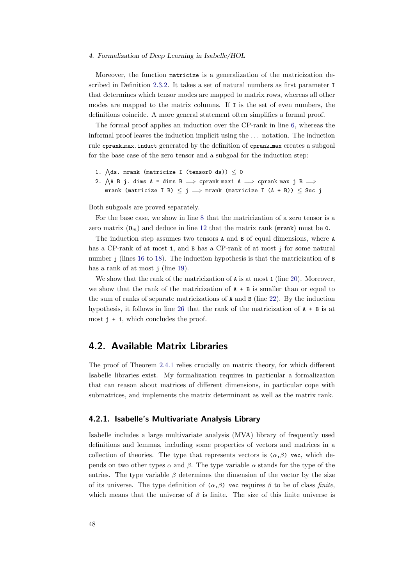Moreover, the function matricize is a generalization of the matricization described in Definition [2.3.2.](#page-17-2) It takes a set of natural numbers as first parameter I that determines which tensor modes are mapped to matrix rows, whereas all other modes are mapped to the matrix columns. If I is the set of even numbers, the definitions coincide. A more general statement often simplifies a formal proof.

The formal proof applies an induction over the CP-rank in line [6,](#page-56-0) whereas the informal proof leaves the induction implicit using the . . . notation. The induction rule cprank max.induct generated by the definition of cprank max creates a subgoal for the base case of the zero tensor and a subgoal for the induction step:

```
1. \bigwedgeds. mrank (matricize I (tensor0 ds)) \leq 0
2. \bigwedgeA B j. dims A = dims B \implies cprank_max1 A \implies cprank_max j B \impliesmrank (matricize I B) \leq j \implies mrank (matricize I (A + B)) \leq Suc j
```
Both subgoals are proved separately.

For the base case, we show in line [8](#page-56-1) that the matricization of a zero tensor is a zero matrix  $(\mathbf{0}_m)$  and deduce in line [12](#page-56-2) that the matrix rank (mrank) must be 0.

The induction step assumes two tensors A and B of equal dimensions, where A has a CP-rank of at most 1, and B has a CP-rank of at most j for some natural number j (lines [16](#page-56-3) to [18\)](#page-56-4). The induction hypothesis is that the matricization of B has a rank of at most j (line [19\)](#page-56-5).

We show that the rank of the matricization of **A** is at most 1 (line [20\)](#page-56-6). Moreover, we show that the rank of the matricization of  $A + B$  is smaller than or equal to the sum of ranks of separate matricizations of A and B (line [22\)](#page-56-7). By the induction hypothesis, it follows in line [26](#page-56-8) that the rank of the matricization of A + B is at most  $j + 1$ , which concludes the proof.

## <span id="page-57-0"></span>4.2. Available Matrix Libraries

The proof of Theorem [2.4.1](#page-18-0) relies crucially on matrix theory, for which different Isabelle libraries exist. My formalization requires in particular a formalization that can reason about matrices of different dimensions, in particular cope with submatrices, and implements the matrix determinant as well as the matrix rank.

#### 4.2.1. Isabelle's Multivariate Analysis Library

Isabelle includes a large multivariate analysis (MVA) library of frequently used definitions and lemmas, including some properties of vectors and matrices in a collection of theories. The type that represents vectors is  $(\alpha, \beta)$  vec, which depends on two other types α and β. The type variable α stands for the type of the entries. The type variable  $\beta$  determines the dimension of the vector by the size of its universe. The type definition of  $(\alpha, \beta)$  vec requires  $\beta$  to be of class finite, which means that the universe of  $\beta$  is finite. The size of this finite universe is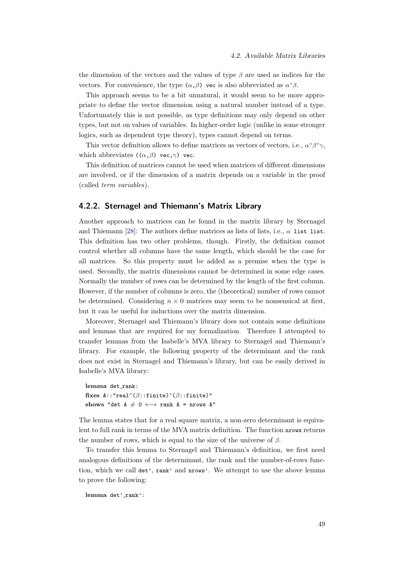the dimension of the vectors and the values of type  $\beta$  are used as indices for the vectors. For convenience, the type  $(\alpha, \beta)$  vec is also abbreviated as  $\alpha^*\beta$ .

This approach seems to be a bit unnatural, it would seem to be more appropriate to define the vector dimension using a natural number instead of a type. Unfortunately this is not possible, as type definitions may only depend on other types, but not on values of variables. In higher-order logic (unlike in some stronger logics, such as dependent type theory), types cannot depend on terms.

This vector definition allows to define matrices as vectors of vectors, i.e.,  $\alpha^{\gamma}\beta^{\gamma}\gamma$ , which abbreviates  $((\alpha, \beta)$  vec,  $\gamma)$  vec.

This definition of matrices cannot be used when matrices of different dimensions are involved, or if the dimension of a matrix depends on a variable in the proof (called term variables).

#### <span id="page-58-0"></span>4.2.2. Sternagel and Thiemann's Matrix Library

Another approach to matrices can be found in the matrix library by Sternagel and Thiemann [\[28\]](#page-78-1): The authors define matrices as lists of lists, i.e.,  $\alpha$  list list. This definition has two other problems, though. Firstly, the definition cannot control whether all columns have the same length, which should be the case for all matrices. So this property must be added as a premise when the type is used. Secondly, the matrix dimensions cannot be determined in some edge cases. Normally the number of rows can be determined by the length of the first column. However, if the number of columns is zero, the (theoretical) number of rows cannot be determined. Considering  $n \times 0$  matrices may seem to be nonsensical at first, but it can be useful for inductions over the matrix dimension.

Moreover, Sternagel and Thiemann's library does not contain some definitions and lemmas that are required for my formalization. Therefore I attempted to transfer lemmas from the Isabelle's MVA library to Sternagel and Thiemann's library. For example, the following property of the determinant and the rank does not exist in Sternagel and Thiemann's library, but can be easily derived in Isabelle's MVA library:

lemma det\_rank: fixes  $A$ ::"real^ $(\beta$ ::finite)^( $\beta$ ::finite)" shows "det  $A \neq 0 \leftrightarrow \text{rank } A = \text{arrows } A$ "

The lemma states that for a real square matrix, a non-zero determinant is equivalent to full rank in terms of the MVA matrix definition. The function nrows returns the number of rows, which is equal to the size of the universe of  $\beta$ .

To transfer this lemma to Sternagel and Thiemann's definition, we first need analogous definitions of the determinant, the rank and the number-of-rows function, which we call det', rank' and nrows'. We attempt to use the above lemma to prove the following:

lemma det'\_rank':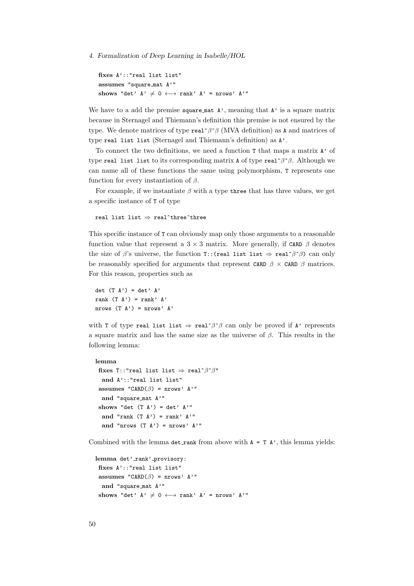```
fixes A'::"real list list"
assumes "square mat A'"
shows "det' A' \neq 0 \leftrightarrow \text{rank}' A' = \text{nrows}' A''
```
We have to a add the premise square mat  $A'$ , meaning that  $A'$  is a square matrix because in Sternagel and Thiemann's definition this premise is not ensured by the type. We denote matrices of type real $\hat{\beta}$  (MVA definition) as A and matrices of type real list list (Sternagel and Thiemann's definition) as A'.

To connect the two definitions, we need a function T that maps a matrix A' of type real list list to its corresponding matrix A of type real $\hat{\ }$ β. Although we can name all of these functions the same using polymorphism, T represents one function for every instantiation of  $\beta$ .

For example, if we instantiate  $\beta$  with a type three that has three values, we get a specific instance of T of type

real list list  $\Rightarrow$  real^three^three

This specific instance of T can obviously map only those arguments to a reasonable function value that represent a  $3 \times 3$  matrix. More generally, if CARD  $\beta$  denotes the size of  $\beta$ 's universe, the function T::(real list list  $\Rightarrow$  real $\hat{\beta}$ ) can only be reasonably specified for arguments that represent CARD  $\beta \times$  CARD  $\beta$  matrices. For this reason, properties such as

det  $(T A') = det' A'$ rank  $(T A') = rank' A'$ nrows  $(T A')$  = nrows'  $A'$ 

with T of type real list list  $\Rightarrow$  real $\hat{\beta}$  can only be proved if A' represents a square matrix and has the same size as the universe of  $\beta$ . This results in the following lemma:

```
lemma
```

```
fixes T::"real list list \Rightarrow real^\beta^*\beta"
 and A'::"real list list"
assumes "CARD(\beta) = nrows' A'"
 and "square mat A'"
shows "det (T A') = det' A''and "rank (T A') = \text{rank}' A'"
 and "nrows (T A') = nrows' A'"
```
Combined with the lemma det rank from above with  $A = T A'$ , this lemma yields:

```
lemma det'_rank'_provisory:
 fixes A'::"real list list"
 assumes "CARD(\beta) = nrows' A'"
  and "square mat A'"
 shows "det' A' \neq 0 \leftrightarrow \text{rank}' A' = \text{nrows}' A'"
```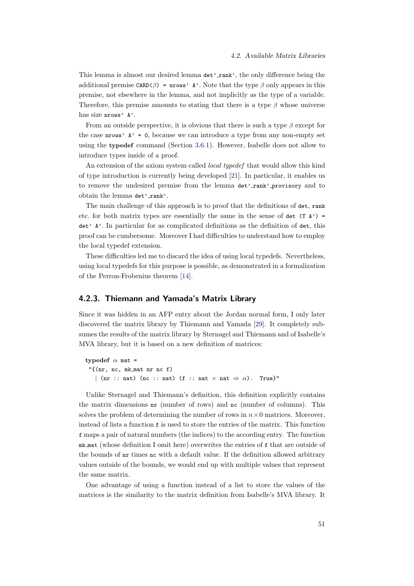This lemma is almost our desired lemma  $det'$  rank', the only difference being the additional premise  $CARD(\beta)$  = nrows' A'. Note that the type  $\beta$  only appears in this premise, not elsewhere in the lemma, and not implicitly as the type of a variable. Therefore, this premise amounts to stating that there is a type  $\beta$  whose universe has size nrows' A'.

From an outside perspective, it is obvious that there is such a type  $\beta$  except for the case **nrows'**  $A' = 0$ , because we can introduce a type from any non-empty set using the typedef command (Section [3.6.1\)](#page-43-0). However, Isabelle does not allow to introduce types inside of a proof.

An extension of the axiom system called *local typedef* that would allow this kind of type introduction is currently being developed [\[21\]](#page-77-3). In particular, it enables us to remove the undesired premise from the lemma  $\det'$ -rank' provisory and to obtain the lemma det' rank'.

The main challenge of this approach is to proof that the definitions of det, rank etc. for both matrix types are essentially the same in the sense of det  $(T A')$  = det' A'. In particular for as complicated definitions as the definition of det, this proof can be cumbersome. Moreover I had difficulties to understand how to employ the local typedef extension.

These difficulties led me to discard the idea of using local typedefs. Nevertheless, using local typedefs for this purpose is possible, as demonstrated in a formalization of the Perron-Frobenius theorem [\[14\]](#page-77-4).

#### 4.2.3. Thiemann and Yamada's Matrix Library

Since it was hidden in an AFP entry about the Jordan normal form, I only later discovered the matrix library by Thiemann and Yamada [\[29\]](#page-78-0). It completely subsumes the results of the matrix library by Sternagel and Thiemann and of Isabelle's MVA library, but it is based on a new definition of matrices:

```
typedef \alpha mat =
 "{(nr, nc, mk mat nr nc f)
   | (nr :: nat) (nc :: nat) (f :: nat \times nat \Rightarrow \alpha). True}"
```
Unlike Sternagel and Thiemann's definition, this definition explicitly contains the matrix dimensions nr (number of rows) and nc (number of columns). This solves the problem of determining the number of rows in  $n \times 0$  matrices. Moreover, instead of lists a function f is used to store the entries of the matrix. This function f maps a pair of natural numbers (the indices) to the according entry. The function mk mat (whose definition I omit here) overwrites the entries of f that are outside of the bounds of nr times nc with a default value. If the definition allowed arbitrary values outside of the bounds, we would end up with multiple values that represent the same matrix.

One advantage of using a function instead of a list to store the values of the matrices is the similarity to the matrix definition from Isabelle's MVA library. It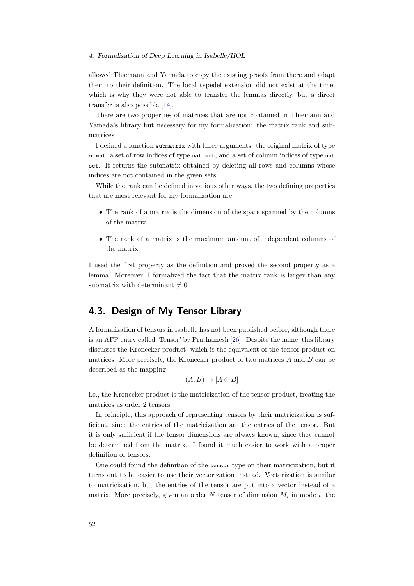allowed Thiemann and Yamada to copy the existing proofs from there and adapt them to their definition. The local typedef extension did not exist at the time, which is why they were not able to transfer the lemmas directly, but a direct transfer is also possible [\[14\]](#page-77-4).

There are two properties of matrices that are not contained in Thiemann and Yamada's library but necessary for my formalization: the matrix rank and submatrices.

I defined a function submatrix with three arguments: the original matrix of type  $\alpha$  mat, a set of row indices of type nat set, and a set of column indices of type nat set. It returns the submatrix obtained by deleting all rows and columns whose indices are not contained in the given sets.

While the rank can be defined in various other ways, the two defining properties that are most relevant for my formalization are:

- The rank of a matrix is the dimension of the space spanned by the columns of the matrix.
- The rank of a matrix is the maximum amount of independent columns of the matrix.

I used the first property as the definition and proved the second property as a lemma. Moreover, I formalized the fact that the matrix rank is larger than any submatrix with determinant  $\neq 0$ .

# <span id="page-61-0"></span>4.3. Design of My Tensor Library

A formalization of tensors in Isabelle has not been published before, although there is an AFP entry called 'Tensor' by Prathamesh [\[26\]](#page-77-5). Despite the name, this library discusses the Kronecker product, which is the equivalent of the tensor product on matrices. More precisely, the Kronecker product of two matrices  $A$  and  $B$  can be described as the mapping

$$
(A, B) \mapsto [A \otimes B]
$$

i.e., the Kronecker product is the matricization of the tensor product, treating the matrices as order 2 tensors.

In principle, this approach of representing tensors by their matricization is sufficient, since the entries of the matricization are the entries of the tensor. But it is only sufficient if the tensor dimensions are always known, since they cannot be determined from the matrix. I found it much easier to work with a proper definition of tensors.

One could found the definition of the tensor type on their matricization, but it turns out to be easier to use their vectorization instead. Vectorization is similar to matricization, but the entries of the tensor are put into a vector instead of a matrix. More precisely, given an order  $N$  tensor of dimension  $M_i$  in mode i, the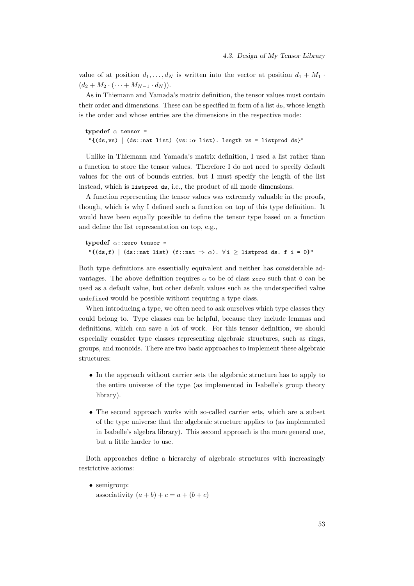value of at position  $d_1, \ldots, d_N$  is written into the vector at position  $d_1 + M_1$ .  $(d_2 + M_2 \cdot (\cdots + M_{N-1} \cdot d_N)).$ 

As in Thiemann and Yamada's matrix definition, the tensor values must contain their order and dimensions. These can be specified in form of a list ds, whose length is the order and whose entries are the dimensions in the respective mode:

```
typedef \alpha tensor =
 "\{(\text{ds},\text{vs}) \mid (\text{ds}: \text{nat list}) \ (\text{vs}::\alpha \text{ list}).\ \text{length vs = listprod ds} \}
```
Unlike in Thiemann and Yamada's matrix definition, I used a list rather than a function to store the tensor values. Therefore I do not need to specify default values for the out of bounds entries, but I must specify the length of the list instead, which is listprod ds, i.e., the product of all mode dimensions.

A function representing the tensor values was extremely valuable in the proofs, though, which is why I defined such a function on top of this type definition. It would have been equally possible to define the tensor type based on a function and define the list representation on top, e.g.,

typedef  $\alpha$ ::zero tensor = " $\{(\text{ds},f) \mid (\text{ds}:\text{nat list}) \; (\text{f}:\text{nat} \Rightarrow \alpha). \; \forall i \geq \text{listprod ds. f} \; i = 0 \}$ "

Both type definitions are essentially equivalent and neither has considerable advantages. The above definition requires  $\alpha$  to be of class zero such that 0 can be used as a default value, but other default values such as the underspecified value undefined would be possible without requiring a type class.

When introducing a type, we often need to ask ourselves which type classes they could belong to. Type classes can be helpful, because they include lemmas and definitions, which can save a lot of work. For this tensor definition, we should especially consider type classes representing algebraic structures, such as rings, groups, and monoids. There are two basic approaches to implement these algebraic structures:

- In the approach without carrier sets the algebraic structure has to apply to the entire universe of the type (as implemented in Isabelle's group theory library).
- The second approach works with so-called carrier sets, which are a subset of the type universe that the algebraic structure applies to (as implemented in Isabelle's algebra library). This second approach is the more general one, but a little harder to use.

Both approaches define a hierarchy of algebraic structures with increasingly restrictive axioms:

• semigroup: associativity  $(a + b) + c = a + (b + c)$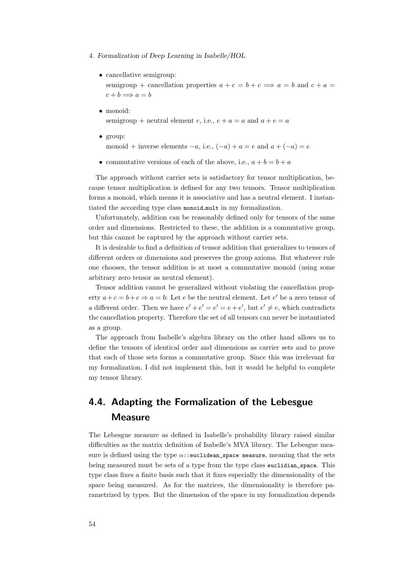- 4. Formalization of Deep Learning in Isabelle/HOL
	- cancellative semigroup: semigroup + cancellation properties  $a + c = b + c \implies a = b$  and  $c + a =$  $c + b \Longrightarrow a = b$
	- monoid: semigroup + neutral element e, i.e.,  $e + a = a$  and  $a + e = a$
	- group:
		- monoid + inverse elements  $-a$ , i.e.,  $(-a) + a = e$  and  $a + (-a) = e$
	- commutative versions of each of the above, i.e.,  $a + b = b + a$

The approach without carrier sets is satisfactory for tensor multiplication, because tensor multiplication is defined for any two tensors. Tensor multiplication forms a monoid, which means it is associative and has a neutral element. I instantiated the according type class monoid mult in my formalization.

Unfortunately, addition can be reasonably defined only for tensors of the same order and dimensions. Restricted to these, the addition is a commutative group, but this cannot be captured by the approach without carrier sets.

It is desirable to find a definition of tensor addition that generalizes to tensors of different orders or dimensions and preserves the group axioms. But whatever rule one chooses, the tensor addition is at most a commutative monoid (using some arbitrary zero tensor as neutral element).

Tensor addition cannot be generalized without violating the cancellation property  $a+c=b+c \Rightarrow a=b$ : Let e be the neutral element. Let e' be a zero tensor of a different order. Then we have  $e' + e' = e' = e + e'$ , but  $e' \neq e$ , which contradicts the cancellation property. Therefore the set of all tensors can never be instantiated as a group.

The approach from Isabelle's algebra library on the other hand allows us to define the tensors of identical order and dimensions as carrier sets and to prove that each of those sets forms a commutative group. Since this was irrelevant for my formalization, I did not implement this, but it would be helpful to complete my tensor library.

# <span id="page-63-0"></span>4.4. Adapting the Formalization of the Lebesgue Measure

The Lebesgue measure as defined in Isabelle's probability library raised similar difficulties as the matrix definition of Isabelle's MVA library. The Lebesgue measure is defined using the type  $\alpha$ ::euclidean space measure, meaning that the sets being measured must be sets of a type from the type class euclidian\_space. This type class fixes a finite basis such that it fixes especially the dimensionality of the space being measured. As for the matrices, the dimensionality is therefore parametrized by types. But the dimension of the space in my formalization depends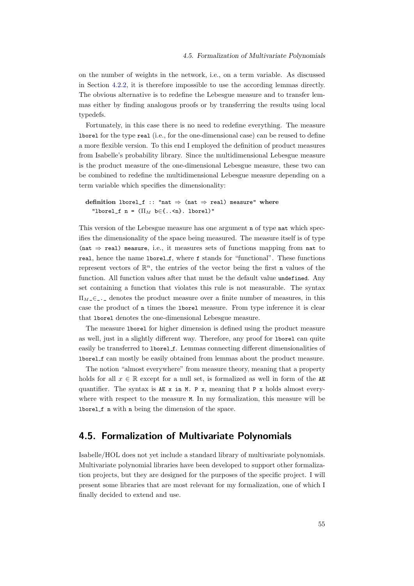on the number of weights in the network, i.e., on a term variable. As discussed in Section [4.2.2,](#page-58-0) it is therefore impossible to use the according lemmas directly. The obvious alternative is to redefine the Lebesgue measure and to transfer lemmas either by finding analogous proofs or by transferring the results using local typedefs.

Fortunately, in this case there is no need to redefine everything. The measure lborel for the type real (i.e., for the one-dimensional case) can be reused to define a more flexible version. To this end I employed the definition of product measures from Isabelle's probability library. Since the multidimensional Lebesgue measure is the product measure of the one-dimensional Lebesgue measure, these two can be combined to redefine the multidimensional Lebesgue measure depending on a term variable which specifies the dimensionality:

```
definition lborel_f :: "nat \Rightarrow (nat \Rightarrow real) measure" where
   "lborel f n = (\Pi_M \; b \in \{ \ldots \leq n \}). lborel)"
```
This version of the Lebesgue measure has one argument n of type nat which specifies the dimensionality of the space being measured. The measure itself is of type (nat  $\Rightarrow$  real) measure, i.e., it measures sets of functions mapping from nat to real, hence the name lborel f, where f stands for "functional". These functions represent vectors of  $\mathbb{R}^n$ , the entries of the vector being the first n values of the function. All function values after that must be the default value undefined. Any set containing a function that violates this rule is not measurable. The syntax  $\Pi_{M}\in\Box$  denotes the product measure over a finite number of measures, in this case the product of n times the lborel measure. From type inference it is clear that lborel denotes the one-dimensional Lebesgue measure.

The measure lborel for higher dimension is defined using the product measure as well, just in a slightly different way. Therefore, any proof for lborel can quite easily be transferred to 1bore1\_f. Lemmas connecting different dimensionalities of lborel f can mostly be easily obtained from lemmas about the product measure.

The notion "almost everywhere" from measure theory, meaning that a property holds for all  $x \in \mathbb{R}$  except for a null set, is formalized as well in form of the AE quantifier. The syntax is  $AE \times in M$ . P x, meaning that P x holds almost everywhere with respect to the measure M. In my formalization, this measure will be lborel f n with n being the dimension of the space.

## <span id="page-64-0"></span>4.5. Formalization of Multivariate Polynomials

Isabelle/HOL does not yet include a standard library of multivariate polynomials. Multivariate polynomial libraries have been developed to support other formalization projects, but they are designed for the purposes of the specific project. I will present some libraries that are most relevant for my formalization, one of which I finally decided to extend and use.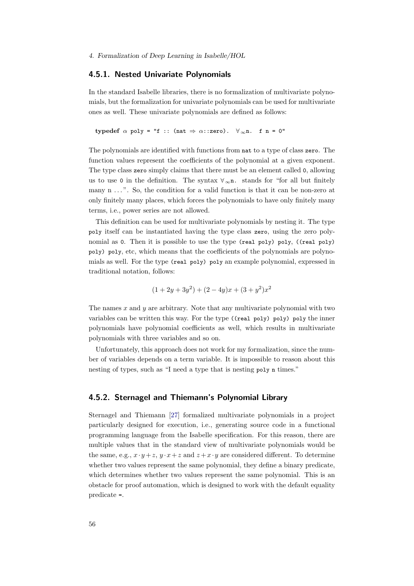#### <span id="page-65-0"></span>4.5.1. Nested Univariate Polynomials

In the standard Isabelle libraries, there is no formalization of multivariate polynomials, but the formalization for univariate polynomials can be used for multivariate ones as well. These univariate polynomials are defined as follows:

typedef  $\alpha$  poly = "f :: (nat  $\Rightarrow \alpha$ ::zero).  $\forall_{\infty}$ n. f n = 0"

The polynomials are identified with functions from nat to a type of class zero. The function values represent the coefficients of the polynomial at a given exponent. The type class zero simply claims that there must be an element called 0, allowing us to use 0 in the definition. The syntax  $\forall_{\infty}$ n. stands for "for all but finitely many n ...". So, the condition for a valid function is that it can be non-zero at only finitely many places, which forces the polynomials to have only finitely many terms, i.e., power series are not allowed.

This definition can be used for multivariate polynomials by nesting it. The type poly itself can be instantiated having the type class zero, using the zero polynomial as 0. Then it is possible to use the type (real poly) poly, ((real poly) poly) poly, etc, which means that the coefficients of the polynomials are polynomials as well. For the type (real poly) poly an example polynomial, expressed in traditional notation, follows:

$$
(1+2y+3y^2) + (2-4y)x + (3+y^2)x^2
$$

The names  $x$  and  $y$  are arbitrary. Note that any multivariate polynomial with two variables can be written this way. For the type  $((real poly) poly) poly$  the inner polynomials have polynomial coefficients as well, which results in multivariate polynomials with three variables and so on.

Unfortunately, this approach does not work for my formalization, since the number of variables depends on a term variable. It is impossible to reason about this nesting of types, such as "I need a type that is nesting poly n times."

### 4.5.2. Sternagel and Thiemann's Polynomial Library

Sternagel and Thiemann [\[27\]](#page-78-2) formalized multivariate polynomials in a project particularly designed for execution, i.e., generating source code in a functional programming language from the Isabelle specification. For this reason, there are multiple values that in the standard view of multivariate polynomials would be the same, e.g.,  $x \cdot y + z$ ,  $y \cdot x + z$  and  $z + x \cdot y$  are considered different. To determine whether two values represent the same polynomial, they define a binary predicate, which determines whether two values represent the same polynomial. This is an obstacle for proof automation, which is designed to work with the default equality predicate =.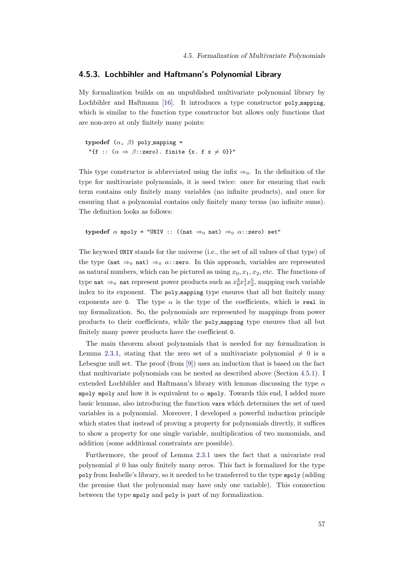#### 4.5.3. Lochbihler and Haftmann's Polynomial Library

My formalization builds on an unpublished multivariate polynomial library by Lochbihler and Haftmann [\[16\]](#page-77-2). It introduces a type constructor poly\_mapping, which is similar to the function type constructor but allows only functions that are non-zero at only finitely many points:

typedef  $(\alpha, \beta)$  poly mapping = "{f ::  $(\alpha \Rightarrow \beta$ ::zero). finite {x. f x  $\neq$  0}}"

This type constructor is abbreviated using the infix  $\Rightarrow_0$ . In the definition of the type for multivariate polynomials, it is used twice: once for ensuring that each term contains only finitely many variables (no infinite products), and once for ensuring that a polynomial contains only finitely many terms (no infinite sums). The definition looks as follows:

typedef  $\alpha$  mpoly = "UNIV :: ((nat  $\Rightarrow$  0 nat)  $\Rightarrow$  0  $\alpha$ ::zero) set"

The keyword UNIV stands for the universe (i.e., the set of all values of that type) of the type (nat  $\Rightarrow$ <sub>0</sub> nat)  $\Rightarrow$ <sub>0</sub>  $\alpha$ ::**zero**. In this approach, variables are represented as natural numbers, which can be pictured as using  $x_0, x_1, x_2$ , etc. The functions of type nat  $\Rightarrow$ <sub>0</sub> nat represent power products such as  $x_0^3 x_1^1 x_2^5$ , mapping each variable index to its exponent. The poly mapping type ensures that all but finitely many exponents are 0. The type  $\alpha$  is the type of the coefficients, which is real in my formalization. So, the polynomials are represented by mappings from power products to their coefficients, while the poly mapping type ensures that all but finitely many power products have the coefficient 0.

The main theorem about polynomials that is needed for my formalization is Lemma [2.3.1,](#page-16-0) stating that the zero set of a multivariate polynomial  $\neq 0$  is a Lebesgue null set. The proof (from [\[9\]](#page-76-5)) uses an induction that is based on the fact that multivariate polynomials can be nested as described above (Section [4.5.1\)](#page-65-0). I extended Lochbihler and Haftmann's library with lemmas discussing the type  $\alpha$ mpoly mpoly and how it is equivalent to  $\alpha$  mpoly. Towards this end, I added more basic lemmas, also introducing the function vars which determines the set of used variables in a polynomial. Moreover, I developed a powerful induction principle which states that instead of proving a property for polynomials directly, it suffices to show a property for one single variable, multiplication of two monomials, and addition (some additional constraints are possible).

Furthermore, the proof of Lemma [2.3.1](#page-16-0) uses the fact that a univariate real polynomial  $\neq 0$  has only finitely many zeros. This fact is formalized for the type poly from Isabelle's library, so it needed to be transferred to the type mpoly (adding the premise that the polynomial may have only one variable). This connection between the type mpoly and poly is part of my formalization.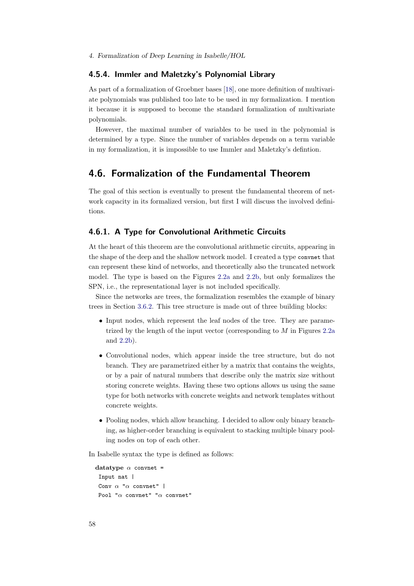## 4.5.4. Immler and Maletzky's Polynomial Library

As part of a formalization of Groebner bases [\[18\]](#page-77-6), one more definition of multivariate polynomials was published too late to be used in my formalization. I mention it because it is supposed to become the standard formalization of multivariate polynomials.

However, the maximal number of variables to be used in the polynomial is determined by a type. Since the number of variables depends on a term variable in my formalization, it is impossible to use Immler and Maletzky's defintion.

## <span id="page-67-0"></span>4.6. Formalization of the Fundamental Theorem

The goal of this section is eventually to present the fundamental theorem of network capacity in its formalized version, but first I will discuss the involved definitions.

## 4.6.1. A Type for Convolutional Arithmetic Circuits

At the heart of this theorem are the convolutional arithmetic circuits, appearing in the shape of the deep and the shallow network model. I created a type convnet that can represent these kind of networks, and theoretically also the truncated network model. The type is based on the Figures [2.2a](#page-15-0) and [2.2b,](#page-15-0) but only formalizes the SPN, i.e., the representational layer is not included specifically.

Since the networks are trees, the formalization resembles the example of binary trees in Section [3.6.2.](#page-44-0) This tree structure is made out of three building blocks:

- Input nodes, which represent the leaf nodes of the tree. They are parametrized by the length of the input vector (corresponding to  $M$  in Figures [2.2a](#page-15-0) and [2.2b\)](#page-15-0).
- Convolutional nodes, which appear inside the tree structure, but do not branch. They are parametrized either by a matrix that contains the weights, or by a pair of natural numbers that describe only the matrix size without storing concrete weights. Having these two options allows us using the same type for both networks with concrete weights and network templates without concrete weights.
- Pooling nodes, which allow branching. I decided to allow only binary branching, as higher-order branching is equivalent to stacking multiple binary pooling nodes on top of each other.

In Isabelle syntax the type is defined as follows:

```
datatype \alpha convnet =
 Input nat |
 Conv \alpha "\alpha convnet" |
 Pool "\alpha convnet" "\alpha convnet"
```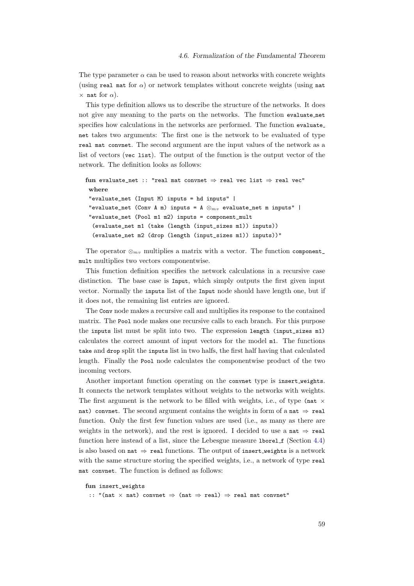The type parameter  $\alpha$  can be used to reason about networks with concrete weights (using real mat for  $\alpha$ ) or network templates without concrete weights (using nat  $\times$  nat for  $\alpha$ ).

This type definition allows us to describe the structure of the networks. It does not give any meaning to the parts on the networks. The function evaluate net specifies how calculations in the networks are performed. The function evaluate net takes two arguments: The first one is the network to be evaluated of type real mat convnet. The second argument are the input values of the network as a list of vectors (vec list). The output of the function is the output vector of the network. The definition looks as follows:

```
fun evaluate net :: "real mat convnet \Rightarrow real vec list \Rightarrow real vec"
where
 "evaluate_net (Input M) inputs = hd inputs" |
 "evaluate_net (Conv A m) inputs = A \otimes_{mv} evaluate_net m inputs" |
 "evaluate_net (Pool m1 m2) inputs = component_mult
  (evaluate_net m1 (take (length (input_sizes m1)) inputs))
  (evaluate_net m2 (drop (length (input_sizes m1)) inputs))"
```
The operator  $\otimes_{mv}$  multiplies a matrix with a vector. The function component mult multiplies two vectors componentwise.

This function definition specifies the network calculations in a recursive case distinction. The base case is Input, which simply outputs the first given input vector. Normally the inputs list of the Input node should have length one, but if it does not, the remaining list entries are ignored.

The Conv node makes a recursive call and multiplies its response to the contained matrix. The Pool node makes one recursive calls to each branch. For this purpose the inputs list must be split into two. The expression length (input\_sizes m1) calculates the correct amount of input vectors for the model m1. The functions take and drop split the inputs list in two halfs, the first half having that calculated length. Finally the Pool node calculates the componentwise product of the two incoming vectors.

Another important function operating on the convnet type is insert weights. It connects the network templates without weights to the networks with weights. The first argument is the network to be filled with weights, i.e., of type (nat  $\times$ nat) convnet. The second argument contains the weights in form of a nat  $\Rightarrow$  real function. Only the first few function values are used (i.e., as many as there are weights in the network), and the rest is ignored. I decided to use a nat  $\Rightarrow$  real function here instead of a list, since the Lebesgue measure 1bore1 f (Section [4.4\)](#page-63-0) is also based on nat  $\Rightarrow$  real functions. The output of insert\_weights is a network with the same structure storing the specified weights, i.e., a network of type real mat convnet. The function is defined as follows:

```
fun insert_weights
```
:: "(nat  $\times$  nat) convnet  $\Rightarrow$  (nat  $\Rightarrow$  real)  $\Rightarrow$  real mat convnet"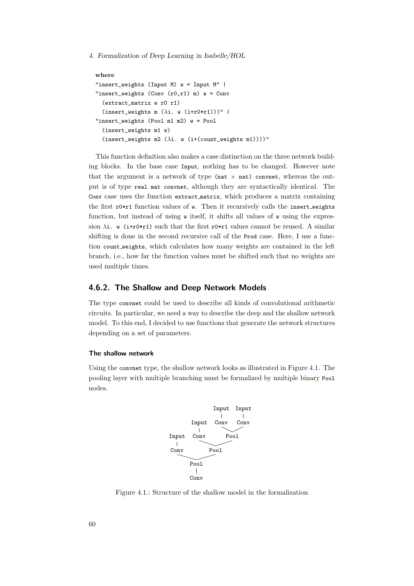```
where
"insert_weights (Input M) w = Input M" |
"insert_weights (Conv (r0, r1) m) w = Conv(extract_matrix w r0 r1)
  (insort_weights \t m (\lambda i. w (i+r0*r1)))""insert_weights (Pool m1 m2) w = Pool
  (insert_weights m1 w)
  (insert_weights m2 (\lambda i. \ w (i+(count\_weights m1))))"
```
This function definition also makes a case distinction on the three network building blocks. In the base case Input, nothing has to be changed. However note that the argument is a network of type (nat  $\times$  nat) convnet, whereas the output is of type real mat convnet, although they are syntactically identical. The Conv case uses the function extract matrix, which produces a matrix containing the first  $r0*r1$  function values of w. Then it recursively calls the insert weights function, but instead of using  $\bf{w}$  itself, it shifts all values of  $\bf{w}$  using the expression  $\lambda$ i. w (i+r0\*r1) such that the first r0\*r1 values cannot be reused. A similar shifting is done in the second recursive call of the Prod case. Here, I use a function count weights, which calculates how many weights are contained in the left branch, i.e., how far the function values must be shifted such that no weights are used multiple times.

## 4.6.2. The Shallow and Deep Network Models

The type convnet could be used to describe all kinds of convolutional arithmetic circuits. In particular, we need a way to describe the deep and the shallow network model. To this end, I decided to use functions that generate the network structures depending on a set of parameters.

#### The shallow network

<span id="page-69-0"></span>Using the convnet type, the shallow network looks as illustrated in Figure [4.1.](#page-69-0) The pooling layer with multiple branching must be formalized by multiple binary Pool nodes.



Figure 4.1.: Structure of the shallow model in the formalization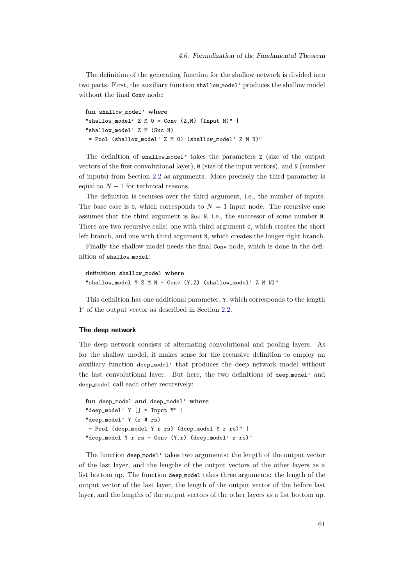The definition of the generating function for the shallow network is divided into two parts. First, the auxiliary function shallow model' produces the shallow model without the final Conv node:

```
fun shallow model' where
"shallow_model' Z M 0 = Conv(Z,M) (Input M)" |
"shallow_model' Z M (Suc N)
= Pool (shallow_model' Z M 0) (shallow_model' Z M N)"
```
The definition of shallow model' takes the parameters Z (size of the output vectors of the first convolutional layer), M (size of the input vectors), and N (number of inputs) from Section [2.2](#page-13-0) as arguments. More precisely the third parameter is equal to  $N-1$  for technical reasons.

The definition is recurses over the third argument, i.e., the number of inputs. The base case is 0, which corresponds to  $N = 1$  input node. The recursive case assumes that the third argument is Suc N, i.e., the successor of some number N. There are two recursive calls: one with third argument 0, which creates the short left branch, and one with third argument N, which creates the longer right branch.

Finally the shallow model needs the final Conv node, which is done in the definition of shallow model:

```
definition shallow_model where
"shallow_model Y Z M N = Conv (Y,Z) (shallow_model' Z M N)"
```
This definition has one additional parameter, Y, which corresponds to the length Y of the output vector as described in Section [2.2.](#page-13-0)

#### The deep network

The deep network consists of alternating convolutional and pooling layers. As for the shallow model, it makes sense for the recursive definition to employ an auxiliary function deep model' that produces the deep network model without the last convolutional layer. But here, the two definitions of deep model' and deep model call each other recursively:

```
fun deep_model and deep_model' where
"deep_model' Y [] = Input Y" |
"deep_model' Y (r # rs)
= Pool (deep_model Y r rs) (deep_model Y r rs)" |
"deep_model Y r rs = Conv (Y,r) (deep_model' r rs)"
```
The function deep model' takes two arguments: the length of the output vector of the last layer, and the lengths of the output vectors of the other layers as a list bottom up. The function deep model takes three arguments: the length of the output vector of the last layer, the length of the output vector of the before last layer, and the lengths of the output vectors of the other layers as a list bottom up.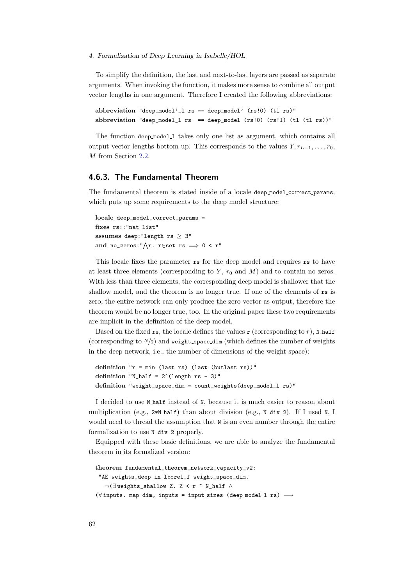To simplify the definition, the last and next-to-last layers are passed as separate arguments. When invoking the function, it makes more sense to combine all output vector lengths in one argument. Therefore I created the following abbreviations:

```
abbreviation "deep_model'_l rs == deep_model' (rs!0) (tl rs)"
abbreviation "deep_model_l rs == deep_model (rs!) (rs!1) (tl (tl rs))"
```
The function deep model 1 takes only one list as argument, which contains all output vector lengths bottom up. This corresponds to the values  $Y, r_{L-1}, \ldots, r_0$ , M from Section [2.2.](#page-13-0)

#### 4.6.3. The Fundamental Theorem

The fundamental theorem is stated inside of a locale deep model correct params, which puts up some requirements to the deep model structure:

locale deep\_model\_correct\_params = fixes rs::"nat list" assumes deep: "length  $rs > 3$ " and no\_zeros:" $\bigwedge r$ . r∈set rs  $\implies 0 < r$ "

This locale fixes the parameter rs for the deep model and requires rs to have at least three elements (corresponding to  $Y$ ,  $r_0$  and  $M$ ) and to contain no zeros. With less than three elements, the corresponding deep model is shallower that the shallow model, and the theorem is no longer true. If one of the elements of rs is zero, the entire network can only produce the zero vector as output, therefore the theorem would be no longer true, too. In the original paper these two requirements are implicit in the definition of the deep model.

Based on the fixed rs, the locale defines the values r (corresponding to r), N half (corresponding to  $N/2$ ) and weight space dim (which defines the number of weights in the deep network, i.e., the number of dimensions of the weight space):

```
definition "r = min (last rs) (last (butlast rs))"
definition "N_half = 2^{\degree}(length rs - 3)"
definition "weight_space_dim = count_weights(deep_model_l rs)"
```
I decided to use N half instead of N, because it is much easier to reason about multiplication (e.g., 2\*N half) than about division (e.g., N div 2). If I used N, I would need to thread the assumption that  $N$  is an even number through the entire formalization to use N div 2 properly.

Equipped with these basic definitions, we are able to analyze the fundamental theorem in its formalized version:

```
theorem fundamental_theorem_network_capacity_v2:
 "AE weights_deep in lborel_f weight_space_dim.
   ¬(∃ weights_shallow Z. Z < r ^ N_half ∧
(\forall inputs. map dim<sub>v</sub> inputs = input_sizes (deep_model_l rs) \longrightarrow
```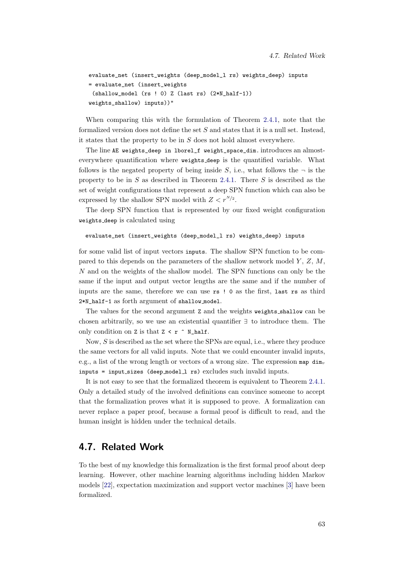```
evaluate_net (insert_weights (deep_model_l rs) weights_deep) inputs
= evaluate_net (insert_weights
 (shallow_model (rs ! 0) Z (last rs) (2*N_half-1))
weights_shallow) inputs))"
```
When comparing this with the formulation of Theorem [2.4.1,](#page-18-0) note that the formalized version does not define the set  $S$  and states that it is a null set. Instead, it states that the property to be in  $S$  does not hold almost everywhere.

The line AE weights\_deep in lborel\_f weight\_space\_dim. introduces an almosteverywhere quantification where weights deep is the quantified variable. What follows is the negated property of being inside S, i.e., what follows the  $\neg$  is the property to be in S as described in Theorem [2.4.1.](#page-18-0) There S is described as the set of weight configurations that represent a deep SPN function which can also be expressed by the shallow SPN model with  $Z < r^{N/2}$ .

The deep SPN function that is represented by our fixed weight configuration weights deep is calculated using

evaluate\_net (insert\_weights (deep\_model\_l rs) weights\_deep) inputs

for some valid list of input vectors inputs. The shallow SPN function to be compared to this depends on the parameters of the shallow network model  $Y, Z, M$ , N and on the weights of the shallow model. The SPN functions can only be the same if the input and output vector lengths are the same and if the number of inputs are the same, therefore we can use rs ! 0 as the first, last rs as third 2\*N\_half-1 as forth argument of shallow model.

The values for the second argument Z and the weights weights shallow can be chosen arbitrarily, so we use an existential quantifier ∃ to introduce them. The only condition on Z is that  $Z \le r \uparrow N_{h}$  half.

Now,  $S$  is described as the set where the SPNs are equal, i.e., where they produce the same vectors for all valid inputs. Note that we could encounter invalid inputs, e.g., a list of the wrong length or vectors of a wrong size. The expression map  $dim_{v}$ inputs = input sizes (deep model l rs) excludes such invalid inputs.

It is not easy to see that the formalized theorem is equivalent to Theorem [2.4.1.](#page-18-0) Only a detailed study of the involved definitions can convince someone to accept that the formalization proves what it is supposed to prove. A formalization can never replace a paper proof, because a formal proof is difficult to read, and the human insight is hidden under the technical details.

### 4.7. Related Work

To the best of my knowledge this formalization is the first formal proof about deep learning. However, other machine learning algorithms including hidden Markov models [\[22\]](#page-77-0), expectation maximization and support vector machines [\[3\]](#page-76-0) have been formalized.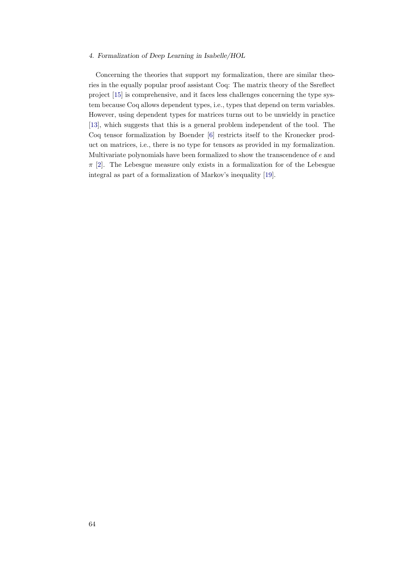#### 4. Formalization of Deep Learning in Isabelle/HOL

Concerning the theories that support my formalization, there are similar theories in the equally popular proof assistant Coq: The matrix theory of the Ssreflect project [\[15\]](#page-77-1) is comprehensive, and it faces less challenges concerning the type system because Coq allows dependent types, i.e., types that depend on term variables. However, using dependent types for matrices turns out to be unwieldy in practice [\[13\]](#page-77-2), which suggests that this is a general problem independent of the tool. The Coq tensor formalization by Boender [\[6\]](#page-76-1) restricts itself to the Kronecker product on matrices, i.e., there is no type for tensors as provided in my formalization. Multivariate polynomials have been formalized to show the transcendence of e and  $\pi$  [\[2\]](#page-76-2). The Lebesgue measure only exists in a formalization for of the Lebesgue integral as part of a formalization of Markov's inequality [\[19\]](#page-77-3).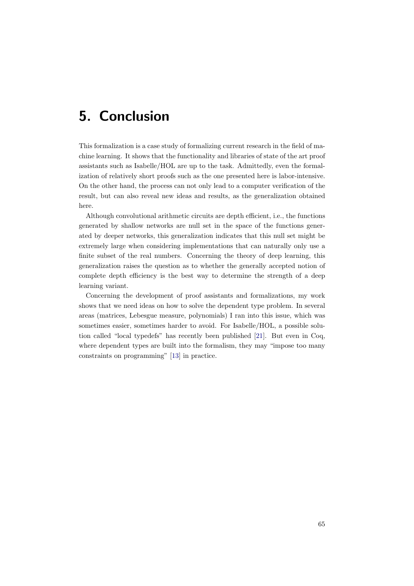## 5. Conclusion

This formalization is a case study of formalizing current research in the field of machine learning. It shows that the functionality and libraries of state of the art proof assistants such as Isabelle/HOL are up to the task. Admittedly, even the formalization of relatively short proofs such as the one presented here is labor-intensive. On the other hand, the process can not only lead to a computer verification of the result, but can also reveal new ideas and results, as the generalization obtained here.

Although convolutional arithmetic circuits are depth efficient, i.e., the functions generated by shallow networks are null set in the space of the functions generated by deeper networks, this generalization indicates that this null set might be extremely large when considering implementations that can naturally only use a finite subset of the real numbers. Concerning the theory of deep learning, this generalization raises the question as to whether the generally accepted notion of complete depth efficiency is the best way to determine the strength of a deep learning variant.

Concerning the development of proof assistants and formalizations, my work shows that we need ideas on how to solve the dependent type problem. In several areas (matrices, Lebesgue measure, polynomials) I ran into this issue, which was sometimes easier, sometimes harder to avoid. For Isabelle/HOL, a possible solution called "local typedefs" has recently been published [\[21\]](#page-77-4). But even in Coq, where dependent types are built into the formalism, they may "impose too many constraints on programming" [\[13\]](#page-77-2) in practice.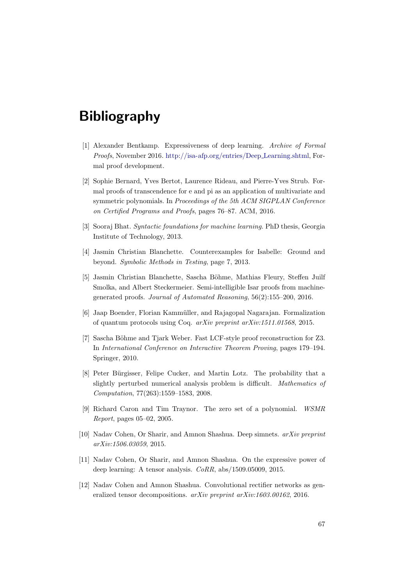# Bibliography

- [1] Alexander Bentkamp. Expressiveness of deep learning. Archive of Formal Proofs, November 2016. [http://isa-afp.org/entries/Deep](http://isa-afp.org/entries/Deep_Learning.shtml) Learning.shtml, Formal proof development.
- <span id="page-76-2"></span>[2] Sophie Bernard, Yves Bertot, Laurence Rideau, and Pierre-Yves Strub. Formal proofs of transcendence for e and pi as an application of multivariate and symmetric polynomials. In Proceedings of the 5th ACM SIGPLAN Conference on Certified Programs and Proofs, pages 76–87. ACM, 2016.
- <span id="page-76-0"></span>[3] Sooraj Bhat. Syntactic foundations for machine learning. PhD thesis, Georgia Institute of Technology, 2013.
- [4] Jasmin Christian Blanchette. Counterexamples for Isabelle: Ground and beyond. Symbolic Methods in Testing, page 7, 2013.
- [5] Jasmin Christian Blanchette, Sascha Böhme, Mathias Fleury, Steffen Juilf Smolka, and Albert Steckermeier. Semi-intelligible Isar proofs from machinegenerated proofs. Journal of Automated Reasoning, 56(2):155–200, 2016.
- <span id="page-76-1"></span>[6] Jaap Boender, Florian Kammüller, and Rajagopal Nagarajan. Formalization of quantum protocols using Coq. arXiv preprint arXiv:1511.01568, 2015.
- [7] Sascha Böhme and Tjark Weber. Fast LCF-style proof reconstruction for Z3. In International Conference on Interactive Theorem Proving, pages 179–194. Springer, 2010.
- [8] Peter Bürgisser, Felipe Cucker, and Martin Lotz. The probability that a slightly perturbed numerical analysis problem is difficult. Mathematics of Computation, 77(263):1559–1583, 2008.
- [9] Richard Caron and Tim Traynor. The zero set of a polynomial. WSMR Report, pages 05–02, 2005.
- [10] Nadav Cohen, Or Sharir, and Amnon Shashua. Deep simnets. arXiv preprint arXiv:1506.03059, 2015.
- [11] Nadav Cohen, Or Sharir, and Amnon Shashua. On the expressive power of deep learning: A tensor analysis. CoRR, abs/1509.05009, 2015.
- [12] Nadav Cohen and Amnon Shashua. Convolutional rectifier networks as generalized tensor decompositions. arXiv preprint arXiv:1603.00162, 2016.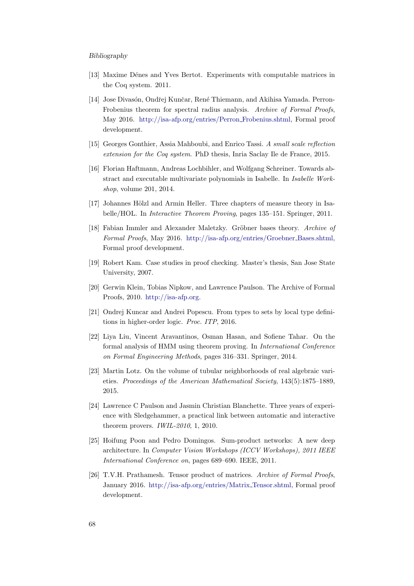#### Bibliography

- <span id="page-77-2"></span>[13] Maxime Dénes and Yves Bertot. Experiments with computable matrices in the Coq system. 2011.
- [14] Jose Divasón, Ondřej Kunčar, René Thiemann, and Akihisa Yamada. Perron-Frobenius theorem for spectral radius analysis. Archive of Formal Proofs, May 2016. [http://isa-afp.org/entries/Perron](http://isa-afp.org/entries/Perron_Frobenius.shtml) Frobenius.shtml, Formal proof development.
- <span id="page-77-1"></span>[15] Georges Gonthier, Assia Mahboubi, and Enrico Tassi. A small scale reflection extension for the Coq system. PhD thesis, Inria Saclay Ile de France, 2015.
- [16] Florian Haftmann, Andreas Lochbihler, and Wolfgang Schreiner. Towards abstract and executable multivariate polynomials in Isabelle. In Isabelle Workshop, volume 201, 2014.
- [17] Johannes Hölzl and Armin Heller. Three chapters of measure theory in Isabelle/HOL. In Interactive Theorem Proving, pages 135–151. Springer, 2011.
- [18] Fabian Immler and Alexander Maletzky. Gröbner bases theory. Archive of Formal Proofs, May 2016. [http://isa-afp.org/entries/Groebner](http://isa-afp.org/entries/Groebner_Bases.shtml) Bases.shtml, Formal proof development.
- <span id="page-77-3"></span>[19] Robert Kam. Case studies in proof checking. Master's thesis, San Jose State University, 2007.
- [20] Gerwin Klein, Tobias Nipkow, and Lawrence Paulson. The Archive of Formal Proofs, 2010. [http://isa-afp.org.](http://isa-afp.org)
- <span id="page-77-4"></span>[21] Ondrej Kuncar and Andrei Popescu. From types to sets by local type definitions in higher-order logic. Proc. ITP, 2016.
- <span id="page-77-0"></span>[22] Liya Liu, Vincent Aravantinos, Osman Hasan, and Sofiene Tahar. On the formal analysis of HMM using theorem proving. In International Conference on Formal Engineering Methods, pages 316–331. Springer, 2014.
- [23] Martin Lotz. On the volume of tubular neighborhoods of real algebraic varieties. Proceedings of the American Mathematical Society, 143(5):1875–1889, 2015.
- [24] Lawrence C Paulson and Jasmin Christian Blanchette. Three years of experience with Sledgehammer, a practical link between automatic and interactive theorem provers. IWIL-2010, 1, 2010.
- [25] Hoifung Poon and Pedro Domingos. Sum-product networks: A new deep architecture. In Computer Vision Workshops (ICCV Workshops), 2011 IEEE International Conference on, pages 689–690. IEEE, 2011.
- [26] T.V.H. Prathamesh. Tensor product of matrices. Archive of Formal Proofs, January 2016. [http://isa-afp.org/entries/Matrix](http://isa-afp.org/entries/Matrix_Tensor.shtml) Tensor.shtml, Formal proof development.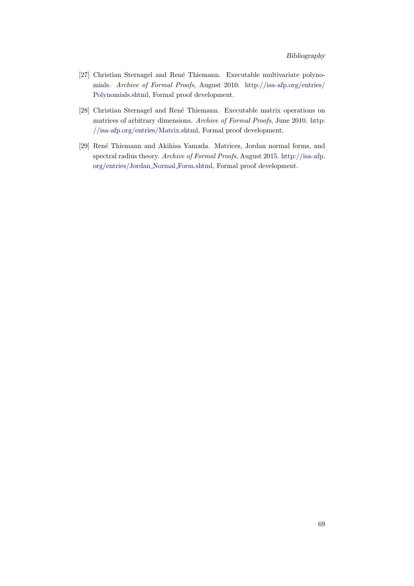- [27] Christian Sternagel and René Thiemann. Executable multivariate polynomials. Archive of Formal Proofs, August 2010. [http://isa-afp.org/entries/](http://isa-afp.org/entries/Polynomials.shtml) [Polynomials.shtml,](http://isa-afp.org/entries/Polynomials.shtml) Formal proof development.
- [28] Christian Sternagel and René Thiemann. Executable matrix operations on matrices of arbitrary dimensions. Archive of Formal Proofs, June 2010. [http:](http://isa-afp.org/entries/Matrix.shtml) [//isa-afp.org/entries/Matrix.shtml,](http://isa-afp.org/entries/Matrix.shtml) Formal proof development.
- [29] René Thiemann and Akihisa Yamada. Matrices, Jordan normal forms, and spectral radius theory. Archive of Formal Proofs, August 2015. [http://isa-afp.](http://isa-afp.org/entries/Jordan_Normal_Form.shtml) [org/entries/Jordan](http://isa-afp.org/entries/Jordan_Normal_Form.shtml) Normal Form.shtml, Formal proof development.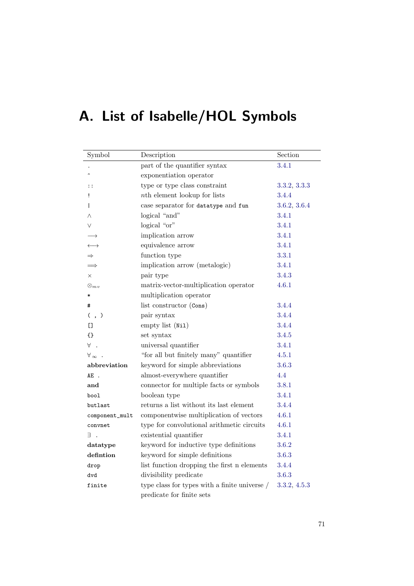# A. List of Isabelle/HOL Symbols

| Symbol                | Description                                         | Section      |
|-----------------------|-----------------------------------------------------|--------------|
|                       | part of the quantifier syntax                       | 3.4.1        |
|                       | exponentiation operator                             |              |
| $\vdots$              | type or type class constraint                       | 3.3.2, 3.3.3 |
| Ţ                     | <i>nth</i> element lookup for lists                 | 3.4.4        |
| $\mathsf{I}$          | case separator for datatype and fun                 | 3.6.2, 3.6.4 |
| Λ                     | logical "and"                                       | 3.4.1        |
| $\vee$                | logical "or"                                        | 3.4.1        |
|                       | implication arrow                                   | 3.4.1        |
| $\longleftrightarrow$ | equivalence arrow                                   | 3.4.1        |
| $\Rightarrow$         | function type                                       | 3.3.1        |
| $\implies$            | implication arrow (metalogic)                       | 3.4.1        |
| $\times$              | pair type                                           | 3.4.3        |
| $\otimes_{m.v}$       | matrix-vector-multiplication operator               | 4.6.1        |
| $\ast$                | multiplication operator                             |              |
| #                     | list constructor (Cons)                             | 3.4.4        |
| ( , )                 | pair syntax                                         | 3.4.4        |
| $\mathsf{L}$          | empty list (Ni1)                                    | 3.4.4        |
| $\{\}$                | set syntax                                          | 3.4.5        |
| ∀.                    | universal quantifier                                | 3.4.1        |
| $\forall_{\infty}$ .  | "for all but finitely many" quantifier              | 4.5.1        |
| abbreviation          | keyword for simple abbreviations                    | 3.6.3        |
| AE.                   | almost-everywhere quantifier                        | 4.4          |
| and                   | connector for multiple facts or symbols             | 3.8.1        |
| bool                  | boolean type                                        | 3.4.1        |
| butlast               | returns a list without its last element             | 3.4.4        |
| $component\_mult$     | componentwise multiplication of vectors             | 4.6.1        |
| convnet               | type for convolutional arithmetic circuits          | 4.6.1        |
| в.                    | existential quantifier                              | 3.4.1        |
| datatype              | keyword for inductive type definitions              | 3.6.2        |
| defintion             | keyword for simple definitions                      | 3.6.3        |
| drop                  | list function dropping the first n elements         | 3.4.4        |
| dvd                   | divisibility predicate                              | 3.6.3        |
| finite                | type class for types with a finite universe $\big/$ | 3.3.2, 4.5.3 |
|                       | predicate for finite sets                           |              |